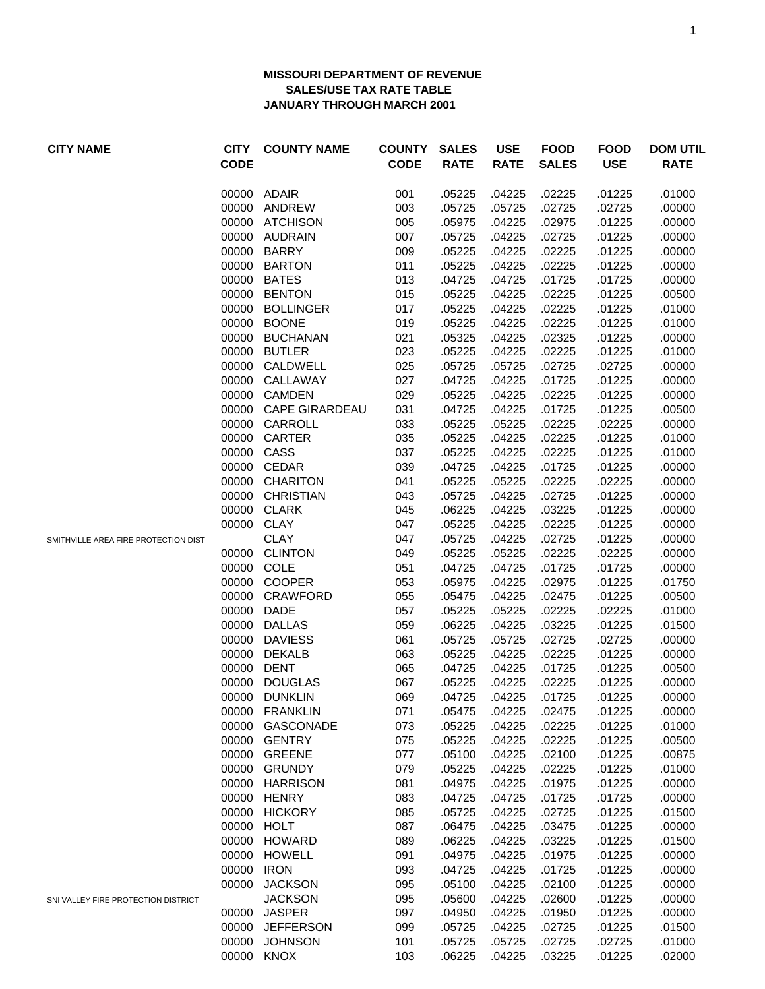## **MISSOURI DEPARTMENT OF REVENUE SALES/USE TAX RATE TABLE JANUARY THROUGH MARCH 2001**

| <b>CITY NAME</b>                     | <b>CITY</b><br><b>CODE</b> | <b>COUNTY NAME</b>   | <b>COUNTY</b><br><b>CODE</b> | <b>SALES</b><br><b>RATE</b> | <b>USE</b><br><b>RATE</b> | <b>FOOD</b><br><b>SALES</b> | <b>FOOD</b><br><b>USE</b> | <b>DOM UTIL</b><br><b>RATE</b> |
|--------------------------------------|----------------------------|----------------------|------------------------------|-----------------------------|---------------------------|-----------------------------|---------------------------|--------------------------------|
|                                      | 00000                      | ADAIR                | 001                          | .05225                      | .04225                    | .02225                      | .01225                    | .01000                         |
|                                      | 00000                      | ANDREW               | 003                          | .05725                      | .05725                    | .02725                      | .02725                    | .00000                         |
|                                      |                            | 00000 ATCHISON       | 005                          | .05975                      | .04225                    | .02975                      | .01225                    | .00000                         |
|                                      | 00000                      | <b>AUDRAIN</b>       | 007                          | .05725                      | .04225                    | .02725                      | .01225                    | .00000                         |
|                                      | 00000                      | <b>BARRY</b>         | 009                          | .05225                      | .04225                    | .02225                      | .01225                    | .00000                         |
|                                      | 00000                      | <b>BARTON</b>        | 011                          | .05225                      | .04225                    | .02225                      | .01225                    | .00000                         |
|                                      | 00000                      | <b>BATES</b>         | 013                          | .04725                      | .04725                    | .01725                      | .01725                    | .00000                         |
|                                      | 00000                      | <b>BENTON</b>        | 015                          | .05225                      | .04225                    | .02225                      | .01225                    | .00500                         |
|                                      | 00000                      | <b>BOLLINGER</b>     | 017                          | .05225                      | .04225                    | .02225                      | .01225                    | .01000                         |
|                                      | 00000                      | <b>BOONE</b>         | 019                          | .05225                      | .04225                    | .02225                      | .01225                    | .01000                         |
|                                      | 00000                      | <b>BUCHANAN</b>      | 021                          | .05325                      | .04225                    | .02325                      | .01225                    | .00000                         |
|                                      | 00000                      | <b>BUTLER</b>        | 023                          | .05225                      | .04225                    | .02225                      | .01225                    | .01000                         |
|                                      | 00000                      | CALDWELL             | 025                          | .05725                      | .05725                    | .02725                      | .02725                    | .00000                         |
|                                      | 00000                      | CALLAWAY             | 027                          | .04725                      | .04225                    | .01725                      | .01225                    | .00000                         |
|                                      |                            | 00000 CAMDEN         | 029                          | .05225                      | .04225                    | .02225                      | .01225                    | .00000                         |
|                                      |                            | 00000 CAPE GIRARDEAU | 031                          | .04725                      | .04225                    | .01725                      | .01225                    | .00500                         |
|                                      |                            | 00000 CARROLL        | 033                          | .05225                      | .05225                    | .02225                      | .02225                    | .00000                         |
|                                      |                            | 00000 CARTER         | 035                          | .05225                      | .04225                    | .02225                      | .01225                    | .01000                         |
|                                      |                            | 00000 CASS           | 037                          | .05225                      | .04225                    | .02225                      | .01225                    | .01000                         |
|                                      |                            | 00000 CEDAR          | 039                          | .04725                      | .04225                    | .01725                      | .01225                    | .00000                         |
|                                      |                            | 00000 CHARITON       | 041                          | .05225                      | .05225                    | .02225                      | .02225                    | .00000                         |
|                                      |                            | 00000 CHRISTIAN      | 043                          | .05725                      | .04225                    | .02725                      | .01225                    | .00000                         |
|                                      |                            | 00000 CLARK          | 045                          | .06225                      | .04225                    | .03225                      | .01225                    | .00000                         |
|                                      |                            | 00000 CLAY           | 047                          | .05225                      | .04225                    | .02225                      | .01225                    | .00000                         |
| SMITHVILLE AREA FIRE PROTECTION DIST |                            | <b>CLAY</b>          | 047                          | .05725                      | .04225                    | .02725                      | .01225                    | .00000                         |
|                                      | 00000                      | <b>CLINTON</b>       | 049                          | .05225                      | .05225                    | .02225                      | .02225                    | .00000                         |
|                                      | 00000                      | COLE                 | 051                          | .04725                      | .04725                    | .01725                      | .01725                    | .00000                         |
|                                      |                            | 00000 COOPER         | 053                          | .05975                      | .04225                    | .02975                      | .01225                    | .01750                         |
|                                      |                            | 00000 CRAWFORD       | 055                          | .05475                      | .04225                    | .02475                      | .01225                    | .00500                         |
|                                      | 00000                      | <b>DADE</b>          | 057                          | .05225                      | .05225                    | .02225                      | .02225                    | .01000                         |
|                                      | 00000                      | <b>DALLAS</b>        | 059                          | .06225                      | .04225                    | .03225                      | .01225                    | .01500                         |
|                                      | 00000                      | <b>DAVIESS</b>       | 061                          | .05725                      | .05725                    | .02725                      | .02725                    | .00000                         |
|                                      | 00000                      | <b>DEKALB</b>        | 063                          | .05225                      | .04225                    | .02225                      | .01225                    | .00000                         |
|                                      | 00000                      | <b>DENT</b>          | 065                          | .04725                      | .04225                    | .01725                      | .01225                    | .00500                         |
|                                      | 00000                      | <b>DOUGLAS</b>       | 067                          | .05225                      | .04225                    | .02225                      | .01225                    | .00000                         |
|                                      |                            | 00000 DUNKLIN        | 069                          | .04725                      | .04225                    | .01725                      | .01225                    | .00000                         |
|                                      | 00000                      | <b>FRANKLIN</b>      | 071                          | .05475                      | .04225                    | .02475                      | .01225                    | .00000                         |
|                                      | 00000                      | GASCONADE            | 073                          | .05225                      | .04225                    | .02225                      | .01225                    | .01000                         |
|                                      | 00000                      | <b>GENTRY</b>        | 075                          | .05225                      | .04225                    | .02225                      | .01225                    | .00500                         |
|                                      | 00000                      | <b>GREENE</b>        | 077                          | .05100                      | .04225                    | .02100                      | .01225                    | .00875                         |
|                                      | 00000                      | <b>GRUNDY</b>        | 079                          | .05225                      | .04225                    | .02225                      | .01225                    | .01000                         |
|                                      | 00000                      | <b>HARRISON</b>      | 081                          | .04975                      | .04225                    | .01975                      | .01225                    | .00000                         |
|                                      | 00000                      | <b>HENRY</b>         | 083                          | .04725                      | .04725                    | .01725                      | .01725                    | .00000                         |
|                                      | 00000                      | <b>HICKORY</b>       | 085                          | .05725                      | .04225                    | .02725                      | .01225                    | .01500                         |
|                                      | 00000                      | <b>HOLT</b>          | 087                          | .06475                      | .04225                    | .03475                      | .01225                    | .00000                         |
|                                      | 00000                      | <b>HOWARD</b>        | 089                          | .06225                      | .04225                    | .03225                      | .01225                    | .01500                         |
|                                      | 00000                      | <b>HOWELL</b>        | 091                          | .04975                      | .04225                    | .01975                      | .01225                    | .00000                         |
|                                      | 00000                      | <b>IRON</b>          | 093                          | .04725                      | .04225                    | .01725                      | .01225                    | .00000                         |
|                                      | 00000                      | <b>JACKSON</b>       | 095                          | .05100                      | .04225                    | .02100                      | .01225                    | .00000                         |
| SNI VALLEY FIRE PROTECTION DISTRICT  |                            | <b>JACKSON</b>       | 095                          | .05600                      | .04225                    | .02600                      | .01225                    | .00000                         |
|                                      | 00000                      | <b>JASPER</b>        | 097                          | .04950                      | .04225                    | .01950                      | .01225                    | .00000                         |
|                                      | 00000                      | <b>JEFFERSON</b>     | 099                          | .05725                      | .04225                    | .02725                      | .01225                    | .01500                         |
|                                      | 00000                      | <b>JOHNSON</b>       | 101                          | .05725                      | .05725                    | .02725                      | .02725                    | .01000                         |
|                                      | 00000                      | <b>KNOX</b>          | 103                          | .06225                      | .04225                    | .03225                      | .01225                    | .02000                         |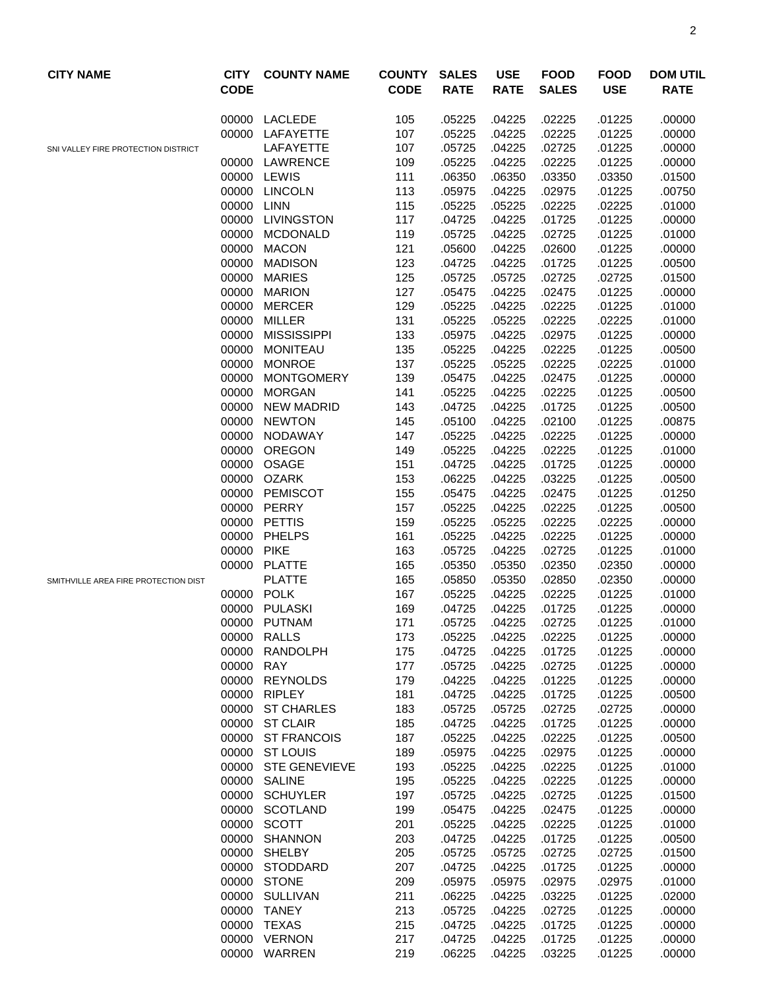| <b>CITY NAME</b>                     | <b>CITY</b><br><b>CODE</b> | <b>COUNTY NAME</b>   | <b>COUNTY</b><br><b>CODE</b> | <b>SALES</b><br><b>RATE</b> | <b>USE</b><br><b>RATE</b> | <b>FOOD</b><br><b>SALES</b> | <b>FOOD</b><br><b>USE</b> | <b>DOM UTIL</b><br><b>RATE</b> |
|--------------------------------------|----------------------------|----------------------|------------------------------|-----------------------------|---------------------------|-----------------------------|---------------------------|--------------------------------|
|                                      | 00000                      | LACLEDE              | 105                          | .05225                      | .04225                    | .02225                      | .01225                    | .00000                         |
|                                      |                            | 00000 LAFAYETTE      | 107                          | .05225                      | .04225                    | .02225                      | .01225                    | .00000                         |
| SNI VALLEY FIRE PROTECTION DISTRICT  |                            | LAFAYETTE            | 107                          | .05725                      | .04225                    | .02725                      | .01225                    | .00000                         |
|                                      |                            | 00000 LAWRENCE       | 109                          | .05225                      | .04225                    | .02225                      | .01225                    | .00000                         |
|                                      |                            | 00000 LEWIS          | 111                          | .06350                      | .06350                    | .03350                      | .03350                    | .01500                         |
|                                      | 00000                      | <b>LINCOLN</b>       | 113                          | .05975                      | .04225                    | .02975                      | .01225                    | .00750                         |
|                                      | 00000                      | <b>LINN</b>          | 115                          | .05225                      | .05225                    | .02225                      | .02225                    | .01000                         |
|                                      | 00000                      | <b>LIVINGSTON</b>    | 117                          | .04725                      | .04225                    | .01725                      | .01225                    | .00000                         |
|                                      | 00000                      | <b>MCDONALD</b>      | 119                          | .05725                      | .04225                    | .02725                      | .01225                    | .01000                         |
|                                      | 00000                      | <b>MACON</b>         | 121                          | .05600                      | .04225                    | .02600                      | .01225                    | .00000                         |
|                                      | 00000                      | <b>MADISON</b>       | 123                          | .04725                      | .04225                    | .01725                      | .01225                    | .00500                         |
|                                      | 00000                      | <b>MARIES</b>        | 125                          | .05725                      | .05725                    | .02725                      | .02725                    | .01500                         |
|                                      | 00000                      | <b>MARION</b>        | 127                          | .05475                      | .04225                    | .02475                      | .01225                    | .00000                         |
|                                      | 00000                      | <b>MERCER</b>        | 129                          | .05225                      | .04225                    | .02225                      | .01225                    | .01000                         |
|                                      | 00000                      | MILLER               | 131                          | .05225                      | .05225                    | .02225                      | .02225                    | .01000                         |
|                                      | 00000                      | <b>MISSISSIPPI</b>   | 133                          | .05975                      | .04225                    | .02975                      | .01225                    | .00000                         |
|                                      | 00000                      | MONITEAU             | 135                          | .05225                      | .04225                    | .02225                      | .01225                    | .00500                         |
|                                      | 00000                      | <b>MONROE</b>        | 137                          | .05225                      | .05225                    | .02225                      | .02225                    | .01000                         |
|                                      | 00000                      | <b>MONTGOMERY</b>    | 139                          | .05475                      | .04225                    | .02475                      | .01225                    | .00000                         |
|                                      | 00000                      | <b>MORGAN</b>        | 141                          | .05225                      | .04225                    | .02225                      | .01225                    | .00500                         |
|                                      | 00000                      | <b>NEW MADRID</b>    | 143                          | .04725                      | .04225                    | .01725                      | .01225                    | .00500                         |
|                                      | 00000                      | <b>NEWTON</b>        | 145                          | .05100                      | .04225                    | .02100                      | .01225                    | .00875                         |
|                                      | 00000                      | NODAWAY              | 147                          | .05225                      | .04225                    | .02225                      | .01225                    | .00000                         |
|                                      | 00000                      | <b>OREGON</b>        | 149                          | .05225                      | .04225                    | .02225                      | .01225                    | .01000                         |
|                                      | 00000                      | OSAGE                | 151                          | .04725                      | .04225                    | .01725                      | .01225                    | .00000                         |
|                                      | 00000                      | <b>OZARK</b>         | 153                          | .06225                      | .04225                    | .03225                      | .01225                    | .00500                         |
|                                      |                            | 00000 PEMISCOT       | 155                          | .05475                      | .04225                    | .02475                      | .01225                    | .01250                         |
|                                      | 00000                      | PERRY                | 157                          | .05225                      | .04225                    | .02225                      | .01225                    | .00500                         |
|                                      |                            | 00000 PETTIS         | 159                          | .05225                      | .05225                    | .02225                      | .02225                    | .00000                         |
|                                      | 00000                      | PHELPS               | 161                          | .05225                      | .04225                    | .02225                      | .01225                    | .00000                         |
|                                      | 00000                      | <b>PIKE</b>          | 163                          | .05725                      | .04225                    | .02725                      | .01225                    | .01000                         |
|                                      | 00000                      | <b>PLATTE</b>        | 165                          | .05350                      | .05350                    | .02350                      | .02350                    | .00000                         |
| SMITHVILLE AREA FIRE PROTECTION DIST |                            | <b>PLATTE</b>        | 165                          | .05850                      | .05350                    | .02850                      | .02350                    | .00000                         |
|                                      |                            | 00000 POLK           | 167                          | .05225                      | .04225                    | .02225                      | .01225                    | .01000                         |
|                                      | 00000                      | PULASKI              | 169                          | .04725                      | .04225                    | .01725                      | .01225                    | .00000                         |
|                                      |                            | 00000 PUTNAM         | 171                          | .05725                      | .04225                    | .02725                      | .01225                    | .01000                         |
|                                      | 00000                      | <b>RALLS</b>         | 173                          | .05225                      | .04225                    | .02225                      | .01225                    | .00000                         |
|                                      | 00000                      | RANDOLPH             | 175                          | .04725                      | .04225                    | .01725                      | .01225                    | .00000                         |
|                                      | 00000                      | <b>RAY</b>           | 177                          | .05725                      | .04225                    | .02725                      | .01225                    | .00000                         |
|                                      | 00000                      | <b>REYNOLDS</b>      | 179                          | .04225                      | .04225                    | .01225                      | .01225                    | .00000                         |
|                                      | 00000                      | <b>RIPLEY</b>        | 181                          | .04725                      | .04225                    | .01725                      | .01225                    | .00500                         |
|                                      | 00000                      | <b>ST CHARLES</b>    | 183                          | .05725                      | .05725                    | .02725                      | .02725                    | .00000                         |
|                                      | 00000                      | <b>ST CLAIR</b>      | 185                          | .04725                      | .04225                    | .01725                      | .01225                    | .00000                         |
|                                      | 00000                      | <b>ST FRANCOIS</b>   | 187                          | .05225                      | .04225                    | .02225                      | .01225                    | .00500                         |
|                                      | 00000                      | <b>ST LOUIS</b>      | 189                          | .05975                      | .04225                    | .02975                      | .01225                    | .00000                         |
|                                      | 00000                      | <b>STE GENEVIEVE</b> | 193                          | .05225                      | .04225                    | .02225                      | .01225                    | .01000                         |
|                                      | 00000                      | <b>SALINE</b>        | 195                          | .05225                      | .04225                    | .02225                      | .01225                    | .00000                         |
|                                      | 00000                      | <b>SCHUYLER</b>      | 197                          | .05725                      | .04225                    | .02725                      | .01225                    | .01500                         |
|                                      | 00000                      | <b>SCOTLAND</b>      | 199                          | .05475                      | .04225                    | .02475                      | .01225                    | .00000                         |
|                                      | 00000                      | <b>SCOTT</b>         | 201                          | .05225                      | .04225                    | .02225                      | .01225                    | .01000                         |
|                                      | 00000                      | <b>SHANNON</b>       | 203                          | .04725                      | .04225                    | .01725                      | .01225                    | .00500                         |
|                                      | 00000                      | <b>SHELBY</b>        | 205                          | .05725                      | .05725                    | .02725                      | .02725                    | .01500                         |
|                                      | 00000                      | STODDARD             | 207                          | .04725                      | .04225                    | .01725                      | .01225                    | .00000                         |
|                                      | 00000                      | <b>STONE</b>         | 209                          | .05975                      | .05975                    | .02975                      | .02975                    | .01000                         |
|                                      | 00000                      | <b>SULLIVAN</b>      | 211                          | .06225                      | .04225                    | .03225                      | .01225                    | .02000                         |
|                                      | 00000                      | <b>TANEY</b>         | 213                          | .05725                      | .04225                    | .02725                      | .01225                    | .00000                         |
|                                      | 00000                      | <b>TEXAS</b>         | 215                          | .04725                      | .04225                    | .01725                      | .01225                    | .00000                         |
|                                      |                            | 00000 VERNON         | 217                          | .04725                      | .04225                    | .01725                      | .01225                    | .00000                         |
|                                      |                            | 00000 WARREN         | 219                          | .06225                      | .04225                    | .03225                      | .01225                    | .00000                         |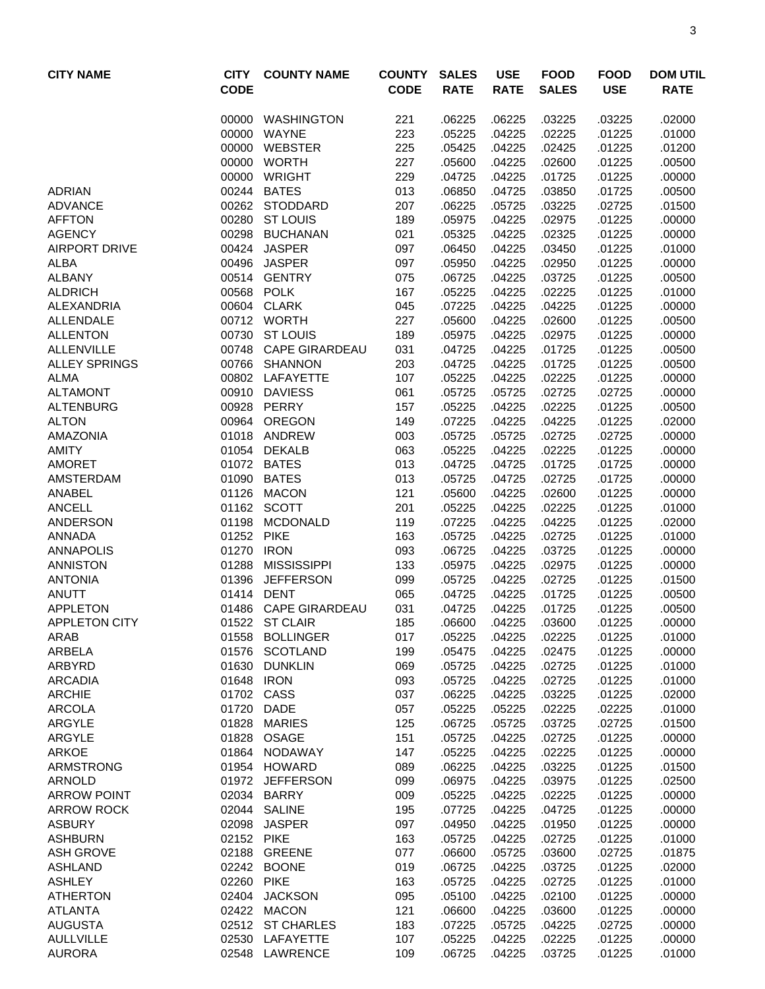| <b>CITY NAME</b>                    | <b>CITY</b><br><b>CODE</b> | <b>COUNTY NAME</b>                 | <b>COUNTY</b><br><b>CODE</b> | <b>SALES</b><br><b>RATE</b> | <b>USE</b><br><b>RATE</b> | <b>FOOD</b><br><b>SALES</b> | <b>FOOD</b><br><b>USE</b> | <b>DOM UTIL</b><br><b>RATE</b> |
|-------------------------------------|----------------------------|------------------------------------|------------------------------|-----------------------------|---------------------------|-----------------------------|---------------------------|--------------------------------|
|                                     | 00000                      | WASHINGTON                         | 221                          | .06225                      | .06225                    | .03225                      | .03225                    | .02000                         |
|                                     | 00000                      | <b>WAYNE</b>                       | 223                          | .05225                      | .04225                    | .02225                      | .01225                    | .01000                         |
|                                     | 00000                      | WEBSTER                            | 225                          | .05425                      | .04225                    | .02425                      | .01225                    | .01200                         |
|                                     | 00000                      | <b>WORTH</b>                       | 227                          | .05600                      | .04225                    | .02600                      | .01225                    | .00500                         |
|                                     |                            | 00000 WRIGHT                       | 229                          | .04725                      | .04225                    | .01725                      | .01225                    | .00000                         |
| <b>ADRIAN</b>                       |                            | 00244 BATES                        | 013                          | .06850                      | .04725                    | .03850                      | .01725                    | .00500                         |
| <b>ADVANCE</b>                      |                            | 00262 STODDARD                     | 207                          | .06225                      | .05725                    | .03225                      | .02725                    | .01500                         |
| <b>AFFTON</b>                       |                            | 00280 ST LOUIS                     | 189                          | .05975                      | .04225                    | .02975                      | .01225                    | .00000                         |
| <b>AGENCY</b>                       |                            | 00298 BUCHANAN                     | 021                          | .05325                      | .04225                    | .02325                      | .01225                    | .00000                         |
| <b>AIRPORT DRIVE</b><br><b>ALBA</b> |                            | 00424 JASPER<br>00496 JASPER       | 097<br>097                   | .06450<br>.05950            | .04225<br>.04225          | .03450<br>.02950            | .01225<br>.01225          | .01000<br>.00000               |
| <b>ALBANY</b>                       |                            | 00514 GENTRY                       | 075                          | .06725                      | .04225                    | .03725                      | .01225                    | .00500                         |
| <b>ALDRICH</b>                      |                            | 00568 POLK                         | 167                          | .05225                      | .04225                    | .02225                      | .01225                    | .01000                         |
| <b>ALEXANDRIA</b>                   | 00604                      | <b>CLARK</b>                       | 045                          | .07225                      | .04225                    | .04225                      | .01225                    | .00000                         |
| <b>ALLENDALE</b>                    |                            | 00712 WORTH                        | 227                          | .05600                      | .04225                    | .02600                      | .01225                    | .00500                         |
| <b>ALLENTON</b>                     | 00730                      | <b>ST LOUIS</b>                    | 189                          | .05975                      | .04225                    | .02975                      | .01225                    | .00000                         |
| <b>ALLENVILLE</b>                   |                            | 00748 CAPE GIRARDEAU               | 031                          | .04725                      | .04225                    | .01725                      | .01225                    | .00500                         |
| <b>ALLEY SPRINGS</b>                |                            | 00766 SHANNON                      | 203                          | .04725                      | .04225                    | .01725                      | .01225                    | .00500                         |
| <b>ALMA</b>                         |                            | 00802 LAFAYETTE                    | 107                          | .05225                      | .04225                    | .02225                      | .01225                    | .00000                         |
| <b>ALTAMONT</b>                     |                            | 00910 DAVIESS                      | 061                          | .05725                      | .05725                    | .02725                      | .02725                    | .00000                         |
| <b>ALTENBURG</b>                    |                            | 00928 PERRY                        | 157                          | .05225                      | .04225                    | .02225                      | .01225                    | .00500                         |
| <b>ALTON</b>                        |                            | 00964 OREGON                       | 149                          | .07225                      | .04225                    | .04225                      | .01225                    | .02000                         |
| <b>AMAZONIA</b>                     |                            | 01018 ANDREW                       | 003                          | .05725                      | .05725                    | .02725                      | .02725                    | .00000                         |
| <b>AMITY</b>                        |                            | 01054 DEKALB                       | 063                          | .05225                      | .04225                    | .02225                      | .01225                    | .00000                         |
| <b>AMORET</b>                       |                            | 01072 BATES                        | 013                          | .04725                      | .04725                    | .01725                      | .01725                    | .00000                         |
| <b>AMSTERDAM</b>                    |                            | 01090 BATES                        | 013                          | .05725                      | .04725                    | .02725                      | .01725                    | .00000                         |
| <b>ANABEL</b>                       | 01126                      | <b>MACON</b>                       | 121                          | .05600                      | .04225                    | .02600                      | .01225                    | .00000                         |
| <b>ANCELL</b>                       | 01162                      | <b>SCOTT</b>                       | 201                          | .05225                      | .04225                    | .02225                      | .01225                    | .01000                         |
| <b>ANDERSON</b>                     | 01198                      | <b>MCDONALD</b>                    | 119                          | .07225                      | .04225                    | .04225                      | .01225                    | .02000                         |
| <b>ANNADA</b>                       | 01252 PIKE                 |                                    | 163                          | .05725                      | .04225                    | .02725                      | .01225                    | .01000                         |
| <b>ANNAPOLIS</b>                    | 01270 IRON                 |                                    | 093                          | .06725                      | .04225                    | .03725                      | .01225                    | .00000                         |
| <b>ANNISTON</b>                     |                            | 01288 MISSISSIPPI                  | 133                          | .05975                      | .04225                    | .02975                      | .01225                    | .00000                         |
| <b>ANTONIA</b>                      |                            | 01396 JEFFERSON                    | 099                          | .05725                      | .04225                    | .02725                      | .01225                    | .01500                         |
| <b>ANUTT</b>                        |                            | 01414 DENT                         | 065                          | .04725                      | .04225                    | .01725                      | .01225                    | .00500                         |
| <b>APPLETON</b>                     |                            | 01486 CAPE GIRARDEAU               | 031                          | .04725                      | .04225                    | .01725                      | .01225                    | .00500                         |
| APPLETON CITY                       |                            | 01522 ST CLAIR                     | 185                          | .06600                      | .04225                    | .03600                      | .01225                    | .00000                         |
| ARAB<br>ARBELA                      | 01576                      | 01558 BOLLINGER<br><b>SCOTLAND</b> | 017<br>199                   | .05225                      | .04225                    | .02225                      | .01225                    | .01000<br>.00000               |
| ARBYRD                              | 01630                      | <b>DUNKLIN</b>                     | 069                          | .05475<br>.05725            | .04225<br>.04225          | .02475<br>.02725            | .01225<br>.01225          | .01000                         |
| <b>ARCADIA</b>                      |                            | 01648 IRON                         | 093                          | .05725                      | .04225                    | .02725                      | .01225                    | .01000                         |
| <b>ARCHIE</b>                       |                            | 01702 CASS                         | 037                          | .06225                      | .04225                    | .03225                      | .01225                    | .02000                         |
| <b>ARCOLA</b>                       | 01720                      | DADE                               | 057                          | .05225                      | .05225                    | .02225                      | .02225                    | .01000                         |
| ARGYLE                              | 01828                      | <b>MARIES</b>                      | 125                          | .06725                      | .05725                    | .03725                      | .02725                    | .01500                         |
| ARGYLE                              |                            | 01828 OSAGE                        | 151                          | .05725                      | .04225                    | .02725                      | .01225                    | .00000                         |
| ARKOE                               |                            | 01864 NODAWAY                      | 147                          | .05225                      | .04225                    | .02225                      | .01225                    | .00000                         |
| ARMSTRONG                           |                            | 01954 HOWARD                       | 089                          | .06225                      | .04225                    | .03225                      | .01225                    | .01500                         |
| <b>ARNOLD</b>                       |                            | 01972 JEFFERSON                    | 099                          | .06975                      | .04225                    | .03975                      | .01225                    | .02500                         |
| <b>ARROW POINT</b>                  |                            | 02034 BARRY                        | 009                          | .05225                      | .04225                    | .02225                      | .01225                    | .00000                         |
| <b>ARROW ROCK</b>                   |                            | 02044 SALINE                       | 195                          | .07725                      | .04225                    | .04725                      | .01225                    | .00000                         |
| <b>ASBURY</b>                       | 02098                      | <b>JASPER</b>                      | 097                          | .04950                      | .04225                    | .01950                      | .01225                    | .00000                         |
| <b>ASHBURN</b>                      | 02152 PIKE                 |                                    | 163                          | .05725                      | .04225                    | .02725                      | .01225                    | .01000                         |
| <b>ASH GROVE</b>                    |                            | 02188 GREENE                       | 077                          | .06600                      | .05725                    | .03600                      | .02725                    | .01875                         |
| ASHLAND                             | 02242                      | <b>BOONE</b>                       | 019                          | .06725                      | .04225                    | .03725                      | .01225                    | .02000                         |
| <b>ASHLEY</b>                       | 02260                      | <b>PIKE</b>                        | 163                          | .05725                      | .04225                    | .02725                      | .01225                    | .01000                         |
| <b>ATHERTON</b>                     | 02404                      | <b>JACKSON</b>                     | 095                          | .05100                      | .04225                    | .02100                      | .01225                    | .00000                         |
| <b>ATLANTA</b>                      |                            | 02422 MACON                        | 121                          | .06600                      | .04225                    | .03600                      | .01225                    | .00000                         |
| <b>AUGUSTA</b>                      |                            | 02512 ST CHARLES                   | 183                          | .07225                      | .05725                    | .04225                      | .02725                    | .00000                         |
| <b>AULLVILLE</b>                    |                            | 02530 LAFAYETTE                    | 107                          | .05225                      | .04225                    | .02225                      | .01225                    | .00000                         |
| <b>AURORA</b>                       |                            | 02548 LAWRENCE                     | 109                          | .06725                      | .04225                    | .03725                      | .01225                    | .01000                         |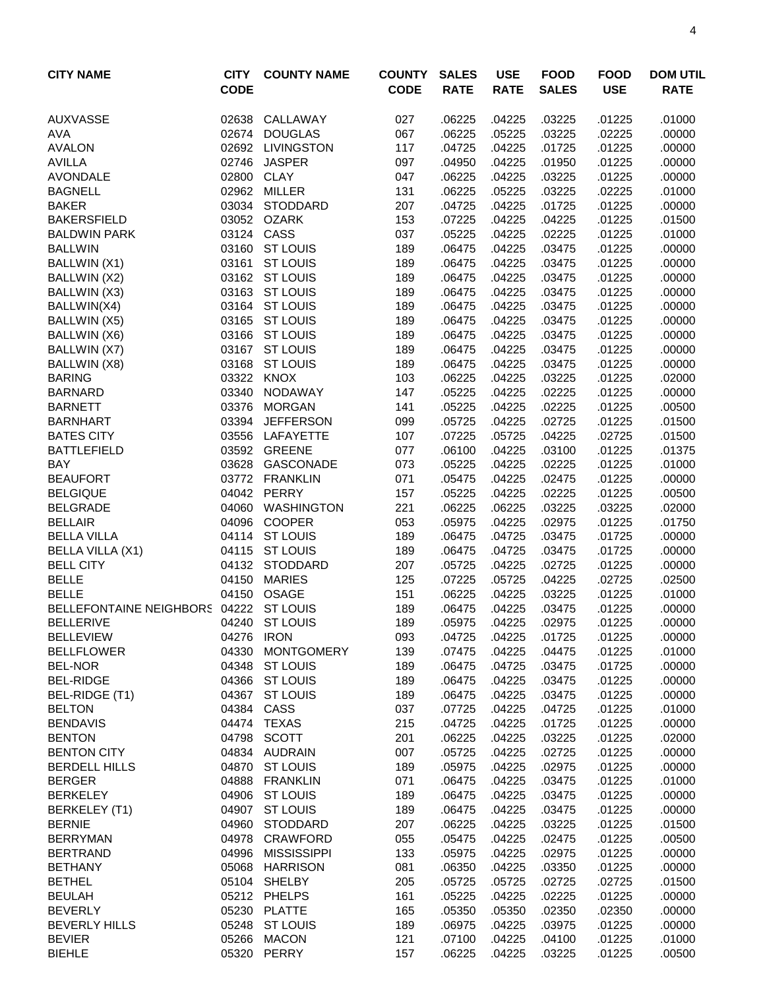| <b>CITY NAME</b>                                       | <b>CITY</b><br><b>CODE</b> | <b>COUNTY NAME</b>            | <b>COUNTY</b><br><b>CODE</b> | <b>SALES</b><br><b>RATE</b> | <b>USE</b><br><b>RATE</b> | <b>FOOD</b><br><b>SALES</b> | <b>FOOD</b><br><b>USE</b> | <b>DOM UTIL</b><br><b>RATE</b> |
|--------------------------------------------------------|----------------------------|-------------------------------|------------------------------|-----------------------------|---------------------------|-----------------------------|---------------------------|--------------------------------|
| <b>AUXVASSE</b>                                        | 02638                      | CALLAWAY                      | 027                          | .06225                      | .04225                    | .03225                      | .01225                    | .01000                         |
| <b>AVA</b>                                             | 02674                      | <b>DOUGLAS</b>                | 067                          | .06225                      | .05225                    | .03225                      | .02225                    | .00000                         |
| <b>AVALON</b>                                          |                            | 02692 LIVINGSTON              | 117                          | .04725                      | .04225                    | .01725                      | .01225                    | .00000                         |
| <b>AVILLA</b>                                          | 02746                      | <b>JASPER</b>                 | 097                          | .04950                      | .04225                    | .01950                      | .01225                    | .00000                         |
| <b>AVONDALE</b>                                        | 02800 CLAY                 |                               | 047                          | .06225                      | .04225                    | .03225                      | .01225                    | .00000                         |
| <b>BAGNELL</b>                                         |                            | 02962 MILLER                  | 131                          | .06225                      | .05225                    | .03225                      | .02225                    | .01000                         |
| <b>BAKER</b>                                           |                            | 03034 STODDARD                | 207                          | .04725                      | .04225                    | .01725                      | .01225                    | .00000                         |
| <b>BAKERSFIELD</b>                                     |                            | 03052 OZARK                   | 153                          | .07225                      | .04225                    | .04225                      | .01225                    | .01500                         |
| <b>BALDWIN PARK</b>                                    |                            | 03124 CASS                    | 037                          | .05225                      | .04225                    | .02225                      | .01225                    | .01000                         |
| <b>BALLWIN</b>                                         |                            | 03160 ST LOUIS                | 189                          | .06475                      | .04225                    | .03475                      | .01225                    | .00000                         |
| BALLWIN (X1)                                           | 03161                      | <b>ST LOUIS</b>               | 189                          | .06475                      | .04225                    | .03475                      | .01225                    | .00000                         |
| BALLWIN (X2)                                           |                            | 03162 ST LOUIS                | 189                          | .06475                      | .04225                    | .03475                      | .01225                    | .00000                         |
| BALLWIN (X3)                                           | 03163                      | <b>ST LOUIS</b>               | 189                          | .06475                      | .04225                    | .03475                      | .01225                    | .00000                         |
| BALLWIN(X4)                                            | 03164                      | <b>ST LOUIS</b>               | 189                          | .06475                      | .04225                    | .03475                      | .01225                    | .00000                         |
| BALLWIN (X5)                                           | 03165                      | <b>ST LOUIS</b>               | 189                          | .06475                      | .04225                    | .03475                      | .01225                    | .00000                         |
| BALLWIN (X6)                                           | 03166                      | <b>ST LOUIS</b>               | 189                          | .06475                      | .04225                    | .03475                      | .01225                    | .00000                         |
| BALLWIN (X7)                                           |                            | 03167 ST LOUIS                | 189                          | .06475                      | .04225                    | .03475                      | .01225                    | .00000                         |
| BALLWIN (X8)                                           | 03168                      | <b>ST LOUIS</b>               | 189                          | .06475                      | .04225                    | .03475                      | .01225                    | .00000                         |
| <b>BARING</b>                                          |                            | 03322 KNOX                    | 103                          | .06225                      | .04225                    | .03225                      | .01225                    | .02000                         |
| <b>BARNARD</b>                                         | 03340                      | NODAWAY                       | 147                          | .05225                      | .04225                    | .02225                      | .01225                    | .00000                         |
| <b>BARNETT</b>                                         | 03376                      | <b>MORGAN</b>                 | 141                          | .05225                      | .04225                    | .02225                      | .01225                    | .00500                         |
| <b>BARNHART</b>                                        | 03394                      | <b>JEFFERSON</b>              | 099                          | .05725                      | .04225                    | .02725                      | .01225                    | .01500                         |
| <b>BATES CITY</b>                                      |                            | 03556 LAFAYETTE               | 107                          | .07225                      | .05725                    | .04225                      | .02725                    | .01500                         |
| <b>BATTLEFIELD</b>                                     |                            | 03592 GREENE                  | 077                          | .06100                      | .04225                    | .03100                      | .01225                    | .01375                         |
| <b>BAY</b>                                             | 03628                      | GASCONADE                     | 073                          | .05225                      | .04225                    | .02225                      | .01225                    | .01000                         |
| <b>BEAUFORT</b>                                        | 03772                      | <b>FRANKLIN</b>               | 071                          | .05475                      | .04225                    | .02475                      | .01225                    | .00000                         |
| <b>BELGIQUE</b>                                        | 04042                      | PERRY                         | 157                          | .05225                      | .04225                    | .02225                      | .01225                    | .00500                         |
| <b>BELGRADE</b>                                        | 04060                      | <b>WASHINGTON</b>             | 221                          | .06225                      | .06225                    | .03225                      | .03225                    | .02000                         |
| <b>BELLAIR</b>                                         | 04096                      | <b>COOPER</b>                 | 053                          | .05975                      | .04225                    | .02975                      | .01225                    | .01750                         |
| <b>BELLA VILLA</b>                                     |                            | 04114 ST LOUIS                | 189                          | .06475                      | .04725                    | .03475                      | .01725                    | .00000                         |
| <b>BELLA VILLA (X1)</b>                                |                            | 04115 ST LOUIS                | 189                          | .06475                      | .04725                    | .03475                      | .01725                    | .00000                         |
| <b>BELL CITY</b>                                       |                            | 04132 STODDARD                | 207                          | .05725                      | .04225                    | .02725                      | .01225                    | .00000                         |
| <b>BELLE</b>                                           | 04150                      | <b>MARIES</b><br><b>OSAGE</b> | 125                          | .07225                      | .05725                    | .04225                      | .02725                    | .02500                         |
| <b>BELLE</b><br>BELLEFONTAINE NEIGHBORS 04222 ST LOUIS | 04150                      |                               | 151                          | .06225<br>.06475            | .04225                    | .03225                      | .01225                    | .01000                         |
| <b>BELLERIVE</b>                                       |                            | 04240 ST LOUIS                | 189                          |                             | .04225<br>.04225          | .03475<br>.02975            | .01225<br>.01225          | .00000<br>.00000               |
| <b>BELLEVIEW</b>                                       | 04276 IRON                 |                               | 189<br>093                   | .05975<br>.04725            | .04225                    | .01725                      |                           | .00000                         |
| <b>BELLFLOWER</b>                                      | 04330                      | <b>MONTGOMERY</b>             | 139                          | .07475                      | .04225                    | .04475                      | .01225<br>.01225          | .01000                         |
| <b>BEL-NOR</b>                                         | 04348                      | <b>ST LOUIS</b>               | 189                          | .06475                      | .04725                    | .03475                      | .01725                    | .00000                         |
| <b>BEL-RIDGE</b>                                       | 04366                      | <b>ST LOUIS</b>               | 189                          | .06475                      | .04225                    | .03475                      | .01225                    | .00000                         |
| BEL-RIDGE (T1)                                         | 04367                      | <b>ST LOUIS</b>               | 189                          | .06475                      | .04225                    | .03475                      | .01225                    | .00000                         |
| <b>BELTON</b>                                          | 04384                      | CASS                          | 037                          | .07725                      | .04225                    | .04725                      | .01225                    | .01000                         |
| <b>BENDAVIS</b>                                        |                            | 04474 TEXAS                   | 215                          | .04725                      | .04225                    | .01725                      | .01225                    | .00000                         |
| <b>BENTON</b>                                          | 04798                      | <b>SCOTT</b>                  | 201                          | .06225                      | .04225                    | .03225                      | .01225                    | .02000                         |
| <b>BENTON CITY</b>                                     |                            | 04834 AUDRAIN                 | 007                          | .05725                      | .04225                    | .02725                      | .01225                    | .00000                         |
| <b>BERDELL HILLS</b>                                   | 04870                      | <b>ST LOUIS</b>               | 189                          | .05975                      | .04225                    | .02975                      | .01225                    | .00000                         |
| <b>BERGER</b>                                          | 04888                      | <b>FRANKLIN</b>               | 071                          | .06475                      | .04225                    | .03475                      | .01225                    | .01000                         |
| <b>BERKELEY</b>                                        | 04906                      | <b>ST LOUIS</b>               | 189                          | .06475                      | .04225                    | .03475                      | .01225                    | .00000                         |
| BERKELEY (T1)                                          | 04907                      | <b>ST LOUIS</b>               | 189                          | .06475                      | .04225                    | .03475                      | .01225                    | .00000                         |
| <b>BERNIE</b>                                          | 04960                      | STODDARD                      | 207                          | .06225                      | .04225                    | .03225                      | .01225                    | .01500                         |
| <b>BERRYMAN</b>                                        | 04978                      | CRAWFORD                      | 055                          | .05475                      | .04225                    | .02475                      | .01225                    | .00500                         |
| <b>BERTRAND</b>                                        | 04996                      | <b>MISSISSIPPI</b>            | 133                          | .05975                      | .04225                    | .02975                      | .01225                    | .00000                         |
| <b>BETHANY</b>                                         | 05068                      | <b>HARRISON</b>               | 081                          | .06350                      | .04225                    | .03350                      | .01225                    | .00000                         |
| <b>BETHEL</b>                                          |                            | 05104 SHELBY                  | 205                          | .05725                      | .05725                    | .02725                      | .02725                    | .01500                         |
| <b>BEULAH</b>                                          |                            | 05212 PHELPS                  | 161                          | .05225                      | .04225                    | .02225                      | .01225                    | .00000                         |
| <b>BEVERLY</b>                                         |                            | 05230 PLATTE                  | 165                          | .05350                      | .05350                    | .02350                      | .02350                    | .00000                         |
| <b>BEVERLY HILLS</b>                                   |                            | 05248 ST LOUIS                | 189                          | .06975                      | .04225                    | .03975                      | .01225                    | .00000                         |
| <b>BEVIER</b>                                          |                            | 05266 MACON                   | 121                          | .07100                      | .04225                    | .04100                      | .01225                    | .01000                         |
| <b>BIEHLE</b>                                          | 05320                      | PERRY                         | 157                          | .06225                      | .04225                    | .03225                      | .01225                    | .00500                         |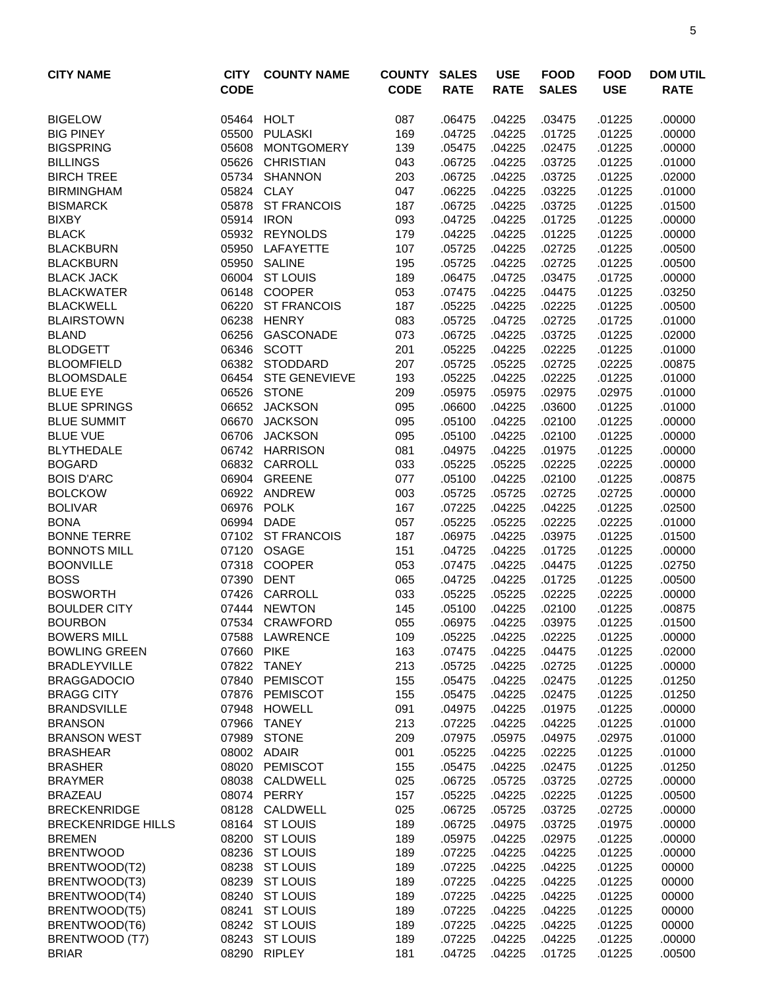| <b>CITY NAME</b>                    | <b>CITY</b><br><b>CODE</b> | <b>COUNTY NAME</b>      | <b>COUNTY</b><br><b>CODE</b> | <b>SALES</b><br><b>RATE</b> | <b>USE</b><br><b>RATE</b> | <b>FOOD</b><br><b>SALES</b> | <b>FOOD</b><br><b>USE</b> | <b>DOM UTIL</b><br><b>RATE</b> |
|-------------------------------------|----------------------------|-------------------------|------------------------------|-----------------------------|---------------------------|-----------------------------|---------------------------|--------------------------------|
| <b>BIGELOW</b>                      |                            | 05464 HOLT              | 087                          | .06475                      | .04225                    | .03475                      | .01225                    | .00000                         |
| <b>BIG PINEY</b>                    | 05500                      | <b>PULASKI</b>          | 169                          | .04725                      | .04225                    | .01725                      | .01225                    | .00000                         |
| <b>BIGSPRING</b>                    | 05608                      | <b>MONTGOMERY</b>       | 139                          | .05475                      | .04225                    | .02475                      | .01225                    | .00000                         |
| <b>BILLINGS</b>                     | 05626                      | <b>CHRISTIAN</b>        | 043                          | .06725                      | .04225                    | .03725                      | .01225                    | .01000                         |
| <b>BIRCH TREE</b>                   | 05734                      | <b>SHANNON</b>          | 203                          | .06725                      | .04225                    | .03725                      | .01225                    | .02000                         |
| <b>BIRMINGHAM</b>                   | 05824 CLAY                 |                         | 047                          | .06225                      | .04225                    | .03225                      | .01225                    | .01000                         |
| <b>BISMARCK</b>                     | 05878                      | <b>ST FRANCOIS</b>      | 187                          | .06725                      | .04225                    | .03725                      | .01225                    | .01500                         |
| <b>BIXBY</b>                        | 05914 IRON                 |                         | 093                          | .04725                      | .04225                    | .01725                      | .01225                    | .00000                         |
| <b>BLACK</b>                        |                            | 05932 REYNOLDS          | 179                          | .04225                      | .04225                    | .01225                      | .01225                    | .00000                         |
| <b>BLACKBURN</b>                    | 05950                      | LAFAYETTE               | 107                          | .05725                      | .04225                    | .02725                      | .01225                    | .00500                         |
| <b>BLACKBURN</b>                    |                            | 05950 SALINE            | 195                          | .05725                      | .04225                    | .02725                      | .01225                    | .00500                         |
| <b>BLACK JACK</b>                   | 06004                      | <b>ST LOUIS</b>         | 189                          | .06475                      | .04725                    | .03475                      | .01725                    | .00000                         |
| <b>BLACKWATER</b>                   | 06148                      | <b>COOPER</b>           | 053                          | .07475                      | .04225                    | .04475                      | .01225                    | .03250                         |
| <b>BLACKWELL</b>                    | 06220                      | <b>ST FRANCOIS</b>      | 187                          | .05225                      | .04225                    | .02225                      | .01225                    | .00500                         |
| <b>BLAIRSTOWN</b>                   | 06238                      | <b>HENRY</b>            | 083                          | .05725                      | .04725                    | .02725                      | .01725                    | .01000                         |
| <b>BLAND</b>                        | 06256                      | <b>GASCONADE</b>        | 073                          | .06725                      | .04225                    | .03725                      | .01225                    | .02000                         |
| <b>BLODGETT</b>                     | 06346                      | <b>SCOTT</b>            | 201                          | .05225                      | .04225                    | .02225                      | .01225                    | .01000                         |
| <b>BLOOMFIELD</b>                   | 06382                      | <b>STODDARD</b>         | 207                          | .05725                      | .05225                    | .02725                      | .02225                    | .00875                         |
| <b>BLOOMSDALE</b>                   | 06454                      | <b>STE GENEVIEVE</b>    | 193                          | .05225                      | .04225                    | .02225                      | .01225                    | .01000                         |
| <b>BLUE EYE</b>                     |                            | 06526 STONE             | 209                          | .05975                      | .05975                    | .02975                      | .02975                    | .01000                         |
| <b>BLUE SPRINGS</b>                 | 06652                      | <b>JACKSON</b>          | 095                          | .06600                      | .04225                    | .03600                      | .01225                    | .01000                         |
| <b>BLUE SUMMIT</b>                  | 06670                      | <b>JACKSON</b>          | 095                          | .05100                      | .04225                    | .02100                      | .01225                    | .00000                         |
| <b>BLUE VUE</b>                     | 06706                      | <b>JACKSON</b>          | 095                          | .05100                      | .04225                    | .02100                      | .01225                    | .00000                         |
| <b>BLYTHEDALE</b>                   |                            | 06742 HARRISON          | 081                          | .04975                      | .04225                    | .01975                      | .01225                    | .00000                         |
| <b>BOGARD</b>                       | 06832                      | CARROLL<br>06904 GREENE | 033                          | .05225                      | .05225                    | .02225<br>.02100            | .02225                    | .00000                         |
| <b>BOIS D'ARC</b><br><b>BOLCKOW</b> | 06922                      | ANDREW                  | 077<br>003                   | .05100<br>.05725            | .04225<br>.05725          | .02725                      | .01225<br>.02725          | .00875<br>.00000               |
| <b>BOLIVAR</b>                      | 06976                      | <b>POLK</b>             | 167                          | .07225                      | .04225                    | .04225                      | .01225                    | .02500                         |
| <b>BONA</b>                         | 06994                      | <b>DADE</b>             | 057                          | .05225                      | .05225                    | .02225                      | .02225                    | .01000                         |
| <b>BONNE TERRE</b>                  |                            | 07102 ST FRANCOIS       | 187                          | .06975                      | .04225                    | .03975                      | .01225                    | .01500                         |
| <b>BONNOTS MILL</b>                 | 07120                      | <b>OSAGE</b>            | 151                          | .04725                      | .04225                    | .01725                      | .01225                    | .00000                         |
| <b>BOONVILLE</b>                    | 07318                      | <b>COOPER</b>           | 053                          | .07475                      | .04225                    | .04475                      | .01225                    | .02750                         |
| <b>BOSS</b>                         | 07390 DENT                 |                         | 065                          | .04725                      | .04225                    | .01725                      | .01225                    | .00500                         |
| <b>BOSWORTH</b>                     | 07426                      | CARROLL                 | 033                          | .05225                      | .05225                    | .02225                      | .02225                    | .00000                         |
| <b>BOULDER CITY</b>                 | 07444                      | <b>NEWTON</b>           | 145                          | .05100                      | .04225                    | .02100                      | .01225                    | .00875                         |
| <b>BOURBON</b>                      |                            | 07534 CRAWFORD          | 055                          | .06975                      | .04225                    | .03975                      | .01225                    | .01500                         |
| <b>BOWERS MILL</b>                  |                            | 07588 LAWRENCE          | 109                          | .05225                      | .04225                    | .02225                      | .01225                    | .00000                         |
| <b>BOWLING GREEN</b>                | 07660 PIKE                 |                         | 163                          | .07475                      | .04225                    | .04475                      | .01225                    | .02000                         |
| <b>BRADLEYVILLE</b>                 | 07822                      | TANEY                   | 213                          | .05725                      | .04225                    | .02725                      | .01225                    | .00000                         |
| <b>BRAGGADOCIO</b>                  | 07840                      | PEMISCOT                | 155                          | .05475                      | .04225                    | .02475                      | .01225                    | .01250                         |
| <b>BRAGG CITY</b>                   | 07876                      | PEMISCOT                | 155                          | .05475                      | .04225                    | .02475                      | .01225                    | .01250                         |
| <b>BRANDSVILLE</b>                  |                            | 07948 HOWELL            | 091                          | .04975                      | .04225                    | .01975                      | .01225                    | .00000                         |
| <b>BRANSON</b>                      | 07966                      | <b>TANEY</b>            | 213                          | .07225                      | .04225                    | .04225                      | .01225                    | .01000                         |
| <b>BRANSON WEST</b>                 | 07989                      | <b>STONE</b>            | 209                          | .07975                      | .05975                    | .04975                      | .02975                    | .01000                         |
| <b>BRASHEAR</b>                     |                            | 08002 ADAIR             | 001                          | .05225                      | .04225                    | .02225                      | .01225                    | .01000                         |
| <b>BRASHER</b>                      |                            | 08020 PEMISCOT          | 155                          | .05475                      | .04225                    | .02475                      | .01225                    | .01250                         |
| <b>BRAYMER</b>                      |                            | 08038 CALDWELL          | 025                          | .06725                      | .05725                    | .03725                      | .02725                    | .00000                         |
| <b>BRAZEAU</b>                      |                            | 08074 PERRY             | 157                          | .05225                      | .04225                    | .02225                      | .01225                    | .00500                         |
| <b>BRECKENRIDGE</b>                 |                            | 08128 CALDWELL          | 025                          | .06725                      | .05725                    | .03725                      | .02725                    | .00000                         |
| <b>BRECKENRIDGE HILLS</b>           |                            | 08164 ST LOUIS          | 189                          | .06725                      | .04975                    | .03725                      | .01975                    | .00000                         |
| <b>BREMEN</b>                       |                            | 08200 ST LOUIS          | 189                          | .05975                      | .04225                    | .02975                      | .01225                    | .00000                         |
| <b>BRENTWOOD</b>                    | 08236                      | <b>ST LOUIS</b>         | 189                          | .07225                      | .04225                    | .04225                      | .01225                    | .00000                         |
| BRENTWOOD(T2)                       | 08238                      | <b>ST LOUIS</b>         | 189                          | .07225                      | .04225                    | .04225                      | .01225                    | 00000                          |
| BRENTWOOD(T3)                       | 08239                      | <b>ST LOUIS</b>         | 189                          | .07225                      | .04225                    | .04225                      | .01225                    | 00000                          |
| BRENTWOOD(T4)                       |                            | 08240 ST LOUIS          | 189                          | .07225                      | .04225                    | .04225                      | .01225                    | 00000                          |
| BRENTWOOD(T5)                       | 08241                      | <b>ST LOUIS</b>         | 189                          | .07225                      | .04225                    | .04225                      | .01225                    | 00000                          |
| BRENTWOOD(T6)                       |                            | 08242 ST LOUIS          | 189                          | .07225                      | .04225                    | .04225                      | .01225                    | 00000                          |
| BRENTWOOD (T7)                      |                            | 08243 ST LOUIS          | 189                          | .07225                      | .04225                    | .04225                      | .01225                    | .00000                         |
| <b>BRIAR</b>                        |                            | 08290 RIPLEY            | 181                          | .04725                      | .04225                    | .01725                      | .01225                    | .00500                         |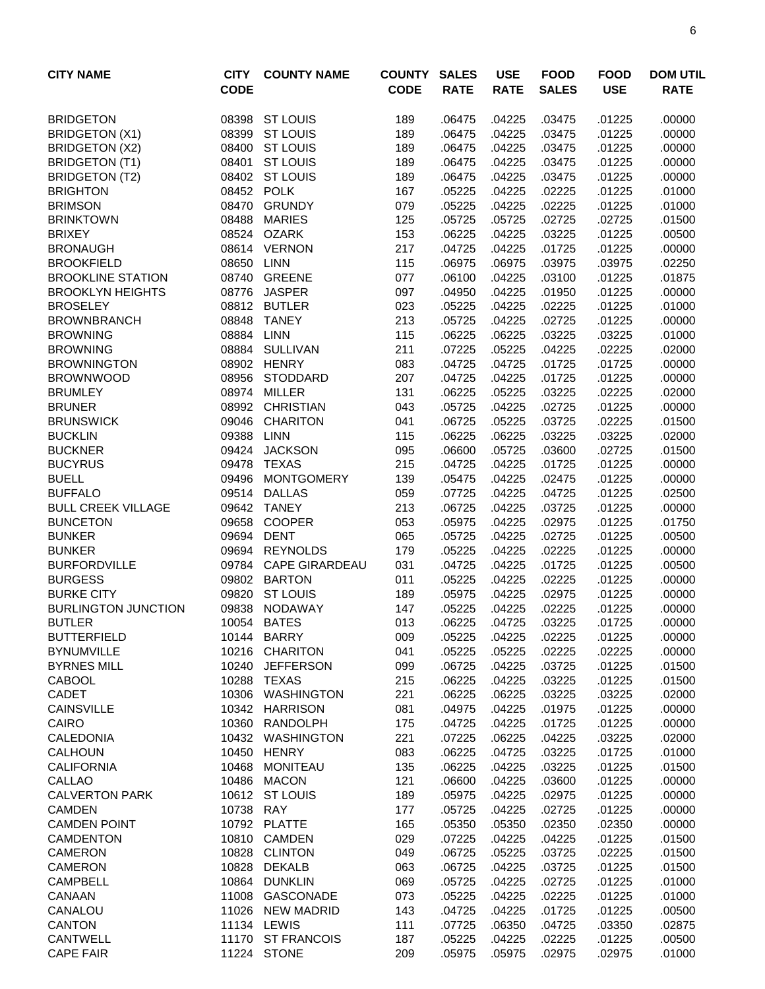| <b>CITY NAME</b>                 | <b>CITY</b>    | <b>COUNTY NAME</b>            | <b>COUNTY</b> | <b>SALES</b>     | <b>USE</b>       | <b>FOOD</b>      | <b>FOOD</b>      | <b>DOM UTIL</b>  |
|----------------------------------|----------------|-------------------------------|---------------|------------------|------------------|------------------|------------------|------------------|
|                                  | <b>CODE</b>    |                               | <b>CODE</b>   | <b>RATE</b>      | <b>RATE</b>      | <b>SALES</b>     | <b>USE</b>       | <b>RATE</b>      |
| <b>BRIDGETON</b>                 | 08398          | <b>ST LOUIS</b>               | 189           | .06475           | .04225           | .03475           | .01225           | .00000           |
| <b>BRIDGETON (X1)</b>            | 08399          | <b>ST LOUIS</b>               | 189           | .06475           | .04225           | .03475           | .01225           | .00000           |
| <b>BRIDGETON (X2)</b>            | 08400          | <b>ST LOUIS</b>               | 189           | .06475           | .04225           | .03475           | .01225           | .00000           |
| <b>BRIDGETON (T1)</b>            | 08401          | <b>ST LOUIS</b>               | 189           | .06475           | .04225           | .03475           | .01225           | .00000           |
| <b>BRIDGETON (T2)</b>            |                | 08402 ST LOUIS                | 189           | .06475           | .04225           | .03475           | .01225           | .00000           |
| <b>BRIGHTON</b>                  | 08452          | <b>POLK</b>                   | 167           | .05225           | .04225           | .02225           | .01225           | .01000           |
| <b>BRIMSON</b>                   | 08470          | <b>GRUNDY</b>                 | 079           | .05225           | .04225           | .02225           | .01225           | .01000           |
| <b>BRINKTOWN</b>                 | 08488          | <b>MARIES</b>                 | 125           | .05725           | .05725           | .02725           | .02725           | .01500           |
| <b>BRIXEY</b>                    | 08524          | <b>OZARK</b>                  | 153           | .06225           | .04225           | .03225           | .01225           | .00500           |
| <b>BRONAUGH</b>                  |                | 08614 VERNON                  | 217           | .04725           | .04225           | .01725           | .01225           | .00000           |
| <b>BROOKFIELD</b>                | 08650          | <b>LINN</b>                   | 115           | .06975           | .06975           | .03975           | .03975           | .02250           |
| <b>BROOKLINE STATION</b>         | 08740          | <b>GREENE</b>                 | 077           | .06100           | .04225           | .03100           | .01225           | .01875           |
| <b>BROOKLYN HEIGHTS</b>          | 08776          | <b>JASPER</b>                 | 097           | .04950           | .04225           | .01950           | .01225           | .00000           |
| <b>BROSELEY</b>                  | 08812          | <b>BUTLER</b>                 | 023           | .05225           | .04225           | .02225           | .01225           | .01000           |
| <b>BROWNBRANCH</b>               | 08848          | <b>TANEY</b>                  | 213           | .05725           | .04225           | .02725           | .01225           | .00000           |
| <b>BROWNING</b>                  | 08884          | <b>LINN</b>                   | 115           | .06225           | .06225           | .03225           | .03225           | .01000           |
| <b>BROWNING</b>                  | 08884          | <b>SULLIVAN</b>               | 211           | .07225           | .05225           | .04225           | .02225           | .02000           |
| <b>BROWNINGTON</b>               | 08902          | <b>HENRY</b>                  | 083           | .04725           | .04725           | .01725           | .01725           | .00000           |
| <b>BROWNWOOD</b>                 | 08956          | <b>STODDARD</b>               | 207           | .04725           | .04225           | .01725           | .01225           | .00000           |
| <b>BRUMLEY</b>                   | 08974          | <b>MILLER</b>                 | 131           | .06225           | .05225           | .03225           | .02225           | .02000           |
| <b>BRUNER</b>                    | 08992<br>09046 | <b>CHRISTIAN</b>              | 043           | .05725           | .04225           | .02725<br>.03725 | .01225           | .00000           |
| <b>BRUNSWICK</b>                 |                | <b>CHARITON</b>               | 041           | .06725           | .05225           |                  | .02225           | .01500           |
| <b>BUCKLIN</b><br><b>BUCKNER</b> | 09388<br>09424 | <b>LINN</b><br><b>JACKSON</b> | 115<br>095    | .06225<br>.06600 | .06225<br>.05725 | .03225<br>.03600 | .03225<br>.02725 | .02000<br>.01500 |
| <b>BUCYRUS</b>                   | 09478          | <b>TEXAS</b>                  | 215           | .04725           | .04225           | .01725           | .01225           | .00000           |
| <b>BUELL</b>                     | 09496          | <b>MONTGOMERY</b>             | 139           | .05475           | .04225           | .02475           | .01225           | .00000           |
| <b>BUFFALO</b>                   | 09514          | <b>DALLAS</b>                 | 059           | .07725           | .04225           | .04725           | .01225           | .02500           |
| <b>BULL CREEK VILLAGE</b>        | 09642          | <b>TANEY</b>                  | 213           | .06725           | .04225           | .03725           | .01225           | .00000           |
| <b>BUNCETON</b>                  | 09658          | <b>COOPER</b>                 | 053           | .05975           | .04225           | .02975           | .01225           | .01750           |
| <b>BUNKER</b>                    | 09694          | <b>DENT</b>                   | 065           | .05725           | .04225           | .02725           | .01225           | .00500           |
| <b>BUNKER</b>                    | 09694          | <b>REYNOLDS</b>               | 179           | .05225           | .04225           | .02225           | .01225           | .00000           |
| <b>BURFORDVILLE</b>              | 09784          | <b>CAPE GIRARDEAU</b>         | 031           | .04725           | .04225           | .01725           | .01225           | .00500           |
| <b>BURGESS</b>                   | 09802          | <b>BARTON</b>                 | 011           | .05225           | .04225           | .02225           | .01225           | .00000           |
| <b>BURKE CITY</b>                | 09820          | <b>ST LOUIS</b>               | 189           | .05975           | .04225           | .02975           | .01225           | .00000           |
| <b>BURLINGTON JUNCTION</b>       | 09838          | <b>NODAWAY</b>                | 147           | .05225           | .04225           | .02225           | .01225           | .00000           |
| <b>BUTLER</b>                    |                | 10054 BATES                   | 013           | .06225           | .04725           | .03225           | .01725           | .00000           |
| <b>BUTTERFIELD</b>               |                | 10144 BARRY                   | 009           | .05225           | .04225           | .02225           | .01225           | .00000           |
| <b>BYNUMVILLE</b>                | 10216          | <b>CHARITON</b>               | 041           | .05225           | .05225           | .02225           | .02225           | .00000           |
| <b>BYRNES MILL</b>               | 10240          | <b>JEFFERSON</b>              | 099           | .06725           | .04225           | .03725           | .01225           | .01500           |
| <b>CABOOL</b>                    | 10288          | TEXAS                         | 215           | .06225           | .04225           | .03225           | .01225           | .01500           |
| CADET                            | 10306          | WASHINGTON                    | 221           | .06225           | .06225           | .03225           | .03225           | .02000           |
| <b>CAINSVILLE</b>                |                | 10342 HARRISON                | 081           | .04975           | .04225           | .01975           | .01225           | .00000           |
| CAIRO                            |                | 10360 RANDOLPH                | 175           | .04725           | .04225           | .01725           | .01225           | .00000           |
| CALEDONIA                        |                | 10432 WASHINGTON              | 221           | .07225           | .06225           | .04225           | .03225           | .02000           |
| <b>CALHOUN</b>                   | 10450          | <b>HENRY</b>                  | 083           | .06225           | .04725           | .03225           | .01725           | .01000           |
| <b>CALIFORNIA</b>                | 10468          | <b>MONITEAU</b>               | 135           | .06225           | .04225           | .03225           | .01225           | .01500           |
| CALLAO                           | 10486          | <b>MACON</b>                  | 121           | .06600           | .04225           | .03600           | .01225           | .00000           |
| <b>CALVERTON PARK</b>            |                | 10612 ST LOUIS                | 189           | .05975           | .04225           | .02975           | .01225           | .00000           |
| <b>CAMDEN</b>                    | 10738          | RAY                           | 177           | .05725           | .04225           | .02725           | .01225           | .00000           |
| <b>CAMDEN POINT</b>              |                | 10792 PLATTE                  | 165           | .05350           | .05350           | .02350           | .02350           | .00000           |
| <b>CAMDENTON</b>                 | 10810          | CAMDEN                        | 029           | .07225           | .04225           | .04225           | .01225           | .01500           |
| <b>CAMERON</b>                   | 10828          | <b>CLINTON</b>                | 049           | .06725           | .05225           | .03725           | .02225           | .01500           |
| CAMERON                          | 10828          | <b>DEKALB</b>                 | 063           | .06725           | .04225           | .03725           | .01225           | .01500           |
| <b>CAMPBELL</b>                  |                | 10864 DUNKLIN                 | 069           | .05725           | .04225           | .02725           | .01225           | .01000           |
| CANAAN                           | 11008          | GASCONADE<br>11026 NEW MADRID | 073<br>143    | .05225           | .04225           | .02225<br>.01725 | .01225           | .01000           |
| CANALOU<br><b>CANTON</b>         |                | 11134 LEWIS                   | 111           | .04725<br>.07725 | .04225<br>.06350 | .04725           | .01225<br>.03350 | .00500<br>.02875 |
| <b>CANTWELL</b>                  |                | 11170 ST FRANCOIS             | 187           | .05225           | .04225           | .02225           | .01225           | .00500           |
| <b>CAPE FAIR</b>                 |                | 11224 STONE                   | 209           | .05975           | .05975           | .02975           | .02975           | .01000           |
|                                  |                |                               |               |                  |                  |                  |                  |                  |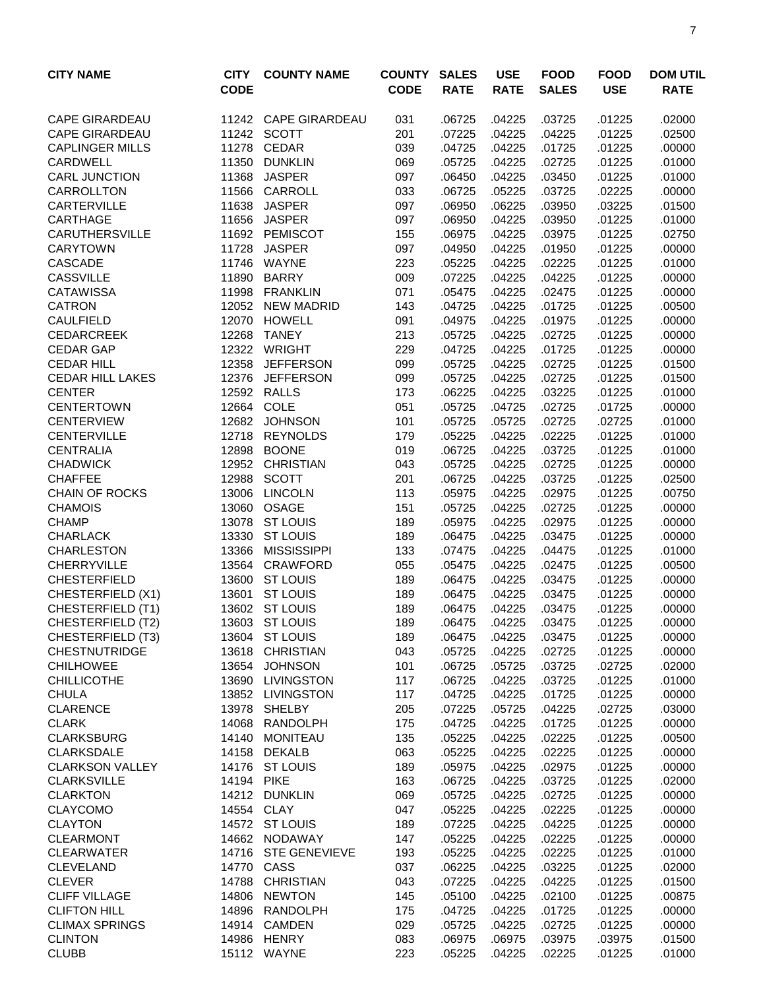| <b>CITY NAME</b>                        | <b>CITY</b><br><b>CODE</b> | <b>COUNTY NAME</b>               | <b>COUNTY</b><br><b>CODE</b> | <b>SALES</b><br><b>RATE</b> | <b>USE</b><br><b>RATE</b> | <b>FOOD</b><br><b>SALES</b> | <b>FOOD</b><br><b>USE</b> | <b>DOM UTIL</b><br><b>RATE</b> |
|-----------------------------------------|----------------------------|----------------------------------|------------------------------|-----------------------------|---------------------------|-----------------------------|---------------------------|--------------------------------|
| <b>CAPE GIRARDEAU</b>                   |                            | 11242 CAPE GIRARDEAU             | 031                          | .06725                      | .04225                    | .03725                      | .01225                    | .02000                         |
| <b>CAPE GIRARDEAU</b>                   |                            | 11242 SCOTT                      | 201                          | .07225                      | .04225                    | .04225                      | .01225                    | .02500                         |
| <b>CAPLINGER MILLS</b>                  | 11278                      | <b>CEDAR</b>                     | 039                          | .04725                      | .04225                    | .01725                      | .01225                    | .00000                         |
| CARDWELL                                | 11350                      | <b>DUNKLIN</b>                   | 069                          | .05725                      | .04225                    | .02725                      | .01225                    | .01000                         |
| <b>CARL JUNCTION</b>                    | 11368                      | <b>JASPER</b>                    | 097                          | .06450                      | .04225                    | .03450                      | .01225                    | .01000                         |
| <b>CARROLLTON</b>                       | 11566                      | CARROLL                          | 033                          | .06725                      | .05225                    | .03725                      | .02225                    | .00000                         |
| <b>CARTERVILLE</b>                      | 11638                      | <b>JASPER</b>                    | 097                          | .06950                      | .06225                    | .03950                      | .03225                    | .01500                         |
| <b>CARTHAGE</b>                         | 11656                      | <b>JASPER</b>                    | 097                          | .06950                      | .04225                    | .03950                      | .01225                    | .01000                         |
| <b>CARUTHERSVILLE</b>                   |                            | 11692 PEMISCOT                   | 155                          | .06975                      | .04225                    | .03975                      | .01225                    | .02750                         |
| <b>CARYTOWN</b>                         | 11728                      | <b>JASPER</b>                    | 097                          | .04950                      | .04225                    | .01950                      | .01225                    | .00000                         |
| <b>CASCADE</b>                          | 11746                      | WAYNE                            | 223                          | .05225                      | .04225                    | .02225                      | .01225                    | .01000                         |
| <b>CASSVILLE</b>                        | 11890                      | <b>BARRY</b>                     | 009                          | .07225                      | .04225                    | .04225                      | .01225                    | .00000                         |
| <b>CATAWISSA</b>                        | 11998                      | <b>FRANKLIN</b>                  | 071                          | .05475                      | .04225                    | .02475                      | .01225                    | .00000                         |
| <b>CATRON</b>                           | 12052                      | <b>NEW MADRID</b>                | 143                          | .04725                      | .04225                    | .01725                      | .01225                    | .00500                         |
| <b>CAULFIELD</b>                        | 12070                      | <b>HOWELL</b>                    | 091                          | .04975                      | .04225                    | .01975                      | .01225                    | .00000                         |
| <b>CEDARCREEK</b>                       | 12268                      | <b>TANEY</b>                     | 213                          | .05725                      | .04225                    | .02725                      | .01225                    | .00000                         |
| <b>CEDAR GAP</b>                        | 12322                      | <b>WRIGHT</b>                    | 229                          | .04725                      | .04225                    | .01725                      | .01225                    | .00000                         |
| <b>CEDAR HILL</b>                       | 12358                      | <b>JEFFERSON</b>                 | 099                          | .05725                      | .04225                    | .02725                      | .01225                    | .01500                         |
| <b>CEDAR HILL LAKES</b>                 | 12376                      | <b>JEFFERSON</b>                 | 099                          | .05725                      | .04225                    | .02725                      | .01225                    | .01500                         |
| <b>CENTER</b>                           |                            | 12592 RALLS                      | 173                          | .06225                      | .04225                    | .03225                      | .01225                    | .01000                         |
| <b>CENTERTOWN</b>                       | 12664                      | COLE                             | 051                          | .05725                      | .04725                    | .02725                      | .01725                    | .00000                         |
| <b>CENTERVIEW</b>                       | 12682                      | <b>JOHNSON</b>                   | 101                          | .05725                      | .05725                    | .02725                      | .02725                    | .01000                         |
| <b>CENTERVILLE</b>                      | 12718                      | <b>REYNOLDS</b>                  | 179                          | .05225                      | .04225                    | .02225                      | .01225                    | .01000                         |
| <b>CENTRALIA</b>                        | 12898                      | <b>BOONE</b>                     | 019                          | .06725                      | .04225                    | .03725<br>.02725            | .01225                    | .01000                         |
| <b>CHADWICK</b>                         | 12952                      | <b>CHRISTIAN</b><br><b>SCOTT</b> | 043                          | .05725                      | .04225                    |                             | .01225                    | .00000                         |
| <b>CHAFFEE</b><br><b>CHAIN OF ROCKS</b> | 12988<br>13006             | <b>LINCOLN</b>                   | 201<br>113                   | .06725<br>.05975            | .04225<br>.04225          | .03725<br>.02975            | .01225<br>.01225          | .02500<br>.00750               |
| <b>CHAMOIS</b>                          | 13060                      | <b>OSAGE</b>                     | 151                          | .05725                      | .04225                    | .02725                      | .01225                    | .00000                         |
| <b>CHAMP</b>                            | 13078                      | <b>ST LOUIS</b>                  | 189                          | .05975                      | .04225                    | .02975                      | .01225                    | .00000                         |
| <b>CHARLACK</b>                         | 13330                      | <b>ST LOUIS</b>                  | 189                          | .06475                      | .04225                    | .03475                      | .01225                    | .00000                         |
| <b>CHARLESTON</b>                       | 13366                      | <b>MISSISSIPPI</b>               | 133                          | .07475                      | .04225                    | .04475                      | .01225                    | .01000                         |
| <b>CHERRYVILLE</b>                      |                            | 13564 CRAWFORD                   | 055                          | .05475                      | .04225                    | .02475                      | .01225                    | .00500                         |
| <b>CHESTERFIELD</b>                     | 13600                      | <b>ST LOUIS</b>                  | 189                          | .06475                      | .04225                    | .03475                      | .01225                    | .00000                         |
| CHESTERFIELD (X1)                       | 13601                      | <b>ST LOUIS</b>                  | 189                          | .06475                      | .04225                    | .03475                      | .01225                    | .00000                         |
| <b>CHESTERFIELD (T1)</b>                |                            | 13602 ST LOUIS                   | 189                          | .06475                      | .04225                    | .03475                      | .01225                    | .00000                         |
| CHESTERFIELD (T2)                       |                            | 13603 ST LOUIS                   | 189                          | .06475                      | .04225                    | .03475                      | .01225                    | .00000                         |
| CHESTERFIELD (T3)                       |                            | 13604 ST LOUIS                   | 189                          | .06475                      | .04225                    | .03475                      | .01225                    | .00000                         |
| <b>CHESTNUTRIDGE</b>                    |                            | 13618 CHRISTIAN                  | 043                          | .05725                      | .04225                    | .02725                      | .01225                    | .00000                         |
| <b>CHILHOWEE</b>                        | 13654                      | <b>JOHNSON</b>                   | 101                          | .06725                      | .05725                    | .03725                      | .02725                    | .02000                         |
| <b>CHILLICOTHE</b>                      | 13690                      | <b>LIVINGSTON</b>                | 117                          | .06725                      | .04225                    | .03725                      | .01225                    | .01000                         |
| <b>CHULA</b>                            |                            | 13852 LIVINGSTON                 | 117                          | .04725                      | .04225                    | .01725                      | .01225                    | .00000                         |
| <b>CLARENCE</b>                         | 13978                      | SHELBY                           | 205                          | .07225                      | .05725                    | .04225                      | .02725                    | .03000                         |
| <b>CLARK</b>                            | 14068                      | RANDOLPH                         | 175                          | .04725                      | .04225                    | .01725                      | .01225                    | .00000                         |
| <b>CLARKSBURG</b>                       |                            | 14140 MONITEAU                   | 135                          | .05225                      | .04225                    | .02225                      | .01225                    | .00500                         |
| <b>CLARKSDALE</b>                       |                            | 14158 DEKALB                     | 063                          | .05225                      | .04225                    | .02225                      | .01225                    | .00000                         |
| <b>CLARKSON VALLEY</b>                  |                            | 14176 ST LOUIS                   | 189                          | .05975                      | .04225                    | .02975                      | .01225                    | .00000                         |
| <b>CLARKSVILLE</b>                      | 14194 PIKE                 |                                  | 163                          | .06725                      | .04225                    | .03725                      | .01225                    | .02000                         |
| <b>CLARKTON</b>                         |                            | 14212 DUNKLIN                    | 069                          | .05725                      | .04225                    | .02725                      | .01225                    | .00000                         |
| <b>CLAYCOMO</b>                         |                            | 14554 CLAY                       | 047                          | .05225                      | .04225                    | .02225                      | .01225                    | .00000                         |
| <b>CLAYTON</b>                          |                            | 14572 ST LOUIS                   | 189                          | .07225                      | .04225                    | .04225                      | .01225                    | .00000                         |
| <b>CLEARMONT</b>                        |                            | 14662 NODAWAY                    | 147                          | .05225                      | .04225                    | .02225                      | .01225                    | .00000                         |
| <b>CLEARWATER</b>                       |                            | 14716 STE GENEVIEVE              | 193                          | .05225                      | .04225                    | .02225                      | .01225                    | .01000                         |
| <b>CLEVELAND</b>                        | 14770                      | CASS                             | 037                          | .06225                      | .04225                    | .03225                      | .01225                    | .02000                         |
| <b>CLEVER</b>                           | 14788                      | <b>CHRISTIAN</b>                 | 043                          | .07225                      | .04225                    | .04225                      | .01225                    | .01500                         |
| <b>CLIFF VILLAGE</b>                    | 14806                      | <b>NEWTON</b>                    | 145                          | .05100                      | .04225                    | .02100                      | .01225                    | .00875                         |
| <b>CLIFTON HILL</b>                     |                            | 14896 RANDOLPH                   | 175                          | .04725                      | .04225                    | .01725                      | .01225                    | .00000                         |
| <b>CLIMAX SPRINGS</b><br><b>CLINTON</b> |                            | 14914 CAMDEN<br>14986 HENRY      | 029<br>083                   | .05725                      | .04225<br>.06975          | .02725<br>.03975            | .01225                    | .00000                         |
| <b>CLUBB</b>                            |                            | 15112 WAYNE                      | 223                          | .06975<br>.05225            | .04225                    | .02225                      | .03975<br>.01225          | .01500<br>.01000               |
|                                         |                            |                                  |                              |                             |                           |                             |                           |                                |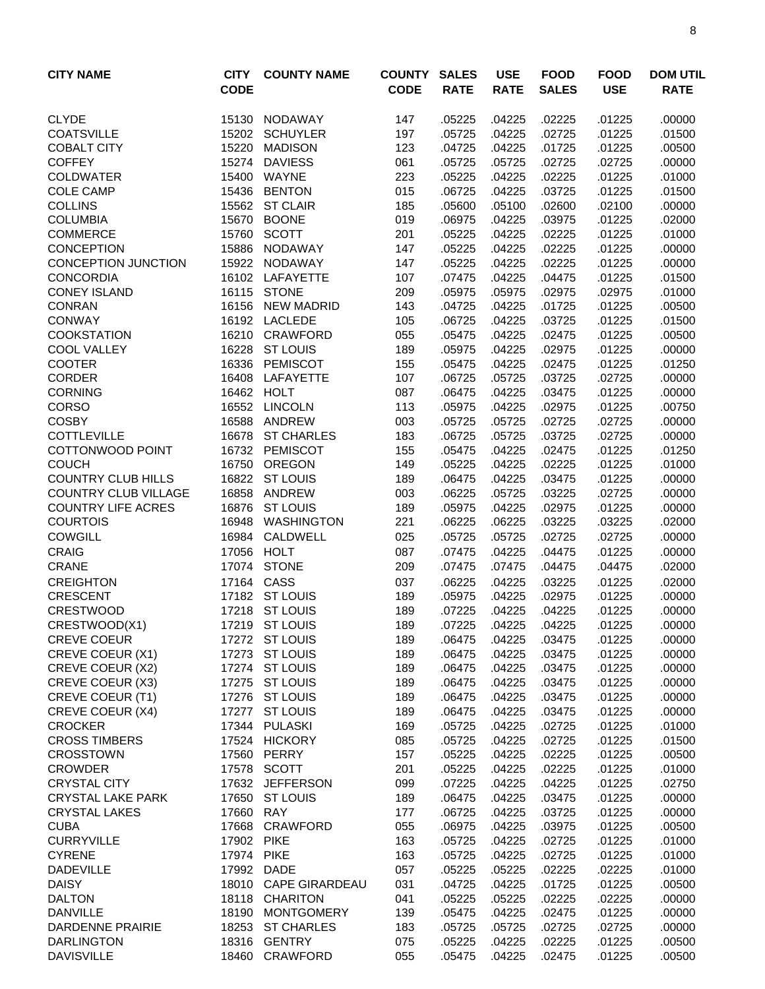| <b>CITY NAME</b>                                 | <b>CITY</b><br><b>CODE</b> | <b>COUNTY NAME</b>         | <b>COUNTY</b><br><b>CODE</b> | <b>SALES</b><br><b>RATE</b> | <b>USE</b><br><b>RATE</b> | <b>FOOD</b><br><b>SALES</b> | <b>FOOD</b><br><b>USE</b> | <b>DOM UTIL</b><br><b>RATE</b> |
|--------------------------------------------------|----------------------------|----------------------------|------------------------------|-----------------------------|---------------------------|-----------------------------|---------------------------|--------------------------------|
| <b>CLYDE</b>                                     | 15130                      | NODAWAY                    | 147                          | .05225                      | .04225                    | .02225                      | .01225                    | .00000                         |
| <b>COATSVILLE</b>                                | 15202                      | <b>SCHUYLER</b>            | 197                          | .05725                      | .04225                    | .02725                      | .01225                    | .01500                         |
| <b>COBALT CITY</b>                               | 15220                      | <b>MADISON</b>             | 123                          | .04725                      | .04225                    | .01725                      | .01225                    | .00500                         |
| <b>COFFEY</b>                                    | 15274                      | <b>DAVIESS</b>             | 061                          | .05725                      | .05725                    | .02725                      | .02725                    | .00000                         |
| <b>COLDWATER</b>                                 | 15400                      | WAYNE                      | 223                          | .05225                      | .04225                    | .02225                      | .01225                    | .01000                         |
| <b>COLE CAMP</b>                                 | 15436                      | <b>BENTON</b>              | 015                          | .06725                      | .04225                    | .03725                      | .01225                    | .01500                         |
| <b>COLLINS</b>                                   |                            | 15562 ST CLAIR             | 185                          | .05600                      | .05100                    | .02600                      | .02100                    | .00000                         |
| <b>COLUMBIA</b>                                  | 15670                      | <b>BOONE</b>               | 019                          | .06975                      | .04225                    | .03975                      | .01225                    | .02000                         |
| <b>COMMERCE</b>                                  | 15760                      | <b>SCOTT</b>               | 201                          | .05225                      | .04225                    | .02225                      | .01225                    | .01000                         |
| <b>CONCEPTION</b>                                | 15886                      | <b>NODAWAY</b>             | 147                          | .05225                      | .04225                    | .02225                      | .01225                    | .00000                         |
| <b>CONCEPTION JUNCTION</b>                       | 15922                      | NODAWAY                    | 147                          | .05225                      | .04225                    | .02225                      | .01225                    | .00000                         |
| <b>CONCORDIA</b>                                 |                            | 16102 LAFAYETTE            | 107                          | .07475                      | .04225                    | .04475                      | .01225                    | .01500                         |
| <b>CONEY ISLAND</b>                              | 16115                      | <b>STONE</b>               | 209                          | .05975                      | .05975                    | .02975                      | .02975                    | .01000                         |
| <b>CONRAN</b>                                    | 16156                      | <b>NEW MADRID</b>          | 143                          | .04725                      | .04225                    | .01725                      | .01225                    | .00500                         |
| <b>CONWAY</b>                                    | 16192                      | <b>LACLEDE</b>             | 105                          | .06725                      | .04225                    | .03725                      | .01225                    | .01500                         |
| <b>COOKSTATION</b>                               | 16210                      | CRAWFORD                   | 055                          | .05475                      | .04225                    | .02475                      | .01225                    | .00500                         |
| <b>COOL VALLEY</b>                               | 16228                      | <b>ST LOUIS</b>            | 189                          | .05975                      | .04225                    | .02975                      | .01225                    | .00000                         |
| <b>COOTER</b>                                    | 16336                      | PEMISCOT                   | 155                          | .05475                      | .04225                    | .02475                      | .01225                    | .01250                         |
| <b>CORDER</b>                                    | 16408                      | LAFAYETTE                  | 107                          | .06725                      | .05725                    | .03725                      | .02725                    | .00000                         |
| <b>CORNING</b>                                   | 16462                      | <b>HOLT</b>                | 087                          | .06475                      | .04225                    | .03475                      | .01225                    | .00000                         |
| <b>CORSO</b>                                     | 16552                      | <b>LINCOLN</b>             | 113                          | .05975                      | .04225                    | .02975                      | .01225                    | .00750                         |
| <b>COSBY</b>                                     | 16588                      | ANDREW                     | 003                          | .05725                      | .05725                    | .02725                      | .02725                    | .00000                         |
| <b>COTTLEVILLE</b>                               | 16678                      | <b>ST CHARLES</b>          | 183                          | .06725                      | .05725                    | .03725                      | .02725                    | .00000                         |
| COTTONWOOD POINT                                 |                            | 16732 PEMISCOT             | 155                          | .05475                      | .04225                    | .02475                      | .01225                    | .01250                         |
| <b>COUCH</b>                                     | 16750                      | <b>OREGON</b>              | 149                          | .05225                      | .04225                    | .02225                      | .01225                    | .01000                         |
| <b>COUNTRY CLUB HILLS</b>                        | 16822                      | <b>ST LOUIS</b>            | 189                          | .06475                      | .04225                    | .03475                      | .01225                    | .00000                         |
| <b>COUNTRY CLUB VILLAGE</b>                      | 16858                      | ANDREW                     | 003                          | .06225                      | .05725                    | .03225                      | .02725                    | .00000                         |
| <b>COUNTRY LIFE ACRES</b>                        | 16876                      | <b>ST LOUIS</b>            | 189                          | .05975                      | .04225                    | .02975                      | .01225                    | .00000                         |
| <b>COURTOIS</b>                                  | 16948                      | WASHINGTON                 | 221                          | .06225                      | .06225                    | .03225                      | .03225                    | .02000                         |
| <b>COWGILL</b>                                   | 16984                      | CALDWELL                   | 025                          | .05725                      | .05725                    | .02725                      | .02725                    | .00000                         |
| <b>CRAIG</b>                                     | 17056                      | <b>HOLT</b>                | 087                          | .07475                      | .04225                    | .04475                      | .01225                    | .00000                         |
| <b>CRANE</b>                                     | 17074                      | <b>STONE</b>               | 209                          | .07475                      | .07475                    | .04475                      | .04475                    | .02000                         |
| <b>CREIGHTON</b>                                 | 17164                      | CASS                       | 037                          | .06225                      | .04225                    | .03225                      | .01225                    | .02000                         |
| <b>CRESCENT</b>                                  |                            | 17182 ST LOUIS             | 189                          | .05975                      | .04225                    | .02975                      | .01225                    | .00000                         |
| <b>CRESTWOOD</b>                                 |                            | 17218 ST LOUIS             | 189                          | .07225                      | .04225                    | .04225                      | .01225                    | .00000                         |
| CRESTWOOD(X1)                                    |                            | 17219 ST LOUIS             | 189                          | .07225                      | .04225                    | .04225                      | .01225                    | .00000                         |
| <b>CREVE COEUR</b>                               |                            | 17272 ST LOUIS             | 189                          | .06475                      | .04225                    | .03475                      | .01225                    | .00000                         |
| CREVE COEUR (X1)                                 |                            | 17273 ST LOUIS             | 189                          | .06475                      | .04225                    | .03475                      | .01225                    | .00000                         |
| CREVE COEUR (X2)                                 |                            | 17274 ST LOUIS             | 189                          | .06475                      | .04225                    | .03475                      | .01225                    | .00000                         |
| CREVE COEUR (X3)                                 |                            | 17275 ST LOUIS             | 189                          | .06475                      | .04225                    | .03475                      | .01225                    | .00000                         |
| CREVE COEUR (T1)                                 |                            | 17276 ST LOUIS             | 189                          | .06475                      | .04225                    | .03475                      | .01225                    | .00000                         |
| CREVE COEUR (X4)                                 |                            | 17277 ST LOUIS             | 189                          | .06475                      | .04225                    | .03475                      | .01225                    | .00000                         |
| <b>CROCKER</b>                                   |                            | 17344 PULASKI              | 169                          | .05725                      | .04225                    | .02725                      | .01225                    | .01000                         |
| <b>CROSS TIMBERS</b>                             |                            | 17524 HICKORY              | 085                          | .05725                      | .04225                    | .02725                      | .01225                    | .01500                         |
| <b>CROSSTOWN</b>                                 |                            | 17560 PERRY<br>17578 SCOTT | 157                          | .05225                      | .04225                    | .02225                      | .01225                    | .00500                         |
| <b>CROWDER</b>                                   |                            | 17632 JEFFERSON            | 201                          | .05225<br>.07225            | .04225<br>.04225          | .02225                      | .01225                    | .01000                         |
| <b>CRYSTAL CITY</b>                              |                            |                            | 099                          |                             |                           | .04225                      | .01225                    | .02750                         |
| <b>CRYSTAL LAKE PARK</b><br><b>CRYSTAL LAKES</b> | 17660                      | 17650 ST LOUIS<br>RAY      | 189<br>177                   | .06475                      | .04225                    | .03475<br>.03725            | .01225                    | .00000<br>.00000               |
| <b>CUBA</b>                                      | 17668                      | CRAWFORD                   | 055                          | .06725<br>.06975            | .04225<br>.04225          | .03975                      | .01225<br>.01225          | .00500                         |
| <b>CURRYVILLE</b>                                | 17902 PIKE                 |                            | 163                          | .05725                      | .04225                    | .02725                      | .01225                    | .01000                         |
| <b>CYRENE</b>                                    | 17974 PIKE                 |                            |                              |                             |                           |                             |                           |                                |
| <b>DADEVILLE</b>                                 |                            | 17992 DADE                 | 163<br>057                   | .05725<br>.05225            | .04225<br>.05225          | .02725<br>.02225            | .01225<br>.02225          | .01000<br>.01000               |
| <b>DAISY</b>                                     |                            | 18010 CAPE GIRARDEAU       | 031                          | .04725                      | .04225                    | .01725                      | .01225                    | .00500                         |
| <b>DALTON</b>                                    |                            | 18118 CHARITON             | 041                          | .05225                      | .05225                    | .02225                      | .02225                    | .00000                         |
| <b>DANVILLE</b>                                  | 18190                      | <b>MONTGOMERY</b>          | 139                          | .05475                      | .04225                    | .02475                      | .01225                    | .00000                         |
| <b>DARDENNE PRAIRIE</b>                          |                            | 18253 ST CHARLES           | 183                          | .05725                      | .05725                    | .02725                      | .02725                    | .00000                         |
| <b>DARLINGTON</b>                                |                            | 18316 GENTRY               | 075                          | .05225                      | .04225                    | .02225                      | .01225                    | .00500                         |
| <b>DAVISVILLE</b>                                |                            | 18460 CRAWFORD             | 055                          | .05475                      | .04225                    | .02475                      | .01225                    | .00500                         |
|                                                  |                            |                            |                              |                             |                           |                             |                           |                                |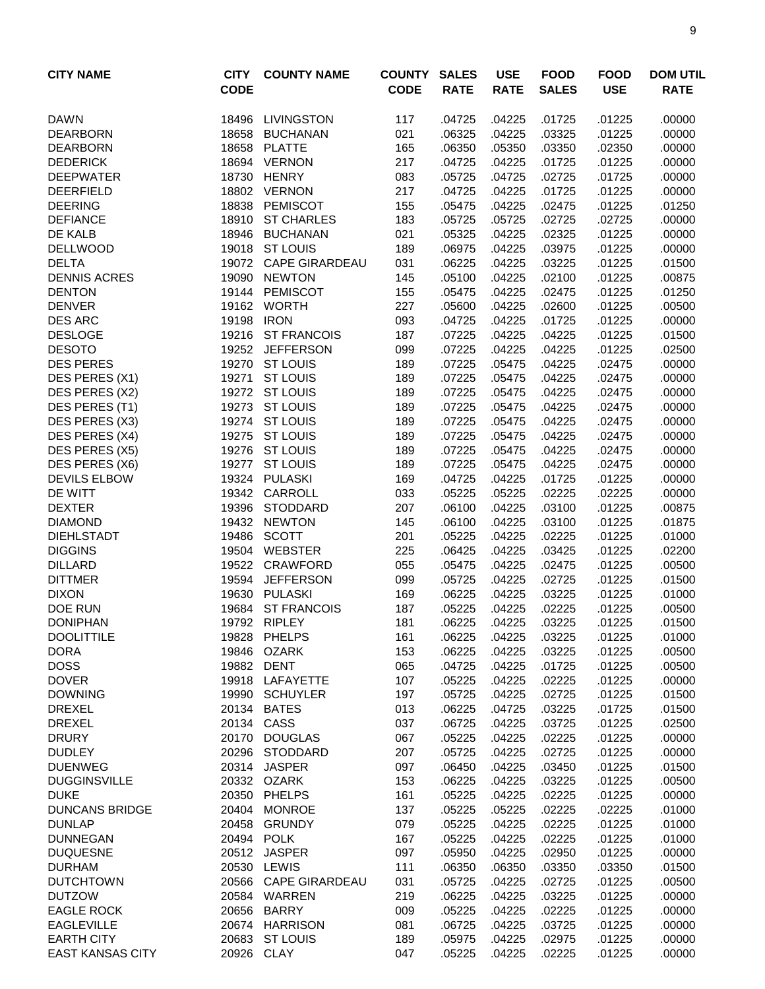| <b>CITY NAME</b>                 | <b>CITY</b><br><b>CODE</b> | <b>COUNTY NAME</b>               | <b>COUNTY</b><br><b>CODE</b> | <b>SALES</b><br><b>RATE</b> | <b>USE</b><br><b>RATE</b> | <b>FOOD</b><br><b>SALES</b> | <b>FOOD</b><br><b>USE</b> | <b>DOM UTIL</b><br><b>RATE</b> |
|----------------------------------|----------------------------|----------------------------------|------------------------------|-----------------------------|---------------------------|-----------------------------|---------------------------|--------------------------------|
| <b>DAWN</b>                      | 18496                      | <b>LIVINGSTON</b>                | 117                          | .04725                      | .04225                    | .01725                      | .01225                    | .00000                         |
| <b>DEARBORN</b>                  | 18658                      | <b>BUCHANAN</b>                  | 021                          | .06325                      | .04225                    | .03325                      | .01225                    | .00000                         |
| <b>DEARBORN</b>                  | 18658                      | <b>PLATTE</b>                    | 165                          | .06350                      | .05350                    | .03350                      | .02350                    | .00000                         |
| <b>DEDERICK</b>                  | 18694                      | <b>VERNON</b>                    | 217                          | .04725                      | .04225                    | .01725                      | .01225                    | .00000                         |
| <b>DEEPWATER</b>                 | 18730                      | <b>HENRY</b>                     | 083                          | .05725                      | .04725                    | .02725                      | .01725                    | .00000                         |
| <b>DEERFIELD</b>                 |                            | 18802 VERNON                     | 217                          | .04725                      | .04225                    | .01725                      | .01225                    | .00000                         |
| <b>DEERING</b>                   | 18838                      | PEMISCOT                         | 155                          | .05475                      | .04225                    | .02475                      | .01225                    | .01250                         |
| <b>DEFIANCE</b>                  | 18910                      | <b>ST CHARLES</b>                | 183                          | .05725                      | .05725                    | .02725                      | .02725                    | .00000                         |
| DE KALB                          | 18946                      | <b>BUCHANAN</b>                  | 021                          | .05325                      | .04225                    | .02325                      | .01225                    | .00000                         |
| <b>DELLWOOD</b>                  |                            | 19018 ST LOUIS                   | 189                          | .06975                      | .04225                    | .03975                      | .01225                    | .00000                         |
| <b>DELTA</b>                     |                            | 19072 CAPE GIRARDEAU             | 031                          | .06225                      | .04225                    | .03225                      | .01225                    | .01500                         |
| <b>DENNIS ACRES</b>              | 19090                      | <b>NEWTON</b>                    | 145                          | .05100                      | .04225                    | .02100                      | .01225                    | .00875                         |
| <b>DENTON</b>                    | 19144                      | <b>PEMISCOT</b>                  | 155                          | .05475                      | .04225                    | .02475                      | .01225                    | .01250                         |
| <b>DENVER</b>                    |                            | 19162 WORTH                      | 227                          | .05600                      | .04225                    | .02600                      | .01225                    | .00500                         |
| <b>DES ARC</b>                   | 19198                      | <b>IRON</b>                      | 093                          | .04725                      | .04225                    | .01725                      | .01225                    | .00000                         |
| <b>DESLOGE</b>                   | 19216                      | <b>ST FRANCOIS</b>               | 187                          | .07225                      | .04225                    | .04225                      | .01225                    | .01500                         |
| <b>DESOTO</b>                    |                            | 19252 JEFFERSON                  | 099                          | .07225                      | .04225                    | .04225                      | .01225                    | .02500                         |
| <b>DES PERES</b>                 | 19270                      | <b>ST LOUIS</b>                  | 189                          | .07225                      | .05475                    | .04225                      | .02475                    | .00000                         |
| DES PERES (X1)                   | 19271                      | <b>ST LOUIS</b>                  | 189                          | .07225                      | .05475                    | .04225                      | .02475                    | .00000                         |
| DES PERES (X2)                   |                            | 19272 ST LOUIS                   | 189                          | .07225                      | .05475                    | .04225                      | .02475                    | .00000                         |
| DES PERES (T1)                   |                            | 19273 ST LOUIS<br>19274 ST LOUIS | 189                          | .07225<br>.07225            | .05475                    | .04225<br>.04225            | .02475                    | .00000<br>.00000               |
| DES PERES (X3)<br>DES PERES (X4) |                            | 19275 ST LOUIS                   | 189<br>189                   | .07225                      | .05475<br>.05475          | .04225                      | .02475<br>.02475          | .00000                         |
| DES PERES (X5)                   |                            | 19276 ST LOUIS                   | 189                          | .07225                      | .05475                    | .04225                      | .02475                    | .00000                         |
| DES PERES (X6)                   | 19277                      | <b>ST LOUIS</b>                  | 189                          | .07225                      | .05475                    | .04225                      | .02475                    | .00000                         |
| <b>DEVILS ELBOW</b>              | 19324                      | <b>PULASKI</b>                   | 169                          | .04725                      | .04225                    | .01725                      | .01225                    | .00000                         |
| DE WITT                          | 19342                      | CARROLL                          | 033                          | .05225                      | .05225                    | .02225                      | .02225                    | .00000                         |
| <b>DEXTER</b>                    | 19396                      | <b>STODDARD</b>                  | 207                          | .06100                      | .04225                    | .03100                      | .01225                    | .00875                         |
| <b>DIAMOND</b>                   | 19432                      | <b>NEWTON</b>                    | 145                          | .06100                      | .04225                    | .03100                      | .01225                    | .01875                         |
| <b>DIEHLSTADT</b>                | 19486                      | <b>SCOTT</b>                     | 201                          | .05225                      | .04225                    | .02225                      | .01225                    | .01000                         |
| <b>DIGGINS</b>                   |                            | 19504 WEBSTER                    | 225                          | .06425                      | .04225                    | .03425                      | .01225                    | .02200                         |
| <b>DILLARD</b>                   |                            | 19522 CRAWFORD                   | 055                          | .05475                      | .04225                    | .02475                      | .01225                    | .00500                         |
| <b>DITTMER</b>                   |                            | 19594 JEFFERSON                  | 099                          | .05725                      | .04225                    | .02725                      | .01225                    | .01500                         |
| <b>DIXON</b>                     | 19630                      | PULASKI                          | 169                          | .06225                      | .04225                    | .03225                      | .01225                    | .01000                         |
| DOE RUN                          | 19684                      | <b>ST FRANCOIS</b>               | 187                          | .05225                      | .04225                    | .02225                      | .01225                    | .00500                         |
| <b>DONIPHAN</b>                  |                            | 19792 RIPLEY                     | 181                          | .06225                      | .04225                    | .03225                      | .01225                    | .01500                         |
| <b>DOOLITTILE</b>                |                            | 19828 PHELPS                     | 161                          | .06225                      | .04225                    | .03225                      | .01225                    | .01000                         |
| <b>DORA</b>                      | 19846                      | <b>OZARK</b>                     | 153                          | .06225                      | .04225                    | .03225                      | .01225                    | .00500                         |
| <b>DOSS</b>                      | 19882                      | DENT                             | 065                          | .04725                      | .04225                    | .01725                      | .01225                    | .00500                         |
| <b>DOVER</b>                     | 19918                      | LAFAYETTE                        | 107                          | .05225                      | .04225                    | .02225                      | .01225                    | .00000                         |
| <b>DOWNING</b>                   | 19990                      | <b>SCHUYLER</b>                  | 197                          | .05725                      | .04225                    | .02725                      | .01225                    | .01500                         |
| <b>DREXEL</b>                    | 20134                      | <b>BATES</b><br>20134 CASS       | 013                          | .06225                      | .04725                    | .03225                      | .01725                    | .01500                         |
| <b>DREXEL</b>                    | 20170                      | <b>DOUGLAS</b>                   | 037                          | .06725                      | .04225                    | .03725<br>.02225            | .01225<br>.01225          | .02500                         |
| <b>DRURY</b><br><b>DUDLEY</b>    |                            | 20296 STODDARD                   | 067<br>207                   | .05225<br>.05725            | .04225<br>.04225          | .02725                      | .01225                    | .00000                         |
| <b>DUENWEG</b>                   |                            | 20314 JASPER                     | 097                          | .06450                      | .04225                    | .03450                      | .01225                    | .00000<br>.01500               |
| <b>DUGGINSVILLE</b>              |                            | 20332 OZARK                      | 153                          | .06225                      | .04225                    | .03225                      | .01225                    | .00500                         |
| <b>DUKE</b>                      | 20350                      | PHELPS                           | 161                          | .05225                      | .04225                    | .02225                      | .01225                    | .00000                         |
| <b>DUNCANS BRIDGE</b>            |                            | 20404 MONROE                     | 137                          | .05225                      | .05225                    | .02225                      | .02225                    | .01000                         |
| <b>DUNLAP</b>                    | 20458                      | GRUNDY                           | 079                          | .05225                      | .04225                    | .02225                      | .01225                    | .01000                         |
| <b>DUNNEGAN</b>                  |                            | 20494 POLK                       | 167                          | .05225                      | .04225                    | .02225                      | .01225                    | .01000                         |
| <b>DUQUESNE</b>                  | 20512                      | <b>JASPER</b>                    | 097                          | .05950                      | .04225                    | .02950                      | .01225                    | .00000                         |
| <b>DURHAM</b>                    | 20530                      | LEWIS                            | 111                          | .06350                      | .06350                    | .03350                      | .03350                    | .01500                         |
| <b>DUTCHTOWN</b>                 | 20566                      | <b>CAPE GIRARDEAU</b>            | 031                          | .05725                      | .04225                    | .02725                      | .01225                    | .00500                         |
| <b>DUTZOW</b>                    |                            | 20584 WARREN                     | 219                          | .06225                      | .04225                    | .03225                      | .01225                    | .00000                         |
| <b>EAGLE ROCK</b>                |                            | 20656 BARRY                      | 009                          | .05225                      | .04225                    | .02225                      | .01225                    | .00000                         |
| <b>EAGLEVILLE</b>                |                            | 20674 HARRISON                   | 081                          | .06725                      | .04225                    | .03725                      | .01225                    | .00000                         |
| <b>EARTH CITY</b>                |                            | 20683 ST LOUIS                   | 189                          | .05975                      | .04225                    | .02975                      | .01225                    | .00000                         |
| <b>EAST KANSAS CITY</b>          | 20926 CLAY                 |                                  | 047                          | .05225                      | .04225                    | .02225                      | .01225                    | .00000                         |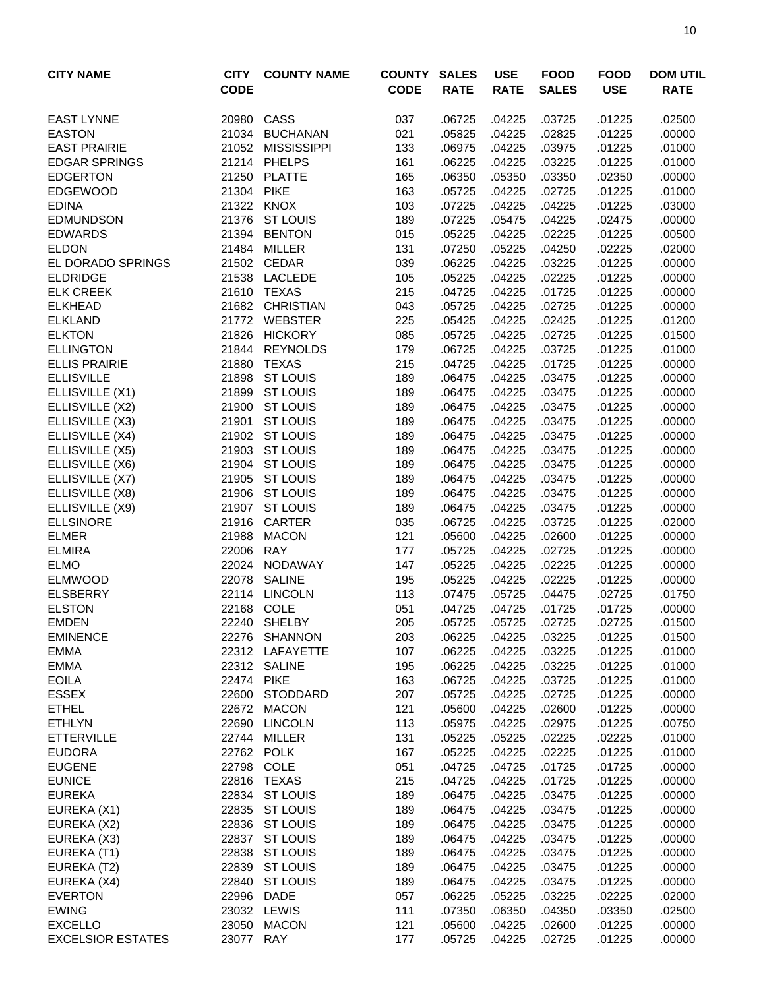| <b>CITY NAME</b>                 | <b>CITY</b><br><b>CODE</b> | <b>COUNTY NAME</b>        | <b>COUNTY</b><br><b>CODE</b> | <b>SALES</b><br><b>RATE</b> | <b>USE</b><br><b>RATE</b> | <b>FOOD</b><br><b>SALES</b> | <b>FOOD</b><br><b>USE</b> | <b>DOM UTIL</b><br><b>RATE</b> |
|----------------------------------|----------------------------|---------------------------|------------------------------|-----------------------------|---------------------------|-----------------------------|---------------------------|--------------------------------|
| <b>EAST LYNNE</b>                | 20980                      | CASS                      | 037                          | .06725                      | .04225                    | .03725                      | .01225                    | .02500                         |
| <b>EASTON</b>                    | 21034                      | <b>BUCHANAN</b>           | 021                          | .05825                      | .04225                    | .02825                      | .01225                    | .00000                         |
| <b>EAST PRAIRIE</b>              | 21052                      | <b>MISSISSIPPI</b>        | 133                          | .06975                      | .04225                    | .03975                      | .01225                    | .01000                         |
| <b>EDGAR SPRINGS</b>             |                            | 21214 PHELPS              | 161                          | .06225                      | .04225                    | .03225                      | .01225                    | .01000                         |
| <b>EDGERTON</b>                  | 21250                      | <b>PLATTE</b>             | 165                          | .06350                      | .05350                    | .03350                      | .02350                    | .00000                         |
| <b>EDGEWOOD</b>                  | 21304 PIKE                 |                           | 163                          | .05725                      | .04225                    | .02725                      | .01225                    | .01000                         |
| <b>EDINA</b>                     |                            | 21322 KNOX                | 103                          | .07225                      | .04225                    | .04225                      | .01225                    | .03000                         |
| <b>EDMUNDSON</b>                 |                            | 21376 ST LOUIS            | 189                          | .07225                      | .05475                    | .04225                      | .02475                    | .00000                         |
| <b>EDWARDS</b>                   | 21394                      | <b>BENTON</b>             | 015                          | .05225                      | .04225                    | .02225                      | .01225                    | .00500                         |
| <b>ELDON</b>                     |                            | 21484 MILLER              | 131                          | .07250                      | .05225                    | .04250                      | .02225                    | .02000                         |
| EL DORADO SPRINGS                |                            | 21502 CEDAR               | 039                          | .06225                      | .04225                    | .03225                      | .01225                    | .00000                         |
| <b>ELDRIDGE</b>                  | 21538                      | <b>LACLEDE</b>            | 105                          | .05225                      | .04225                    | .02225                      | .01225                    | .00000                         |
| <b>ELK CREEK</b>                 | 21610<br>21682             | TEXAS<br><b>CHRISTIAN</b> | 215                          | .04725                      | .04225                    | .01725                      | .01225                    | .00000                         |
| <b>ELKHEAD</b><br><b>ELKLAND</b> | 21772                      | <b>WEBSTER</b>            | 043<br>225                   | .05725<br>.05425            | .04225<br>.04225          | .02725<br>.02425            | .01225<br>.01225          | .00000<br>.01200               |
| <b>ELKTON</b>                    | 21826                      | <b>HICKORY</b>            | 085                          | .05725                      | .04225                    | .02725                      | .01225                    | .01500                         |
| <b>ELLINGTON</b>                 | 21844                      | <b>REYNOLDS</b>           | 179                          | .06725                      | .04225                    | .03725                      | .01225                    | .01000                         |
| <b>ELLIS PRAIRIE</b>             | 21880                      | <b>TEXAS</b>              | 215                          | .04725                      | .04225                    | .01725                      | .01225                    | .00000                         |
| <b>ELLISVILLE</b>                | 21898                      | <b>ST LOUIS</b>           | 189                          | .06475                      | .04225                    | .03475                      | .01225                    | .00000                         |
| ELLISVILLE (X1)                  |                            | 21899 ST LOUIS            | 189                          | .06475                      | .04225                    | .03475                      | .01225                    | .00000                         |
| ELLISVILLE (X2)                  | 21900                      | <b>ST LOUIS</b>           | 189                          | .06475                      | .04225                    | .03475                      | .01225                    | .00000                         |
| ELLISVILLE (X3)                  | 21901                      | <b>ST LOUIS</b>           | 189                          | .06475                      | .04225                    | .03475                      | .01225                    | .00000                         |
| ELLISVILLE (X4)                  |                            | 21902 ST LOUIS            | 189                          | .06475                      | .04225                    | .03475                      | .01225                    | .00000                         |
| ELLISVILLE (X5)                  |                            | 21903 ST LOUIS            | 189                          | .06475                      | .04225                    | .03475                      | .01225                    | .00000                         |
| ELLISVILLE (X6)                  | 21904                      | <b>ST LOUIS</b>           | 189                          | .06475                      | .04225                    | .03475                      | .01225                    | .00000                         |
| ELLISVILLE (X7)                  | 21905                      | <b>ST LOUIS</b>           | 189                          | .06475                      | .04225                    | .03475                      | .01225                    | .00000                         |
| ELLISVILLE (X8)                  | 21906                      | <b>ST LOUIS</b>           | 189                          | .06475                      | .04225                    | .03475                      | .01225                    | .00000                         |
| ELLISVILLE (X9)                  | 21907                      | <b>ST LOUIS</b>           | 189                          | .06475                      | .04225                    | .03475                      | .01225                    | .00000                         |
| <b>ELLSINORE</b>                 | 21916                      | CARTER                    | 035                          | .06725                      | .04225                    | .03725                      | .01225                    | .02000                         |
| <b>ELMER</b>                     | 21988                      | <b>MACON</b>              | 121                          | .05600                      | .04225                    | .02600                      | .01225                    | .00000                         |
| <b>ELMIRA</b>                    | 22006                      | <b>RAY</b>                | 177                          | .05725                      | .04225                    | .02725                      | .01225                    | .00000                         |
| <b>ELMO</b>                      | 22024                      | NODAWAY                   | 147                          | .05225                      | .04225                    | .02225                      | .01225                    | .00000                         |
| <b>ELMWOOD</b>                   | 22078                      | <b>SALINE</b>             | 195                          | .05225                      | .04225                    | .02225                      | .01225                    | .00000                         |
| <b>ELSBERRY</b>                  |                            | 22114 LINCOLN             | 113                          | .07475                      | .05725                    | .04475                      | .02725                    | .01750                         |
| <b>ELSTON</b>                    | 22168                      | COLE                      | 051                          | .04725                      | .04725                    | .01725                      | .01725                    | .00000                         |
| <b>EMDEN</b>                     |                            | 22240 SHELBY              | 205                          | .05725                      | .05725                    | .02725                      | .02725                    | .01500                         |
| <b>EMINENCE</b>                  |                            | 22276 SHANNON             | 203                          | .06225                      | .04225                    | .03225                      | .01225                    | .01500                         |
| <b>EMMA</b>                      |                            | 22312 LAFAYETTE           | 107                          | .06225                      | .04225                    | .03225                      | .01225                    | .01000                         |
| <b>EMMA</b>                      |                            | 22312 SALINE              | 195                          | .06225                      | .04225                    | .03225                      | .01225                    | .01000                         |
| <b>EOILA</b>                     | 22474 PIKE                 |                           | 163                          | .06725                      | .04225                    | .03725                      | .01225                    | .01000                         |
| <b>ESSEX</b>                     | 22600                      | <b>STODDARD</b>           | 207                          | .05725                      | .04225                    | .02725                      | .01225                    | .00000                         |
| <b>ETHEL</b>                     |                            | 22672 MACON               | 121                          | .05600                      | .04225                    | .02600                      | .01225                    | .00000                         |
| <b>ETHLYN</b>                    |                            | 22690 LINCOLN             | 113                          | .05975                      | .04225                    | .02975                      | .01225                    | .00750                         |
| <b>ETTERVILLE</b>                |                            | 22744 MILLER              | 131                          | .05225                      | .05225                    | .02225                      | .02225                    | .01000                         |
| <b>EUDORA</b>                    |                            | 22762 POLK                | 167                          | .05225                      | .04225                    | .02225                      | .01225                    | .01000                         |
| <b>EUGENE</b>                    | 22798                      | COLE                      | 051                          | .04725                      | .04725                    | .01725                      | .01725                    | .00000                         |
| <b>EUNICE</b>                    | 22816                      | TEXAS                     | 215                          | .04725                      | .04225                    | .01725                      | .01225                    | .00000                         |
| <b>EUREKA</b>                    |                            | 22834 ST LOUIS            | 189                          | .06475                      | .04225                    | .03475                      | .01225                    | .00000                         |
| EUREKA (X1)                      |                            | 22835 ST LOUIS            | 189                          | .06475                      | .04225                    | .03475                      | .01225                    | .00000                         |
| EUREKA (X2)                      | 22836                      | <b>ST LOUIS</b>           | 189                          | .06475                      | .04225                    | .03475                      | .01225                    | .00000                         |
| EUREKA (X3)                      | 22837                      | <b>ST LOUIS</b>           | 189                          | .06475                      | .04225                    | .03475                      | .01225                    | .00000                         |
| EUREKA (T1)                      | 22838                      | <b>ST LOUIS</b>           | 189                          | .06475                      | .04225                    | .03475                      | .01225                    | .00000                         |
| EUREKA (T2)                      | 22839                      | <b>ST LOUIS</b>           | 189                          | .06475                      | .04225                    | .03475                      | .01225                    | .00000                         |
| EUREKA (X4)                      | 22840                      | <b>ST LOUIS</b>           | 189                          | .06475                      | .04225                    | .03475                      | .01225                    | .00000                         |
| <b>EVERTON</b>                   | 22996                      | DADE                      | 057                          | .06225                      | .05225                    | .03225                      | .02225                    | .02000                         |
| <b>EWING</b>                     |                            | 23032 LEWIS               | 111                          | .07350                      | .06350                    | .04350                      | .03350                    | .02500                         |
| <b>EXCELLO</b>                   |                            | 23050 MACON               | 121                          | .05600                      | .04225                    | .02600                      | .01225                    | .00000                         |
| <b>EXCELSIOR ESTATES</b>         | 23077 RAY                  |                           | 177                          | .05725                      | .04225                    | .02725                      | .01225                    | .00000                         |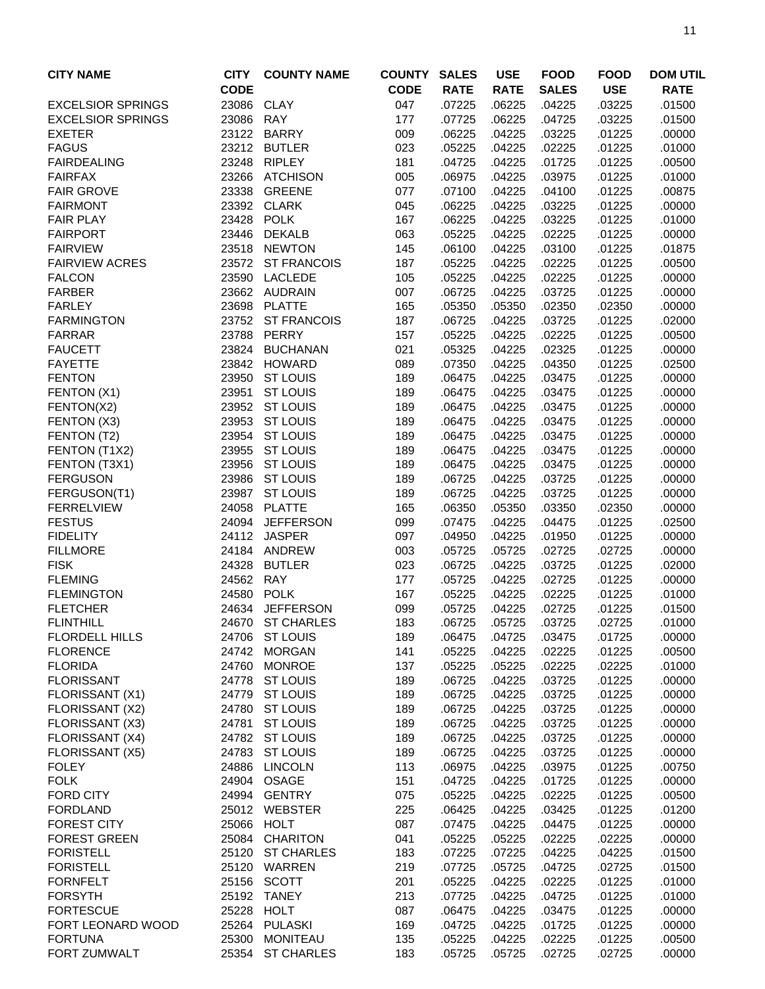| <b>CITY NAME</b>         | <b>CITY</b> | <b>COUNTY NAME</b> | <b>COUNTY</b> | <b>SALES</b> | <b>USE</b>  | <b>FOOD</b>  | <b>FOOD</b> | <b>DOM UTIL</b> |
|--------------------------|-------------|--------------------|---------------|--------------|-------------|--------------|-------------|-----------------|
|                          | <b>CODE</b> |                    | <b>CODE</b>   | <b>RATE</b>  | <b>RATE</b> | <b>SALES</b> | <b>USE</b>  | <b>RATE</b>     |
| <b>EXCELSIOR SPRINGS</b> | 23086       | <b>CLAY</b>        | 047           | .07225       | .06225      | .04225       | .03225      | .01500          |
| <b>EXCELSIOR SPRINGS</b> | 23086       | <b>RAY</b>         | 177           | .07725       | .06225      | .04725       | .03225      | .01500          |
| <b>EXETER</b>            |             | 23122 BARRY        | 009           | .06225       | .04225      | .03225       | .01225      | .00000          |
| <b>FAGUS</b>             |             | 23212 BUTLER       | 023           | .05225       | .04225      | .02225       | .01225      | .01000          |
| <b>FAIRDEALING</b>       | 23248       | <b>RIPLEY</b>      | 181           | .04725       | .04225      | .01725       | .01225      | .00500          |
| <b>FAIRFAX</b>           | 23266       | <b>ATCHISON</b>    | 005           | .06975       | .04225      | .03975       | .01225      | .01000          |
| <b>FAIR GROVE</b>        | 23338       | <b>GREENE</b>      | 077           | .07100       | .04225      | .04100       | .01225      | .00875          |
| <b>FAIRMONT</b>          |             | 23392 CLARK        | 045           | .06225       | .04225      | .03225       | .01225      | .00000          |
| <b>FAIR PLAY</b>         | 23428       | <b>POLK</b>        | 167           | .06225       | .04225      | .03225       | .01225      | .01000          |
| <b>FAIRPORT</b>          | 23446       | <b>DEKALB</b>      | 063           | .05225       | .04225      | .02225       | .01225      | .00000          |
| <b>FAIRVIEW</b>          | 23518       | <b>NEWTON</b>      | 145           | .06100       | .04225      | .03100       | .01225      | .01875          |
| <b>FAIRVIEW ACRES</b>    | 23572       | <b>ST FRANCOIS</b> | 187           | .05225       | .04225      | .02225       | .01225      | .00500          |
| <b>FALCON</b>            | 23590       | <b>LACLEDE</b>     | 105           | .05225       | .04225      | .02225       | .01225      | .00000          |
| <b>FARBER</b>            |             | 23662 AUDRAIN      | 007           | .06725       | .04225      | .03725       | .01225      | .00000          |
| <b>FARLEY</b>            | 23698       | <b>PLATTE</b>      | 165           | .05350       | .05350      | .02350       | .02350      | .00000          |
| <b>FARMINGTON</b>        |             | 23752 ST FRANCOIS  | 187           | .06725       | .04225      | .03725       | .01225      | .02000          |
| <b>FARRAR</b>            |             | 23788 PERRY        | 157           | .05225       | .04225      | .02225       | .01225      | .00500          |
| <b>FAUCETT</b>           | 23824       | <b>BUCHANAN</b>    | 021           | .05325       | .04225      | .02325       | .01225      | .00000          |
| <b>FAYETTE</b>           | 23842       | <b>HOWARD</b>      | 089           | .07350       | .04225      | .04350       | .01225      | .02500          |
| <b>FENTON</b>            | 23950       | <b>ST LOUIS</b>    | 189           | .06475       | .04225      | .03475       | .01225      | .00000          |
| FENTON (X1)              | 23951       | <b>ST LOUIS</b>    | 189           | .06475       | .04225      | .03475       | .01225      | .00000          |
| FENTON(X2)               | 23952       | <b>ST LOUIS</b>    | 189           | .06475       | .04225      | .03475       | .01225      | .00000          |
| FENTON (X3)              | 23953       | <b>ST LOUIS</b>    | 189           | .06475       | .04225      | .03475       | .01225      | .00000          |
| FENTON (T2)              | 23954       | <b>ST LOUIS</b>    | 189           | .06475       | .04225      | .03475       | .01225      | .00000          |
| FENTON (T1X2)            | 23955       | <b>ST LOUIS</b>    | 189           | .06475       | .04225      | .03475       | .01225      | .00000          |
| FENTON (T3X1)            | 23956       | <b>ST LOUIS</b>    | 189           | .06475       | .04225      | .03475       | .01225      | .00000          |
| <b>FERGUSON</b>          | 23986       | <b>ST LOUIS</b>    | 189           | .06725       | .04225      | .03725       | .01225      | .00000          |
| FERGUSON(T1)             | 23987       | <b>ST LOUIS</b>    | 189           | .06725       | .04225      | .03725       | .01225      | .00000          |
| <b>FERRELVIEW</b>        | 24058       | <b>PLATTE</b>      | 165           | .06350       | .05350      | .03350       | .02350      | .00000          |
| <b>FESTUS</b>            | 24094       | <b>JEFFERSON</b>   | 099           | .07475       | .04225      | .04475       | .01225      | .02500          |
| <b>FIDELITY</b>          |             | 24112 JASPER       | 097           | .04950       | .04225      | .01950       | .01225      | .00000          |
| <b>FILLMORE</b>          |             | 24184 ANDREW       | 003           | .05725       | .05725      | .02725       | .02725      | .00000          |
| <b>FISK</b>              | 24328       | <b>BUTLER</b>      | 023           | .06725       | .04225      | .03725       | .01225      | .02000          |
| <b>FLEMING</b>           | 24562       | <b>RAY</b>         | 177           | .05725       | .04225      | .02725       | .01225      | .00000          |
| <b>FLEMINGTON</b>        | 24580       | <b>POLK</b>        | 167           | .05225       | .04225      | .02225       | .01225      | .01000          |
| <b>FLETCHER</b>          | 24634       | <b>JEFFERSON</b>   | 099           | .05725       | .04225      | .02725       | .01225      | .01500          |
| <b>FLINTHILL</b>         | 24670       | <b>ST CHARLES</b>  | 183           | .06725       | .05725      | .03725       | .02725      | .01000          |
| <b>FLORDELL HILLS</b>    | 24706       | <b>ST LOUIS</b>    | 189           | .06475       | .04725      | .03475       | .01725      | .00000          |
| <b>FLORENCE</b>          | 24742       | <b>MORGAN</b>      | 141           | .05225       | .04225      | .02225       | .01225      | .00500          |
| <b>FLORIDA</b>           | 24760       | <b>MONROE</b>      | 137           | .05225       | .05225      | .02225       | .02225      | .01000          |
| <b>FLORISSANT</b>        | 24778       | <b>ST LOUIS</b>    | 189           | .06725       | .04225      | .03725       | .01225      | .00000          |
| FLORISSANT (X1)          | 24779       | <b>ST LOUIS</b>    | 189           | .06725       | .04225      | .03725       | .01225      | .00000          |
| FLORISSANT (X2)          | 24780       | <b>ST LOUIS</b>    | 189           | .06725       | .04225      | .03725       | .01225      | .00000          |
| FLORISSANT (X3)          | 24781       | <b>ST LOUIS</b>    | 189           | .06725       | .04225      | .03725       | .01225      | .00000          |
| FLORISSANT (X4)          |             | 24782 ST LOUIS     | 189           | .06725       | .04225      | .03725       | .01225      | .00000          |
| FLORISSANT (X5)          |             | 24783 ST LOUIS     | 189           | .06725       | .04225      | .03725       | .01225      | .00000          |
| <b>FOLEY</b>             | 24886       | <b>LINCOLN</b>     | 113           | .06975       | .04225      | .03975       | .01225      | .00750          |
| <b>FOLK</b>              | 24904       | <b>OSAGE</b>       | 151           | .04725       | .04225      | .01725       | .01225      | .00000          |
| <b>FORD CITY</b>         | 24994       | <b>GENTRY</b>      | 075           | .05225       | .04225      | .02225       | .01225      | .00500          |
| <b>FORDLAND</b>          |             | 25012 WEBSTER      | 225           | .06425       | .04225      | .03425       | .01225      | .01200          |
| <b>FOREST CITY</b>       | 25066       | <b>HOLT</b>        | 087           | .07475       | .04225      | .04475       | .01225      | .00000          |
| <b>FOREST GREEN</b>      | 25084       | <b>CHARITON</b>    | 041           | .05225       | .05225      | .02225       | .02225      | .00000          |
| <b>FORISTELL</b>         | 25120       | <b>ST CHARLES</b>  | 183           | .07225       | .07225      | .04225       | .04225      | .01500          |
| <b>FORISTELL</b>         |             | 25120 WARREN       | 219           | .07725       | .05725      | .04725       | .02725      | .01500          |
| <b>FORNFELT</b>          | 25156       | SCOTT              | 201           | .05225       | .04225      | .02225       | .01225      | .01000          |
| <b>FORSYTH</b>           | 25192       | <b>TANEY</b>       | 213           | .07725       | .04225      | .04725       | .01225      | .01000          |
| <b>FORTESCUE</b>         | 25228       | <b>HOLT</b>        | 087           | .06475       | .04225      | .03475       | .01225      | .00000          |
| FORT LEONARD WOOD        | 25264       | <b>PULASKI</b>     | 169           | .04725       | .04225      | .01725       | .01225      | .00000          |
| <b>FORTUNA</b>           | 25300       | <b>MONITEAU</b>    | 135           | .05225       | .04225      | .02225       | .01225      | .00500          |
| FORT ZUMWALT             |             | 25354 ST CHARLES   | 183           | .05725       | .05725      | .02725       | .02725      | .00000          |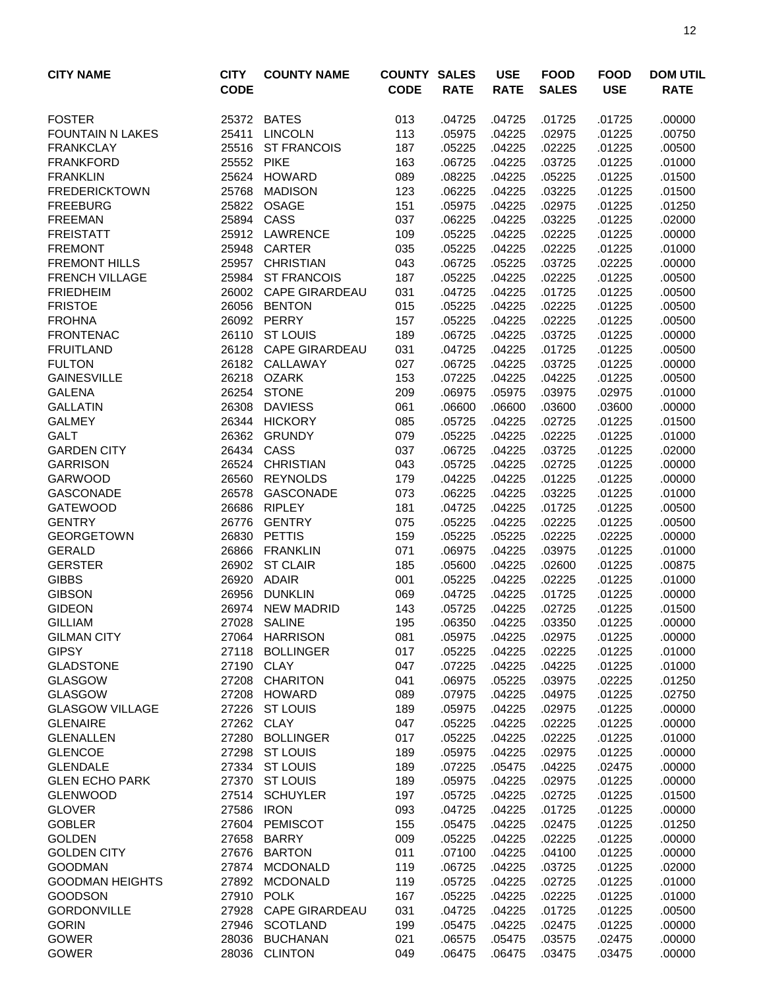| <b>CITY NAME</b>                         | <b>CITY</b><br><b>CODE</b> | <b>COUNTY NAME</b>             | <b>COUNTY SALES</b><br><b>CODE</b> | <b>RATE</b>      | <b>USE</b><br><b>RATE</b> | <b>FOOD</b><br><b>SALES</b> | <b>FOOD</b><br><b>USE</b> | <b>DOM UTIL</b><br><b>RATE</b> |
|------------------------------------------|----------------------------|--------------------------------|------------------------------------|------------------|---------------------------|-----------------------------|---------------------------|--------------------------------|
|                                          |                            |                                |                                    |                  |                           |                             |                           |                                |
| <b>FOSTER</b>                            | 25372                      | <b>BATES</b>                   | 013                                | .04725           | .04725                    | .01725                      | .01725                    | .00000                         |
| <b>FOUNTAIN N LAKES</b>                  | 25411                      | <b>LINCOLN</b>                 | 113                                | .05975           | .04225                    | .02975                      | .01225                    | .00750                         |
| <b>FRANKCLAY</b>                         | 25516                      | <b>ST FRANCOIS</b>             | 187                                | .05225           | .04225                    | .02225                      | .01225                    | .00500                         |
| <b>FRANKFORD</b>                         | 25552                      | <b>PIKE</b>                    | 163                                | .06725           | .04225                    | .03725                      | .01225                    | .01000                         |
| <b>FRANKLIN</b>                          |                            | 25624 HOWARD                   | 089                                | .08225           | .04225                    | .05225                      | .01225                    | .01500                         |
| <b>FREDERICKTOWN</b>                     | 25768                      | MADISON                        | 123                                | .06225           | .04225                    | .03225                      | .01225                    | .01500                         |
| <b>FREEBURG</b>                          | 25822                      | OSAGE                          | 151                                | .05975           | .04225                    | .02975                      | .01225                    | .01250                         |
| <b>FREEMAN</b>                           |                            | 25894 CASS                     | 037                                | .06225           | .04225                    | .03225                      | .01225                    | .02000                         |
| <b>FREISTATT</b><br><b>FREMONT</b>       |                            | 25912 LAWRENCE<br>25948 CARTER | 109                                | .05225<br>.05225 | .04225<br>.04225          | .02225<br>.02225            | .01225                    | .00000                         |
| <b>FREMONT HILLS</b>                     | 25957                      | <b>CHRISTIAN</b>               | 035<br>043                         | .06725           | .05225                    | .03725                      | .01225<br>.02225          | .01000<br>.00000               |
| <b>FRENCH VILLAGE</b>                    | 25984                      | <b>ST FRANCOIS</b>             | 187                                | .05225           | .04225                    | .02225                      | .01225                    | .00500                         |
| <b>FRIEDHEIM</b>                         | 26002                      | <b>CAPE GIRARDEAU</b>          | 031                                | .04725           | .04225                    | .01725                      | .01225                    | .00500                         |
| <b>FRISTOE</b>                           | 26056                      | <b>BENTON</b>                  | 015                                | .05225           | .04225                    | .02225                      | .01225                    | .00500                         |
| <b>FROHNA</b>                            | 26092                      | PERRY                          | 157                                | .05225           | .04225                    | .02225                      | .01225                    | .00500                         |
| <b>FRONTENAC</b>                         | 26110                      | <b>ST LOUIS</b>                | 189                                | .06725           | .04225                    | .03725                      | .01225                    | .00000                         |
| <b>FRUITLAND</b>                         |                            | 26128 CAPE GIRARDEAU           | 031                                | .04725           | .04225                    | .01725                      | .01225                    | .00500                         |
| <b>FULTON</b>                            |                            | 26182 CALLAWAY                 | 027                                | .06725           | .04225                    | .03725                      | .01225                    | .00000                         |
| <b>GAINESVILLE</b>                       | 26218                      | <b>OZARK</b>                   | 153                                | .07225           | .04225                    | .04225                      | .01225                    | .00500                         |
| <b>GALENA</b>                            | 26254                      | <b>STONE</b>                   | 209                                | .06975           | .05975                    | .03975                      | .02975                    | .01000                         |
| <b>GALLATIN</b>                          | 26308                      | <b>DAVIESS</b>                 | 061                                | .06600           | .06600                    | .03600                      | .03600                    | .00000                         |
| <b>GALMEY</b>                            | 26344                      | <b>HICKORY</b>                 | 085                                | .05725           | .04225                    | .02725                      | .01225                    | .01500                         |
| <b>GALT</b>                              | 26362                      | <b>GRUNDY</b>                  | 079                                | .05225           | .04225                    | .02225                      | .01225                    | .01000                         |
| <b>GARDEN CITY</b>                       | 26434                      | CASS                           | 037                                | .06725           | .04225                    | .03725                      | .01225                    | .02000                         |
| <b>GARRISON</b>                          | 26524                      | <b>CHRISTIAN</b>               | 043                                | .05725           | .04225                    | .02725                      | .01225                    | .00000                         |
| <b>GARWOOD</b>                           | 26560                      | <b>REYNOLDS</b>                | 179                                | .04225           | .04225                    | .01225                      | .01225                    | .00000                         |
| <b>GASCONADE</b>                         | 26578                      | <b>GASCONADE</b>               | 073                                | .06225           | .04225                    | .03225                      | .01225                    | .01000                         |
| <b>GATEWOOD</b>                          | 26686                      | <b>RIPLEY</b>                  | 181                                | .04725           | .04225                    | .01725                      | .01225                    | .00500                         |
| <b>GENTRY</b>                            | 26776                      | <b>GENTRY</b>                  | 075                                | .05225           | .04225                    | .02225                      | .01225                    | .00500                         |
| <b>GEORGETOWN</b>                        | 26830                      | PETTIS                         | 159                                | .05225           | .05225                    | .02225                      | .02225                    | .00000                         |
| <b>GERALD</b>                            | 26866                      | <b>FRANKLIN</b>                | 071                                | .06975           | .04225                    | .03975                      | .01225                    | .01000                         |
| <b>GERSTER</b>                           | 26902                      | <b>ST CLAIR</b>                | 185                                | .05600           | .04225                    | .02600                      | .01225                    | .00875                         |
| <b>GIBBS</b>                             | 26920                      | ADAIR                          | 001                                | .05225           | .04225                    | .02225                      | .01225                    | .01000                         |
| <b>GIBSON</b>                            | 26956                      | <b>DUNKLIN</b>                 | 069                                | .04725           | .04225                    | .01725                      | .01225                    | .00000                         |
| <b>GIDEON</b>                            | 26974                      | <b>NEW MADRID</b>              | 143                                | .05725           | .04225                    | .02725                      | .01225                    | .01500                         |
| <b>GILLIAM</b>                           |                            | 27028 SALINE                   | 195                                | .06350           | .04225                    | .03350                      | .01225                    | .00000                         |
| <b>GILMAN CITY</b>                       |                            | 27064 HARRISON                 | 081                                | .05975           | .04225                    | .02975                      | .01225                    | .00000                         |
| <b>GIPSY</b>                             |                            | 27118 BOLLINGER                | 017                                | .05225           | .04225                    | .02225                      | .01225                    | .01000                         |
| <b>GLADSTONE</b>                         | 27190                      | <b>CLAY</b>                    | 047                                | .07225           | .04225                    | .04225                      | .01225                    | .01000                         |
| <b>GLASGOW</b>                           | 27208                      | <b>CHARITON</b>                | 041                                | .06975           | .05225                    | .03975                      | .02225                    | .01250                         |
| <b>GLASGOW</b><br><b>GLASGOW VILLAGE</b> |                            | 27208 HOWARD<br>27226 ST LOUIS | 089<br>189                         | .07975<br>.05975 | .04225<br>.04225          | .04975<br>.02975            | .01225<br>.01225          | .02750<br>.00000               |
| <b>GLENAIRE</b>                          |                            | 27262 CLAY                     | 047                                | .05225           | .04225                    | .02225                      | .01225                    | .00000                         |
| <b>GLENALLEN</b>                         |                            | 27280 BOLLINGER                | 017                                | .05225           | .04225                    | .02225                      | .01225                    | .01000                         |
| <b>GLENCOE</b>                           |                            | 27298 ST LOUIS                 | 189                                | .05975           | .04225                    | .02975                      | .01225                    | .00000                         |
| <b>GLENDALE</b>                          |                            | 27334 ST LOUIS                 | 189                                | .07225           | .05475                    | .04225                      | .02475                    | .00000                         |
| <b>GLEN ECHO PARK</b>                    |                            | 27370 ST LOUIS                 | 189                                | .05975           | .04225                    | .02975                      | .01225                    | .00000                         |
| <b>GLENWOOD</b>                          |                            | 27514 SCHUYLER                 | 197                                | .05725           | .04225                    | .02725                      | .01225                    | .01500                         |
| <b>GLOVER</b>                            | 27586                      | <b>IRON</b>                    | 093                                | .04725           | .04225                    | .01725                      | .01225                    | .00000                         |
| <b>GOBLER</b>                            | 27604                      | <b>PEMISCOT</b>                | 155                                | .05475           | .04225                    | .02475                      | .01225                    | .01250                         |
| <b>GOLDEN</b>                            | 27658                      | <b>BARRY</b>                   | 009                                | .05225           | .04225                    | .02225                      | .01225                    | .00000                         |
| <b>GOLDEN CITY</b>                       | 27676                      | <b>BARTON</b>                  | 011                                | .07100           | .04225                    | .04100                      | .01225                    | .00000                         |
| <b>GOODMAN</b>                           | 27874                      | <b>MCDONALD</b>                | 119                                | .06725           | .04225                    | .03725                      | .01225                    | .02000                         |
| <b>GOODMAN HEIGHTS</b>                   |                            | 27892 MCDONALD                 | 119                                | .05725           | .04225                    | .02725                      | .01225                    | .01000                         |
| <b>GOODSON</b>                           | 27910                      | <b>POLK</b>                    | 167                                | .05225           | .04225                    | .02225                      | .01225                    | .01000                         |
| <b>GORDONVILLE</b>                       |                            | 27928 CAPE GIRARDEAU           | 031                                | .04725           | .04225                    | .01725                      | .01225                    | .00500                         |
| <b>GORIN</b>                             |                            | 27946 SCOTLAND                 | 199                                | .05475           | .04225                    | .02475                      | .01225                    | .00000                         |
| <b>GOWER</b>                             |                            | 28036 BUCHANAN                 | 021                                | .06575           | .05475                    | .03575                      | .02475                    | .00000                         |
| <b>GOWER</b>                             |                            | 28036 CLINTON                  | 049                                | .06475           | .06475                    | .03475                      | .03475                    | .00000                         |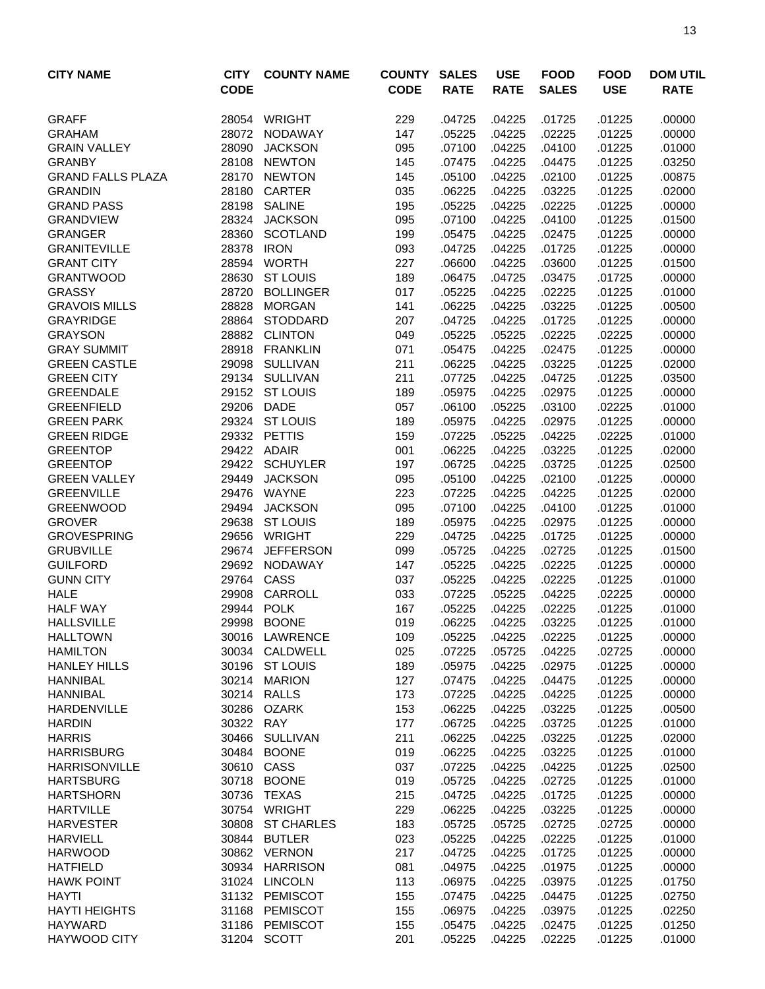| <b>CITY NAME</b>                   | <b>CITY</b><br><b>CODE</b> | <b>COUNTY NAME</b>                | <b>COUNTY</b><br><b>CODE</b> | <b>SALES</b><br><b>RATE</b> | <b>USE</b><br><b>RATE</b> | <b>FOOD</b><br><b>SALES</b> | <b>FOOD</b><br><b>USE</b> | <b>DOM UTIL</b><br><b>RATE</b> |
|------------------------------------|----------------------------|-----------------------------------|------------------------------|-----------------------------|---------------------------|-----------------------------|---------------------------|--------------------------------|
| <b>GRAFF</b>                       | 28054                      | <b>WRIGHT</b>                     | 229                          | .04725                      | .04225                    | .01725                      | .01225                    | .00000                         |
| <b>GRAHAM</b>                      | 28072                      | <b>NODAWAY</b>                    | 147                          | .05225                      | .04225                    | .02225                      | .01225                    | .00000                         |
| <b>GRAIN VALLEY</b>                | 28090                      | <b>JACKSON</b>                    | 095                          | .07100                      | .04225                    | .04100                      | .01225                    | .01000                         |
| <b>GRANBY</b>                      | 28108                      | <b>NEWTON</b>                     | 145                          | .07475                      | .04225                    | .04475                      | .01225                    | .03250                         |
| <b>GRAND FALLS PLAZA</b>           |                            | 28170 NEWTON                      | 145                          | .05100                      | .04225                    | .02100                      | .01225                    | .00875                         |
| <b>GRANDIN</b>                     | 28180                      | CARTER                            | 035                          | .06225                      | .04225                    | .03225                      | .01225                    | .02000                         |
| <b>GRAND PASS</b>                  | 28198                      | <b>SALINE</b>                     | 195                          | .05225                      | .04225                    | .02225                      | .01225                    | .00000                         |
| <b>GRANDVIEW</b>                   | 28324                      | <b>JACKSON</b>                    | 095                          | .07100                      | .04225                    | .04100                      | .01225                    | .01500                         |
| <b>GRANGER</b>                     | 28360                      | <b>SCOTLAND</b>                   | 199                          | .05475                      | .04225                    | .02475                      | .01225                    | .00000                         |
| <b>GRANITEVILLE</b>                | 28378                      | <b>IRON</b>                       | 093                          | .04725                      | .04225                    | .01725                      | .01225                    | .00000                         |
| <b>GRANT CITY</b>                  | 28594                      | <b>WORTH</b>                      | 227                          | .06600                      | .04225                    | .03600                      | .01225                    | .01500                         |
| <b>GRANTWOOD</b>                   | 28630                      | <b>ST LOUIS</b>                   | 189                          | .06475                      | .04725                    | .03475                      | .01725                    | .00000                         |
| <b>GRASSY</b>                      | 28720                      | <b>BOLLINGER</b>                  | 017                          | .05225                      | .04225                    | .02225                      | .01225                    | .01000                         |
| <b>GRAVOIS MILLS</b>               | 28828                      | <b>MORGAN</b>                     | 141                          | .06225                      | .04225                    | .03225                      | .01225                    | .00500                         |
| <b>GRAYRIDGE</b><br><b>GRAYSON</b> | 28864<br>28882             | <b>STODDARD</b><br><b>CLINTON</b> | 207<br>049                   | .04725<br>.05225            | .04225<br>.05225          | .01725<br>.02225            | .01225<br>.02225          | .00000<br>.00000               |
| <b>GRAY SUMMIT</b>                 | 28918                      | <b>FRANKLIN</b>                   | 071                          | .05475                      | .04225                    | .02475                      | .01225                    | .00000                         |
| <b>GREEN CASTLE</b>                | 29098                      | SULLIVAN                          | 211                          | .06225                      | .04225                    | .03225                      | .01225                    | .02000                         |
| <b>GREEN CITY</b>                  |                            | 29134 SULLIVAN                    | 211                          | .07725                      | .04225                    | .04725                      | .01225                    | .03500                         |
| <b>GREENDALE</b>                   |                            | 29152 ST LOUIS                    | 189                          | .05975                      | .04225                    | .02975                      | .01225                    | .00000                         |
| <b>GREENFIELD</b>                  | 29206                      | <b>DADE</b>                       | 057                          | .06100                      | .05225                    | .03100                      | .02225                    | .01000                         |
| <b>GREEN PARK</b>                  | 29324                      | <b>ST LOUIS</b>                   | 189                          | .05975                      | .04225                    | .02975                      | .01225                    | .00000                         |
| <b>GREEN RIDGE</b>                 |                            | 29332 PETTIS                      | 159                          | .07225                      | .05225                    | .04225                      | .02225                    | .01000                         |
| <b>GREENTOP</b>                    |                            | 29422 ADAIR                       | 001                          | .06225                      | .04225                    | .03225                      | .01225                    | .02000                         |
| <b>GREENTOP</b>                    | 29422                      | <b>SCHUYLER</b>                   | 197                          | .06725                      | .04225                    | .03725                      | .01225                    | .02500                         |
| <b>GREEN VALLEY</b>                | 29449                      | <b>JACKSON</b>                    | 095                          | .05100                      | .04225                    | .02100                      | .01225                    | .00000                         |
| <b>GREENVILLE</b>                  | 29476                      | WAYNE                             | 223                          | .07225                      | .04225                    | .04225                      | .01225                    | .02000                         |
| <b>GREENWOOD</b>                   | 29494                      | <b>JACKSON</b>                    | 095                          | .07100                      | .04225                    | .04100                      | .01225                    | .01000                         |
| <b>GROVER</b>                      | 29638                      | <b>ST LOUIS</b>                   | 189                          | .05975                      | .04225                    | .02975                      | .01225                    | .00000                         |
| <b>GROVESPRING</b>                 | 29656                      | <b>WRIGHT</b>                     | 229                          | .04725                      | .04225                    | .01725                      | .01225                    | .00000                         |
| <b>GRUBVILLE</b>                   | 29674                      | <b>JEFFERSON</b>                  | 099                          | .05725                      | .04225                    | .02725                      | .01225                    | .01500                         |
| <b>GUILFORD</b>                    | 29692                      | NODAWAY                           | 147                          | .05225                      | .04225                    | .02225                      | .01225                    | .00000                         |
| <b>GUNN CITY</b>                   | 29764                      | CASS                              | 037                          | .05225                      | .04225                    | .02225                      | .01225                    | .01000                         |
| <b>HALE</b>                        | 29908                      | CARROLL                           | 033                          | .07225                      | .05225                    | .04225                      | .02225                    | .00000                         |
| <b>HALF WAY</b>                    | 29944                      | <b>POLK</b>                       | 167                          | .05225                      | .04225                    | .02225                      | .01225                    | .01000                         |
| <b>HALLSVILLE</b>                  | 29998                      | <b>BOONE</b>                      | 019                          | .06225                      | .04225                    | .03225                      | .01225                    | .01000                         |
| <b>HALLTOWN</b>                    |                            | 30016 LAWRENCE                    | 109                          | .05225                      | .04225                    | .02225                      | .01225                    | .00000                         |
| <b>HAMILTON</b>                    |                            | 30034 CALDWELL                    | 025                          | .07225                      | .05725                    | .04225                      | .02725                    | .00000                         |
| <b>HANLEY HILLS</b>                |                            | 30196 ST LOUIS                    | 189                          | .05975                      | .04225                    | .02975                      | .01225                    | .00000                         |
| <b>HANNIBAL</b>                    |                            | 30214 MARION                      | 127                          | .07475                      | .04225                    | .04475                      | .01225                    | .00000                         |
| <b>HANNIBAL</b>                    |                            | 30214 RALLS                       | 173                          | .07225                      | .04225                    | .04225                      | .01225                    | .00000                         |
| <b>HARDENVILLE</b>                 | 30286                      | <b>OZARK</b>                      | 153                          | .06225                      | .04225                    | .03225                      | .01225                    | .00500                         |
| <b>HARDIN</b>                      | 30322 RAY                  |                                   | 177                          | .06725                      | .04225                    | .03725                      | .01225                    | .01000                         |
| <b>HARRIS</b><br><b>HARRISBURG</b> |                            | 30466 SULLIVAN<br>30484 BOONE     | 211<br>019                   | .06225<br>.06225            | .04225<br>.04225          | .03225<br>.03225            | .01225<br>.01225          | .02000<br>.01000               |
| <b>HARRISONVILLE</b>               |                            | 30610 CASS                        | 037                          | .07225                      | .04225                    | .04225                      | .01225                    | .02500                         |
| <b>HARTSBURG</b>                   |                            | 30718 BOONE                       | 019                          | .05725                      | .04225                    | .02725                      | .01225                    | .01000                         |
| <b>HARTSHORN</b>                   | 30736                      | <b>TEXAS</b>                      | 215                          | .04725                      | .04225                    | .01725                      | .01225                    | .00000                         |
| <b>HARTVILLE</b>                   |                            | 30754 WRIGHT                      | 229                          | .06225                      | .04225                    | .03225                      | .01225                    | .00000                         |
| <b>HARVESTER</b>                   | 30808                      | <b>ST CHARLES</b>                 | 183                          | .05725                      | .05725                    | .02725                      | .02725                    | .00000                         |
| <b>HARVIELL</b>                    | 30844                      | <b>BUTLER</b>                     | 023                          | .05225                      | .04225                    | .02225                      | .01225                    | .01000                         |
| <b>HARWOOD</b>                     |                            | 30862 VERNON                      | 217                          | .04725                      | .04225                    | .01725                      | .01225                    | .00000                         |
| <b>HATFIELD</b>                    |                            | 30934 HARRISON                    | 081                          | .04975                      | .04225                    | .01975                      | .01225                    | .00000                         |
| <b>HAWK POINT</b>                  |                            | 31024 LINCOLN                     | 113                          | .06975                      | .04225                    | .03975                      | .01225                    | .01750                         |
| <b>HAYTI</b>                       |                            | 31132 PEMISCOT                    | 155                          | .07475                      | .04225                    | .04475                      | .01225                    | .02750                         |
| <b>HAYTI HEIGHTS</b>               |                            | 31168 PEMISCOT                    | 155                          | .06975                      | .04225                    | .03975                      | .01225                    | .02250                         |
| <b>HAYWARD</b>                     |                            | 31186 PEMISCOT                    | 155                          | .05475                      | .04225                    | .02475                      | .01225                    | .01250                         |
| HAYWOOD CITY                       |                            | 31204 SCOTT                       | 201                          | .05225                      | .04225                    | .02225                      | .01225                    | .01000                         |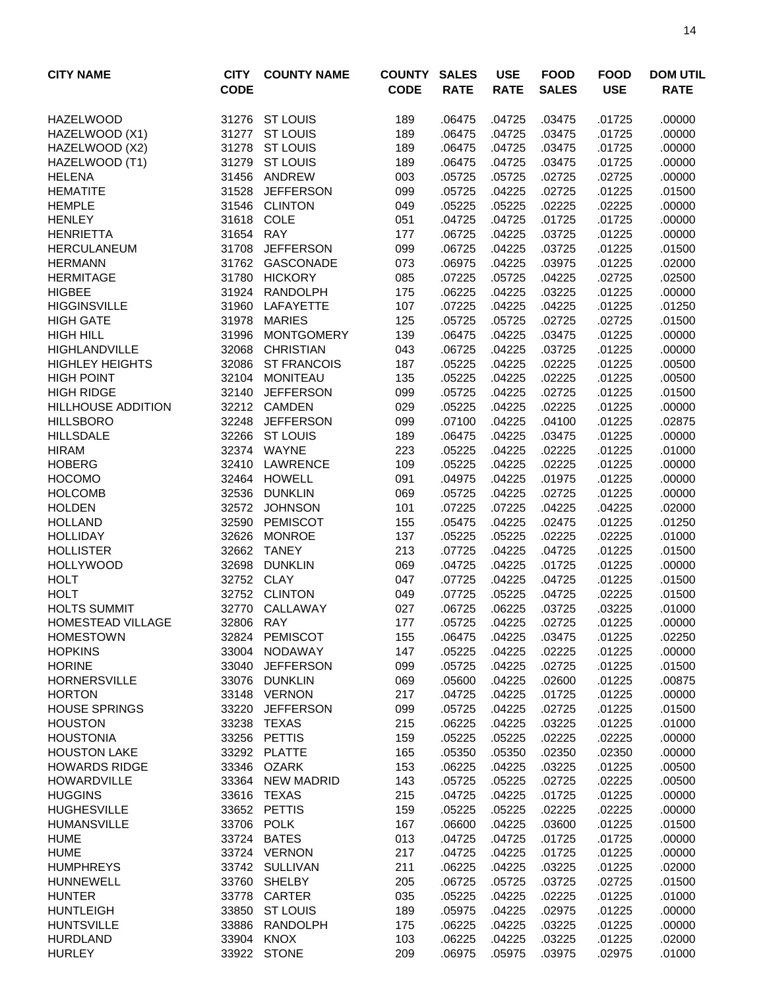| <b>CITY NAME</b>                      | <b>CITY</b><br><b>CODE</b> | <b>COUNTY NAME</b>               | <b>COUNTY</b><br><b>CODE</b> | <b>SALES</b><br><b>RATE</b> | <b>USE</b><br><b>RATE</b> | <b>FOOD</b><br><b>SALES</b> | <b>FOOD</b><br><b>USE</b> | <b>DOM UTIL</b><br><b>RATE</b> |
|---------------------------------------|----------------------------|----------------------------------|------------------------------|-----------------------------|---------------------------|-----------------------------|---------------------------|--------------------------------|
| <b>HAZELWOOD</b>                      |                            | 31276 ST LOUIS                   | 189                          | .06475                      | .04725                    | .03475                      | .01725                    | .00000                         |
| HAZELWOOD (X1)                        | 31277                      | <b>ST LOUIS</b>                  | 189                          | .06475                      | .04725                    | .03475                      | .01725                    | .00000                         |
| HAZELWOOD (X2)                        | 31278                      | <b>ST LOUIS</b>                  | 189                          | .06475                      | .04725                    | .03475                      | .01725                    | .00000                         |
| HAZELWOOD (T1)                        | 31279                      | <b>ST LOUIS</b>                  | 189                          | .06475                      | .04725                    | .03475                      | .01725                    | .00000                         |
| <b>HELENA</b>                         | 31456                      | ANDREW                           | 003                          | .05725                      | .05725                    | .02725                      | .02725                    | .00000                         |
| <b>HEMATITE</b>                       | 31528                      | <b>JEFFERSON</b>                 | 099                          | .05725                      | .04225                    | .02725                      | .01225                    | .01500                         |
| <b>HEMPLE</b>                         |                            | 31546 CLINTON                    | 049                          | .05225                      | .05225                    | .02225                      | .02225                    | .00000                         |
| <b>HENLEY</b>                         | 31618                      | COLE                             | 051                          | .04725                      | .04725                    | .01725                      | .01725                    | .00000                         |
| <b>HENRIETTA</b>                      | 31654                      | <b>RAY</b>                       | 177                          | .06725                      | .04225                    | .03725                      | .01225                    | .00000                         |
| <b>HERCULANEUM</b>                    | 31708                      | <b>JEFFERSON</b>                 | 099                          | .06725                      | .04225                    | .03725                      | .01225                    | .01500                         |
| <b>HERMANN</b>                        | 31762                      | GASCONADE                        | 073                          | .06975                      | .04225                    | .03975                      | .01225                    | .02000                         |
| <b>HERMITAGE</b>                      | 31780                      | <b>HICKORY</b>                   | 085                          | .07225                      | .05725                    | .04225                      | .02725                    | .02500                         |
| <b>HIGBEE</b>                         | 31924                      | <b>RANDOLPH</b>                  | 175                          | .06225                      | .04225                    | .03225                      | .01225                    | .00000                         |
| <b>HIGGINSVILLE</b>                   | 31960<br>31978             | LAFAYETTE<br><b>MARIES</b>       | 107                          | .07225                      | .04225                    | .04225                      | .01225                    | .01250                         |
| <b>HIGH GATE</b><br><b>HIGH HILL</b>  | 31996                      | <b>MONTGOMERY</b>                | 125<br>139                   | .05725<br>.06475            | .05725<br>.04225          | .02725<br>.03475            | .02725<br>.01225          | .01500<br>.00000               |
| HIGHLANDVILLE                         | 32068                      | <b>CHRISTIAN</b>                 | 043                          | .06725                      | .04225                    | .03725                      | .01225                    | .00000                         |
| <b>HIGHLEY HEIGHTS</b>                | 32086                      | <b>ST FRANCOIS</b>               | 187                          | .05225                      | .04225                    | .02225                      | .01225                    | .00500                         |
| <b>HIGH POINT</b>                     |                            | 32104 MONITEAU                   | 135                          | .05225                      | .04225                    | .02225                      | .01225                    | .00500                         |
| <b>HIGH RIDGE</b>                     | 32140                      | <b>JEFFERSON</b>                 | 099                          | .05725                      | .04225                    | .02725                      | .01225                    | .01500                         |
| <b>HILLHOUSE ADDITION</b>             |                            | 32212 CAMDEN                     | 029                          | .05225                      | .04225                    | .02225                      | .01225                    | .00000                         |
| <b>HILLSBORO</b>                      | 32248                      | <b>JEFFERSON</b>                 | 099                          | .07100                      | .04225                    | .04100                      | .01225                    | .02875                         |
| <b>HILLSDALE</b>                      | 32266                      | <b>ST LOUIS</b>                  | 189                          | .06475                      | .04225                    | .03475                      | .01225                    | .00000                         |
| <b>HIRAM</b>                          | 32374                      | WAYNE                            | 223                          | .05225                      | .04225                    | .02225                      | .01225                    | .01000                         |
| <b>HOBERG</b>                         | 32410                      | LAWRENCE                         | 109                          | .05225                      | .04225                    | .02225                      | .01225                    | .00000                         |
| <b>HOCOMO</b>                         | 32464                      | HOWELL                           | 091                          | .04975                      | .04225                    | .01975                      | .01225                    | .00000                         |
| <b>HOLCOMB</b>                        | 32536                      | <b>DUNKLIN</b>                   | 069                          | .05725                      | .04225                    | .02725                      | .01225                    | .00000                         |
| <b>HOLDEN</b>                         | 32572                      | <b>JOHNSON</b>                   | 101                          | .07225                      | .07225                    | .04225                      | .04225                    | .02000                         |
| <b>HOLLAND</b>                        | 32590                      | <b>PEMISCOT</b>                  | 155                          | .05475                      | .04225                    | .02475                      | .01225                    | .01250                         |
| <b>HOLLIDAY</b>                       | 32626                      | <b>MONROE</b>                    | 137                          | .05225                      | .05225                    | .02225                      | .02225                    | .01000                         |
| <b>HOLLISTER</b>                      | 32662                      | <b>TANEY</b>                     | 213                          | .07725                      | .04225                    | .04725                      | .01225                    | .01500                         |
| <b>HOLLYWOOD</b>                      | 32698                      | <b>DUNKLIN</b>                   | 069                          | .04725                      | .04225                    | .01725                      | .01225                    | .00000                         |
| <b>HOLT</b>                           | 32752 CLAY                 |                                  | 047                          | .07725                      | .04225                    | .04725                      | .01225                    | .01500                         |
| <b>HOLT</b>                           | 32752                      | <b>CLINTON</b>                   | 049                          | .07725                      | .05225                    | .04725                      | .02225                    | .01500                         |
| <b>HOLTS SUMMIT</b>                   | 32770                      | CALLAWAY                         | 027                          | .06725                      | .06225                    | .03725                      | .03225                    | .01000                         |
| HOMESTEAD VILLAGE                     | 32806 RAY                  |                                  | 177                          | .05725                      | .04225                    | .02725                      | .01225                    | .00000                         |
| <b>HOMESTOWN</b>                      |                            | 32824 PEMISCOT                   | 155                          | .06475                      | .04225                    | .03475                      | .01225                    | .02250                         |
| <b>HOPKINS</b>                        |                            | 33004 NODAWAY                    | 147                          | .05225                      | .04225                    | .02225                      | .01225                    | .00000                         |
| <b>HORINE</b>                         | 33040                      | <b>JEFFERSON</b>                 | 099                          | .05725                      | .04225                    | .02725                      | .01225                    | .01500                         |
| <b>HORNERSVILLE</b>                   | 33076                      | <b>DUNKLIN</b>                   | 069                          | .05600                      | .04225                    | .02600                      | .01225                    | .00875                         |
| <b>HORTON</b><br><b>HOUSE SPRINGS</b> | 33220                      | 33148 VERNON<br><b>JEFFERSON</b> | 217<br>099                   | .04725                      | .04225<br>.04225          | .01725<br>.02725            | .01225<br>.01225          | .00000                         |
| <b>HOUSTON</b>                        | 33238                      | TEXAS                            | 215                          | .05725<br>.06225            | .04225                    | .03225                      | .01225                    | .01500<br>.01000               |
| <b>HOUSTONIA</b>                      |                            | 33256 PETTIS                     | 159                          | .05225                      | .05225                    | .02225                      | .02225                    | .00000                         |
| <b>HOUSTON LAKE</b>                   |                            | 33292 PLATTE                     | 165                          | .05350                      | .05350                    | .02350                      | .02350                    | .00000                         |
| <b>HOWARDS RIDGE</b>                  |                            | 33346 OZARK                      | 153                          | .06225                      | .04225                    | .03225                      | .01225                    | .00500                         |
| <b>HOWARDVILLE</b>                    |                            | 33364 NEW MADRID                 | 143                          | .05725                      | .05225                    | .02725                      | .02225                    | .00500                         |
| <b>HUGGINS</b>                        |                            | 33616 TEXAS                      | 215                          | .04725                      | .04225                    | .01725                      | .01225                    | .00000                         |
| <b>HUGHESVILLE</b>                    |                            | 33652 PETTIS                     | 159                          | .05225                      | .05225                    | .02225                      | .02225                    | .00000                         |
| <b>HUMANSVILLE</b>                    |                            | 33706 POLK                       | 167                          | .06600                      | .04225                    | .03600                      | .01225                    | .01500                         |
| <b>HUME</b>                           |                            | 33724 BATES                      | 013                          | .04725                      | .04725                    | .01725                      | .01725                    | .00000                         |
| <b>HUME</b>                           |                            | 33724 VERNON                     | 217                          | .04725                      | .04225                    | .01725                      | .01225                    | .00000                         |
| <b>HUMPHREYS</b>                      |                            | 33742 SULLIVAN                   | 211                          | .06225                      | .04225                    | .03225                      | .01225                    | .02000                         |
| <b>HUNNEWELL</b>                      | 33760                      | <b>SHELBY</b>                    | 205                          | .06725                      | .05725                    | .03725                      | .02725                    | .01500                         |
| <b>HUNTER</b>                         | 33778                      | <b>CARTER</b>                    | 035                          | .05225                      | .04225                    | .02225                      | .01225                    | .01000                         |
| <b>HUNTLEIGH</b>                      |                            | 33850 ST LOUIS                   | 189                          | .05975                      | .04225                    | .02975                      | .01225                    | .00000                         |
| <b>HUNTSVILLE</b>                     |                            | 33886 RANDOLPH                   | 175                          | .06225                      | .04225                    | .03225                      | .01225                    | .00000                         |
| <b>HURDLAND</b>                       |                            | 33904 KNOX                       | 103                          | .06225                      | .04225                    | .03225                      | .01225                    | .02000                         |
| <b>HURLEY</b>                         |                            | 33922 STONE                      | 209                          | .06975                      | .05975                    | .03975                      | .02975                    | .01000                         |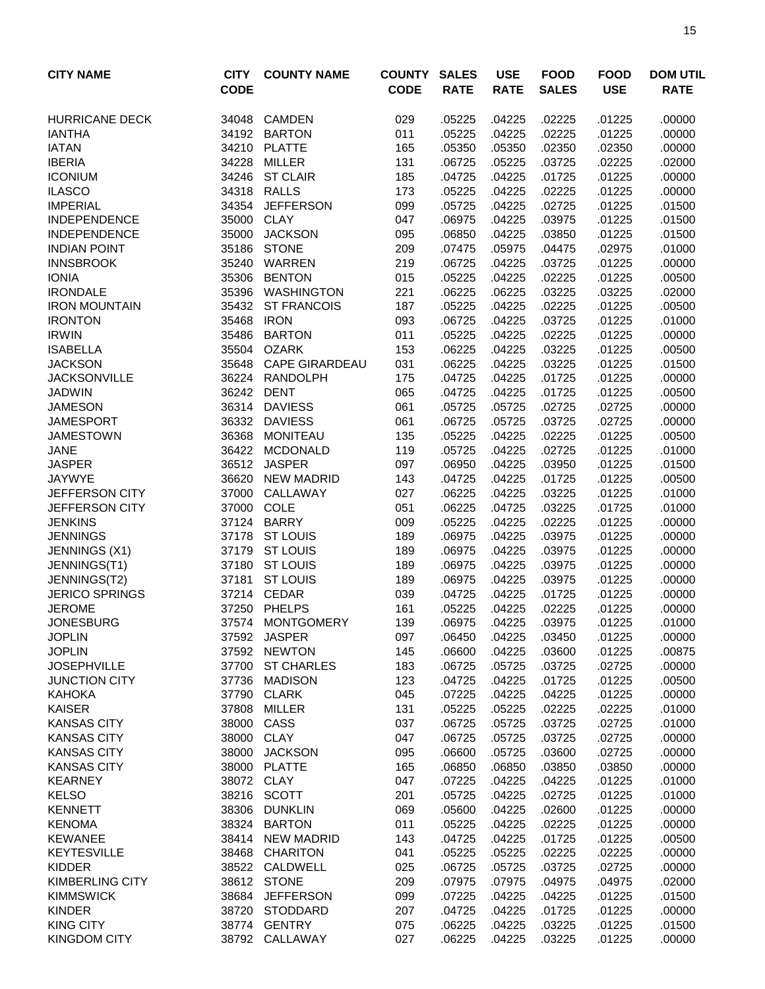| <b>CITY NAME</b>                         | <b>CITY</b><br><b>CODE</b> | <b>COUNTY NAME</b>              | <b>COUNTY</b><br><b>CODE</b> | <b>SALES</b><br><b>RATE</b> | <b>USE</b><br><b>RATE</b> | <b>FOOD</b><br><b>SALES</b> | <b>FOOD</b><br><b>USE</b> | <b>DOM UTIL</b><br><b>RATE</b> |
|------------------------------------------|----------------------------|---------------------------------|------------------------------|-----------------------------|---------------------------|-----------------------------|---------------------------|--------------------------------|
|                                          |                            |                                 |                              |                             |                           |                             |                           |                                |
| <b>HURRICANE DECK</b>                    | 34048                      | <b>CAMDEN</b>                   | 029                          | .05225                      | .04225                    | .02225                      | .01225                    | .00000                         |
| <b>IANTHA</b>                            | 34192                      | <b>BARTON</b>                   | 011                          | .05225                      | .04225                    | .02225                      | .01225                    | .00000                         |
| <b>IATAN</b>                             | 34210                      | <b>PLATTE</b>                   | 165                          | .05350                      | .05350                    | .02350                      | .02350                    | .00000                         |
| <b>IBERIA</b>                            | 34228                      | <b>MILLER</b>                   | 131                          | .06725                      | .05225                    | .03725                      | .02225                    | .02000                         |
| <b>ICONIUM</b>                           |                            | 34246 ST CLAIR<br>34318 RALLS   | 185                          | .04725                      | .04225                    | .01725                      | .01225                    | .00000                         |
| <b>ILASCO</b><br><b>IMPERIAL</b>         | 34354                      | <b>JEFFERSON</b>                | 173<br>099                   | .05225<br>.05725            | .04225<br>.04225          | .02225<br>.02725            | .01225<br>.01225          | .00000<br>.01500               |
| <b>INDEPENDENCE</b>                      | 35000                      | <b>CLAY</b>                     | 047                          | .06975                      | .04225                    | .03975                      | .01225                    | .01500                         |
| <b>INDEPENDENCE</b>                      | 35000                      | <b>JACKSON</b>                  | 095                          | .06850                      | .04225                    | .03850                      | .01225                    | .01500                         |
| <b>INDIAN POINT</b>                      | 35186                      | <b>STONE</b>                    | 209                          | .07475                      | .05975                    | .04475                      | .02975                    | .01000                         |
| <b>INNSBROOK</b>                         | 35240                      | WARREN                          | 219                          | .06725                      | .04225                    | .03725                      | .01225                    | .00000                         |
| <b>IONIA</b>                             | 35306                      | <b>BENTON</b>                   | 015                          | .05225                      | .04225                    | .02225                      | .01225                    | .00500                         |
| <b>IRONDALE</b>                          | 35396                      | <b>WASHINGTON</b>               | 221                          | .06225                      | .06225                    | .03225                      | .03225                    | .02000                         |
| <b>IRON MOUNTAIN</b>                     | 35432                      | <b>ST FRANCOIS</b>              | 187                          | .05225                      | .04225                    | .02225                      | .01225                    | .00500                         |
| <b>IRONTON</b>                           | 35468                      | <b>IRON</b>                     | 093                          | .06725                      | .04225                    | .03725                      | .01225                    | .01000                         |
| <b>IRWIN</b>                             | 35486                      | <b>BARTON</b>                   | 011                          | .05225                      | .04225                    | .02225                      | .01225                    | .00000                         |
| <b>ISABELLA</b>                          |                            | 35504 OZARK                     | 153                          | .06225                      | .04225                    | .03225                      | .01225                    | .00500                         |
| <b>JACKSON</b>                           | 35648                      | <b>CAPE GIRARDEAU</b>           | 031                          | .06225                      | .04225                    | .03225                      | .01225                    | .01500                         |
| <b>JACKSONVILLE</b>                      | 36224                      | RANDOLPH                        | 175                          | .04725                      | .04225                    | .01725                      | .01225                    | .00000                         |
| <b>JADWIN</b>                            | 36242                      | <b>DENT</b>                     | 065                          | .04725                      | .04225                    | .01725                      | .01225                    | .00500                         |
| <b>JAMESON</b>                           | 36314                      | <b>DAVIESS</b>                  | 061                          | .05725                      | .05725                    | .02725                      | .02725                    | .00000                         |
| <b>JAMESPORT</b>                         | 36332                      | <b>DAVIESS</b>                  | 061                          | .06725                      | .05725                    | .03725                      | .02725                    | .00000                         |
| <b>JAMESTOWN</b>                         | 36368                      | <b>MONITEAU</b>                 | 135                          | .05225                      | .04225                    | .02225                      | .01225                    | .00500                         |
| <b>JANE</b>                              | 36422                      | <b>MCDONALD</b>                 | 119                          | .05725                      | .04225                    | .02725                      | .01225                    | .01000                         |
| <b>JASPER</b>                            | 36512                      | <b>JASPER</b>                   | 097                          | .06950                      | .04225                    | .03950                      | .01225                    | .01500                         |
| <b>JAYWYE</b>                            | 36620                      | <b>NEW MADRID</b>               | 143                          | .04725                      | .04225                    | .01725                      | .01225                    | .00500                         |
| JEFFERSON CITY                           | 37000                      | CALLAWAY                        | 027                          | .06225                      | .04225                    | .03225                      | .01225                    | .01000                         |
| JEFFERSON CITY                           | 37000                      | COLE                            | 051                          | .06225                      | .04725                    | .03225                      | .01725                    | .01000                         |
| <b>JENKINS</b>                           | 37124                      | <b>BARRY</b>                    | 009                          | .05225                      | .04225                    | .02225                      | .01225                    | .00000                         |
| <b>JENNINGS</b>                          |                            | 37178 ST LOUIS                  | 189                          | .06975                      | .04225                    | .03975                      | .01225                    | .00000                         |
| JENNINGS (X1)                            |                            | 37179 ST LOUIS                  | 189                          | .06975                      | .04225                    | .03975                      | .01225                    | .00000                         |
| JENNINGS(T1)                             | 37180                      | <b>ST LOUIS</b>                 | 189                          | .06975                      | .04225                    | .03975                      | .01225                    | .00000                         |
| JENNINGS(T2)                             | 37181                      | <b>ST LOUIS</b>                 | 189                          | .06975                      | .04225                    | .03975                      | .01225                    | .00000                         |
| <b>JERICO SPRINGS</b>                    | 37214                      | <b>CEDAR</b>                    | 039                          | .04725                      | .04225                    | .01725                      | .01225                    | .00000                         |
| <b>JEROME</b>                            | 37250                      | <b>PHELPS</b>                   | 161                          | .05225                      | .04225                    | .02225                      | .01225                    | .00000                         |
| <b>JONESBURG</b>                         |                            | 37574 MONTGOMERY                | 139                          | .06975                      | .04225                    | .03975                      | .01225                    | .01000                         |
| <b>JOPLIN</b>                            |                            | 37592 JASPER                    | 097                          | .06450                      | .04225                    | .03450                      | .01225                    | .00000                         |
| <b>JOPLIN</b>                            | 37592                      | <b>NEWTON</b>                   | 145                          | .06600                      | .04225                    | .03600                      | .01225                    | .00875                         |
| <b>JOSEPHVILLE</b>                       | 37700                      | <b>ST CHARLES</b>               | 183                          | .06725                      | .05725                    | .03725                      | .02725                    | .00000                         |
| <b>JUNCTION CITY</b>                     | 37736                      | <b>MADISON</b>                  | 123                          | .04725                      | .04225                    | .01725                      | .01225                    | .00500                         |
| <b>KAHOKA</b>                            | 37790                      | <b>CLARK</b>                    | 045                          | .07225                      | .04225                    | .04225                      | .01225                    | .00000                         |
| <b>KAISER</b>                            | 37808                      | <b>MILLER</b>                   | 131                          | .05225                      | .05225                    | .02225                      | .02225                    | .01000                         |
| <b>KANSAS CITY</b>                       | 38000                      | CASS                            | 037                          | .06725                      | .05725                    | .03725                      | .02725                    | .01000                         |
| <b>KANSAS CITY</b>                       | 38000<br>38000             | <b>CLAY</b>                     | 047                          | .06725                      | .05725                    | .03725                      | .02725                    | .00000                         |
| <b>KANSAS CITY</b><br><b>KANSAS CITY</b> | 38000                      | <b>JACKSON</b><br><b>PLATTE</b> | 095                          | .06600                      | .05725<br>.06850          | .03600<br>.03850            | .02725<br>.03850          | .00000<br>.00000               |
| <b>KEARNEY</b>                           | 38072                      | <b>CLAY</b>                     | 165<br>047                   | .06850<br>.07225            | .04225                    | .04225                      | .01225                    | .01000                         |
| <b>KELSO</b>                             | 38216                      | <b>SCOTT</b>                    | 201                          | .05725                      | .04225                    | .02725                      | .01225                    | .01000                         |
| <b>KENNETT</b>                           | 38306                      | <b>DUNKLIN</b>                  | 069                          | .05600                      | .04225                    | .02600                      | .01225                    | .00000                         |
| <b>KENOMA</b>                            | 38324                      | <b>BARTON</b>                   | 011                          | .05225                      | .04225                    | .02225                      | .01225                    | .00000                         |
| <b>KEWANEE</b>                           | 38414                      | <b>NEW MADRID</b>               | 143                          | .04725                      | .04225                    | .01725                      | .01225                    | .00500                         |
| <b>KEYTESVILLE</b>                       | 38468                      | <b>CHARITON</b>                 | 041                          | .05225                      | .05225                    | .02225                      | .02225                    | .00000                         |
| KIDDER                                   |                            | 38522 CALDWELL                  | 025                          | .06725                      | .05725                    | .03725                      | .02725                    | .00000                         |
| <b>KIMBERLING CITY</b>                   |                            | 38612 STONE                     | 209                          | .07975                      | .07975                    | .04975                      | .04975                    | .02000                         |
| <b>KIMMSWICK</b>                         |                            | 38684 JEFFERSON                 | 099                          | .07225                      | .04225                    | .04225                      | .01225                    | .01500                         |
| <b>KINDER</b>                            | 38720                      | STODDARD                        | 207                          | .04725                      | .04225                    | .01725                      | .01225                    | .00000                         |
| <b>KING CITY</b>                         |                            | 38774 GENTRY                    | 075                          | .06225                      | .04225                    | .03225                      | .01225                    | .01500                         |
| <b>KINGDOM CITY</b>                      |                            | 38792 CALLAWAY                  | 027                          | .06225                      | .04225                    | .03225                      | .01225                    | .00000                         |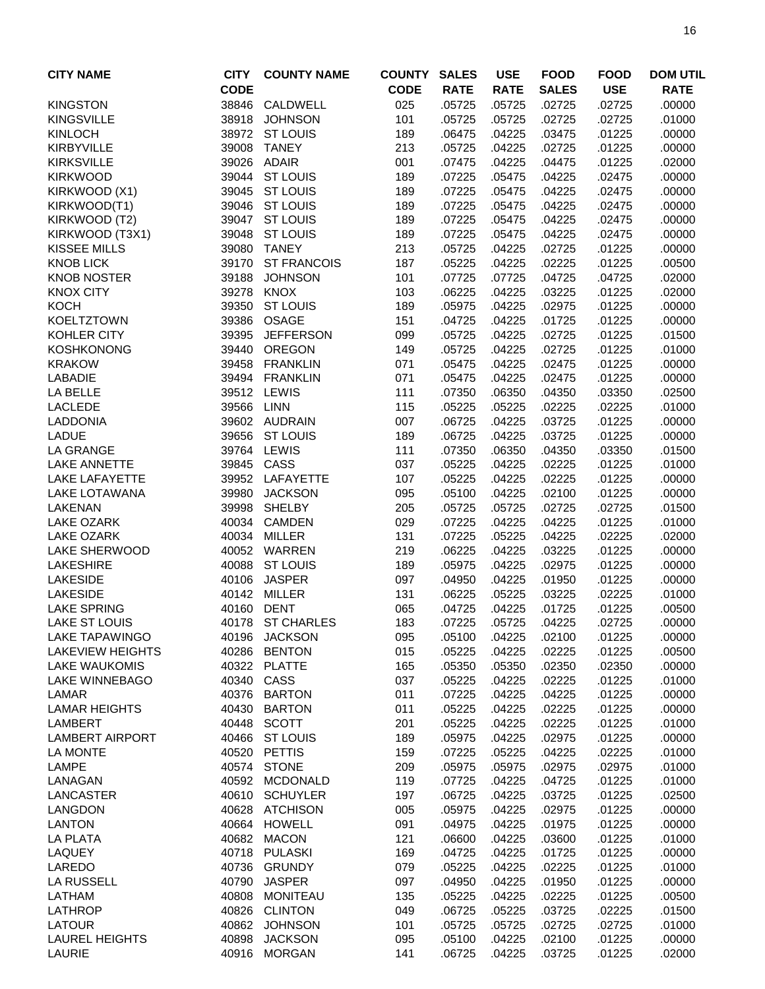| <b>CITY NAME</b>        | <b>CITY</b> | <b>COUNTY NAME</b> | <b>COUNTY</b> | <b>SALES</b> | <b>USE</b>  | <b>FOOD</b>  | <b>FOOD</b> | <b>DOM UTIL</b> |
|-------------------------|-------------|--------------------|---------------|--------------|-------------|--------------|-------------|-----------------|
|                         | <b>CODE</b> |                    | <b>CODE</b>   | <b>RATE</b>  | <b>RATE</b> | <b>SALES</b> | <b>USE</b>  | <b>RATE</b>     |
| <b>KINGSTON</b>         | 38846       | CALDWELL           | 025           | .05725       | .05725      | .02725       | .02725      | .00000          |
| <b>KINGSVILLE</b>       | 38918       | <b>JOHNSON</b>     | 101           | .05725       | .05725      | .02725       | .02725      | .01000          |
| <b>KINLOCH</b>          | 38972       | <b>ST LOUIS</b>    | 189           | .06475       | .04225      | .03475       | .01225      | .00000          |
|                         | 39008       | <b>TANEY</b>       | 213           |              |             | .02725       |             |                 |
| <b>KIRBYVILLE</b>       |             |                    |               | .05725       | .04225      |              | .01225      | .00000          |
| <b>KIRKSVILLE</b>       | 39026       | <b>ADAIR</b>       | 001           | .07475       | .04225      | .04475       | .01225      | .02000          |
| <b>KIRKWOOD</b>         |             | 39044 ST LOUIS     | 189           | .07225       | .05475      | .04225       | .02475      | .00000          |
| KIRKWOOD (X1)           |             | 39045 ST LOUIS     | 189           | .07225       | .05475      | .04225       | .02475      | .00000          |
| KIRKWOOD(T1)            |             | 39046 ST LOUIS     | 189           | .07225       | .05475      | .04225       | .02475      | .00000          |
| KIRKWOOD (T2)           | 39047       | <b>ST LOUIS</b>    | 189           | .07225       | .05475      | .04225       | .02475      | .00000          |
| KIRKWOOD (T3X1)         | 39048       | <b>ST LOUIS</b>    | 189           | .07225       | .05475      | .04225       | .02475      | .00000          |
| KISSEE MILLS            | 39080       | <b>TANEY</b>       | 213           | .05725       | .04225      | .02725       | .01225      | .00000          |
| <b>KNOB LICK</b>        | 39170       | <b>ST FRANCOIS</b> | 187           | .05225       | .04225      | .02225       | .01225      | .00500          |
| <b>KNOB NOSTER</b>      | 39188       | <b>JOHNSON</b>     | 101           | .07725       | .07725      | .04725       | .04725      | .02000          |
| <b>KNOX CITY</b>        | 39278       | <b>KNOX</b>        | 103           | .06225       | .04225      | .03225       | .01225      | .02000          |
| <b>KOCH</b>             | 39350       | <b>ST LOUIS</b>    | 189           | .05975       | .04225      | .02975       | .01225      | .00000          |
| <b>KOELTZTOWN</b>       | 39386       | OSAGE              | 151           | .04725       | .04225      | .01725       | .01225      | .00000          |
| KOHLER CITY             | 39395       | <b>JEFFERSON</b>   | 099           | .05725       | .04225      | .02725       | .01225      | .01500          |
| <b>KOSHKONONG</b>       | 39440       | <b>OREGON</b>      | 149           | .05725       | .04225      | .02725       | .01225      | .01000          |
| <b>KRAKOW</b>           | 39458       | <b>FRANKLIN</b>    | 071           | .05475       | .04225      | .02475       | .01225      | .00000          |
| <b>LABADIE</b>          |             | 39494 FRANKLIN     | 071           | .05475       | .04225      | .02475       | .01225      | .00000          |
| LA BELLE                | 39512       | LEWIS              | 111           | .07350       | .06350      | .04350       | .03350      | .02500          |
| <b>LACLEDE</b>          | 39566       | LINN               | 115           | .05225       | .05225      | .02225       | .02225      | .01000          |
| LADDONIA                |             | 39602 AUDRAIN      | 007           | .06725       | .04225      | .03725       | .01225      | .00000          |
| <b>LADUE</b>            | 39656       | <b>ST LOUIS</b>    | 189           | .06725       | .04225      | .03725       | .01225      | .00000          |
| <b>LA GRANGE</b>        | 39764       | LEWIS              | 111           | .07350       | .06350      | .04350       | .03350      | .01500          |
| <b>LAKE ANNETTE</b>     | 39845       | CASS               | 037           | .05225       | .04225      | .02225       | .01225      | .01000          |
| <b>LAKE LAFAYETTE</b>   | 39952       | LAFAYETTE          | 107           | .05225       | .04225      | .02225       | .01225      | .00000          |
| LAKE LOTAWANA           | 39980       | <b>JACKSON</b>     | 095           | .05100       | .04225      | .02100       | .01225      | .00000          |
| <b>LAKENAN</b>          | 39998       | <b>SHELBY</b>      | 205           | .05725       | .05725      | .02725       | .02725      | .01500          |
| <b>LAKE OZARK</b>       | 40034       | <b>CAMDEN</b>      | 029           | .07225       | .04225      | .04225       | .01225      | .01000          |
| <b>LAKE OZARK</b>       |             | 40034 MILLER       | 131           | .07225       | .05225      | .04225       | .02225      | .02000          |
| <b>LAKE SHERWOOD</b>    |             | 40052 WARREN       | 219           | .06225       | .04225      | .03225       | .01225      | .00000          |
| <b>LAKESHIRE</b>        |             | 40088 ST LOUIS     | 189           | .05975       | .04225      | .02975       | .01225      | .00000          |
| <b>LAKESIDE</b>         | 40106       | <b>JASPER</b>      | 097           | .04950       | .04225      | .01950       | .01225      | .00000          |
| <b>LAKESIDE</b>         | 40142       | MILLER             | 131           | .06225       | .05225      | .03225       | .02225      | .01000          |
| <b>LAKE SPRING</b>      | 40160       | <b>DENT</b>        | 065           | .04725       | .04225      | .01725       | .01225      | .00500          |
| <b>LAKE ST LOUIS</b>    |             | 40178 ST CHARLES   | 183           | .07225       | .05725      | .04225       | .02725      | .00000          |
| <b>LAKE TAPAWINGO</b>   |             | 40196 JACKSON      | 095           | .05100       | .04225      | .02100       | .01225      | .00000          |
| <b>LAKEVIEW HEIGHTS</b> | 40286       | <b>BENTON</b>      | 015           | .05225       | .04225      | .02225       | .01225      | .00500          |
| <b>LAKE WAUKOMIS</b>    | 40322       | <b>PLATTE</b>      | 165           | .05350       | .05350      | .02350       | .02350      | .00000          |
| LAKE WINNEBAGO          | 40340       | CASS               | 037           | .05225       | .04225      | .02225       | .01225      | .01000          |
| LAMAR                   | 40376       | <b>BARTON</b>      | 011           | .07225       | .04225      | .04225       | .01225      | .00000          |
| <b>LAMAR HEIGHTS</b>    | 40430       | BARTON             | 011           | .05225       | .04225      | .02225       | .01225      | .00000          |
| <b>LAMBERT</b>          |             | 40448 SCOTT        | 201           | .05225       | .04225      | .02225       | .01225      | .01000          |
| <b>LAMBERT AIRPORT</b>  |             | 40466 ST LOUIS     | 189           | .05975       | .04225      | .02975       | .01225      | .00000          |
| <b>LA MONTE</b>         | 40520       | PETTIS             | 159           | .07225       | .05225      | .04225       | .02225      | .01000          |
| LAMPE                   |             | 40574 STONE        | 209           | .05975       | .05975      | .02975       | .02975      | .01000          |
| LANAGAN                 |             | 40592 MCDONALD     | 119           | .07725       | .04225      | .04725       | .01225      | .01000          |
| <b>LANCASTER</b>        |             | 40610 SCHUYLER     | 197           | .06725       | .04225      | .03725       | .01225      | .02500          |
| <b>LANGDON</b>          |             | 40628 ATCHISON     | 005           | .05975       | .04225      | .02975       | .01225      | .00000          |
| <b>LANTON</b>           | 40664       | <b>HOWELL</b>      | 091           | .04975       | .04225      | .01975       | .01225      | .00000          |
| LA PLATA                | 40682       | <b>MACON</b>       | 121           | .06600       | .04225      | .03600       | .01225      | .01000          |
| LAQUEY                  |             | 40718 PULASKI      | 169           | .04725       | .04225      | .01725       | .01225      | .00000          |
| LAREDO                  |             | 40736 GRUNDY       | 079           | .05225       | .04225      | .02225       | .01225      | .01000          |
| LA RUSSELL              | 40790       | JASPER             | 097           | .04950       | .04225      | .01950       | .01225      | .00000          |
| LATHAM                  |             | 40808 MONITEAU     | 135           | .05225       | .04225      | .02225       | .01225      | .00500          |
| LATHROP                 |             | 40826 CLINTON      | 049           | .06725       | .05225      | .03725       | .02225      | .01500          |
| LATOUR                  |             | 40862 JOHNSON      | 101           | .05725       | .05725      | .02725       | .02725      | .01000          |
| <b>LAUREL HEIGHTS</b>   |             | 40898 JACKSON      | 095           | .05100       | .04225      | .02100       | .01225      | .00000          |
| LAURIE                  |             | 40916 MORGAN       | 141           | .06725       | .04225      | .03725       | .01225      | .02000          |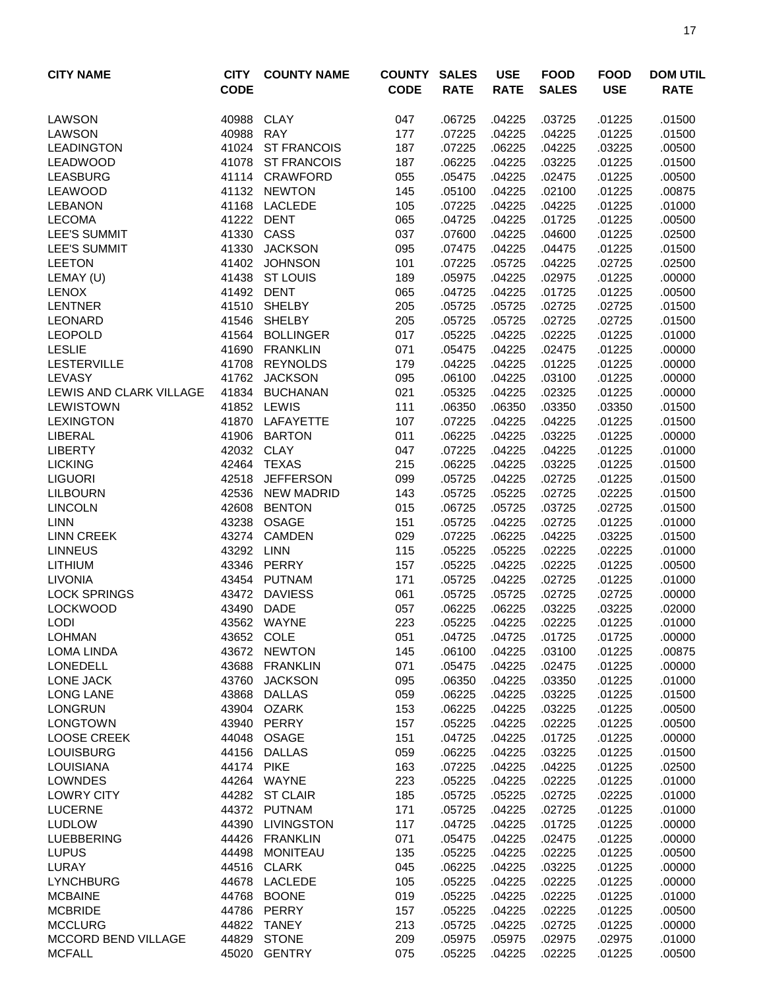| <b>CITY NAME</b>                  | <b>CITY</b><br><b>CODE</b> | <b>COUNTY NAME</b>                | <b>COUNTY</b><br><b>CODE</b> | <b>SALES</b><br><b>RATE</b> | <b>USE</b><br><b>RATE</b> | <b>FOOD</b><br><b>SALES</b> | <b>FOOD</b><br><b>USE</b> | <b>DOM UTIL</b><br><b>RATE</b> |
|-----------------------------------|----------------------------|-----------------------------------|------------------------------|-----------------------------|---------------------------|-----------------------------|---------------------------|--------------------------------|
| <b>LAWSON</b>                     | 40988                      | CLAY                              | 047                          | .06725                      | .04225                    | .03725                      | .01225                    | .01500                         |
| <b>LAWSON</b>                     | 40988                      | <b>RAY</b>                        | 177                          | .07225                      | .04225                    | .04225                      | .01225                    | .01500                         |
| <b>LEADINGTON</b>                 | 41024                      | <b>ST FRANCOIS</b>                | 187                          | .07225                      | .06225                    | .04225                      | .03225                    | .00500                         |
| LEADWOOD                          | 41078                      | <b>ST FRANCOIS</b>                | 187                          | .06225                      | .04225                    | .03225                      | .01225                    | .01500                         |
| <b>LEASBURG</b>                   |                            | 41114 CRAWFORD                    | 055                          | .05475                      | .04225                    | .02475                      | .01225                    | .00500                         |
| <b>LEAWOOD</b>                    |                            | 41132 NEWTON                      | 145                          | .05100                      | .04225                    | .02100                      | .01225                    | .00875                         |
| <b>LEBANON</b>                    |                            | 41168 LACLEDE                     | 105                          | .07225                      | .04225                    | .04225                      | .01225                    | .01000                         |
| <b>LECOMA</b>                     | 41222                      | <b>DENT</b>                       | 065                          | .04725                      | .04225                    | .01725                      | .01225                    | .00500                         |
| LEE'S SUMMIT                      | 41330                      | CASS                              | 037                          | .07600                      | .04225                    | .04600                      | .01225                    | .02500                         |
| <b>LEE'S SUMMIT</b>               | 41330                      | <b>JACKSON</b>                    | 095                          | .07475                      | .04225                    | .04475                      | .01225                    | .01500                         |
| <b>LEETON</b>                     | 41402                      | <b>JOHNSON</b>                    | 101                          | .07225                      | .05725                    | .04225                      | .02725                    | .02500                         |
| LEMAY (U)                         | 41438                      | <b>ST LOUIS</b>                   | 189                          | .05975                      | .04225                    | .02975                      | .01225                    | .00000                         |
| <b>LENOX</b>                      | 41492                      | <b>DENT</b>                       | 065                          | .04725                      | .04225                    | .01725                      | .01225                    | .00500                         |
| <b>LENTNER</b>                    | 41510                      | <b>SHELBY</b>                     | 205                          | .05725                      | .05725                    | .02725                      | .02725                    | .01500                         |
| <b>LEONARD</b>                    | 41546                      | <b>SHELBY</b>                     | 205                          | .05725                      | .05725                    | .02725                      | .02725                    | .01500                         |
| <b>LEOPOLD</b>                    | 41564                      | <b>BOLLINGER</b>                  | 017                          | .05225                      | .04225                    | .02225                      | .01225                    | .01000                         |
| <b>LESLIE</b>                     | 41690                      | <b>FRANKLIN</b>                   | 071                          | .05475<br>.04225            | .04225                    | .02475                      | .01225                    | .00000                         |
| <b>LESTERVILLE</b>                | 41708                      | <b>REYNOLDS</b>                   | 179                          |                             | .04225                    | .01225                      | .01225                    | .00000                         |
| LEVASY<br>LEWIS AND CLARK VILLAGE | 41762<br>41834             | <b>JACKSON</b><br><b>BUCHANAN</b> | 095                          | .06100                      | .04225                    | .03100                      | .01225                    | .00000                         |
| <b>LEWISTOWN</b>                  | 41852                      | LEWIS                             | 021                          | .05325                      | .04225                    | .02325                      | .01225                    | .00000                         |
|                                   | 41870                      |                                   | 111                          | .06350                      | .06350                    | .03350                      | .03350                    | .01500                         |
| <b>LEXINGTON</b><br>LIBERAL       | 41906                      | LAFAYETTE<br><b>BARTON</b>        | 107<br>011                   | .07225<br>.06225            | .04225<br>.04225          | .04225<br>.03225            | .01225<br>.01225          | .01500<br>.00000               |
| <b>LIBERTY</b>                    | 42032                      | <b>CLAY</b>                       | 047                          | .07225                      | .04225                    | .04225                      | .01225                    | .01000                         |
| <b>LICKING</b>                    | 42464                      | <b>TEXAS</b>                      | 215                          | .06225                      | .04225                    | .03225                      | .01225                    | .01500                         |
| <b>LIGUORI</b>                    | 42518                      | <b>JEFFERSON</b>                  | 099                          | .05725                      | .04225                    | .02725                      | .01225                    | .01500                         |
| <b>LILBOURN</b>                   | 42536                      | <b>NEW MADRID</b>                 | 143                          | .05725                      | .05225                    | .02725                      | .02225                    | .01500                         |
| <b>LINCOLN</b>                    | 42608                      | <b>BENTON</b>                     | 015                          | .06725                      | .05725                    | .03725                      | .02725                    | .01500                         |
| <b>LINN</b>                       | 43238                      | <b>OSAGE</b>                      | 151                          | .05725                      | .04225                    | .02725                      | .01225                    | .01000                         |
| <b>LINN CREEK</b>                 | 43274                      | <b>CAMDEN</b>                     | 029                          | .07225                      | .06225                    | .04225                      | .03225                    | .01500                         |
| <b>LINNEUS</b>                    | 43292 LINN                 |                                   | 115                          | .05225                      | .05225                    | .02225                      | .02225                    | .01000                         |
| <b>LITHIUM</b>                    |                            | 43346 PERRY                       | 157                          | .05225                      | .04225                    | .02225                      | .01225                    | .00500                         |
| <b>LIVONIA</b>                    |                            | 43454 PUTNAM                      | 171                          | .05725                      | .04225                    | .02725                      | .01225                    | .01000                         |
| <b>LOCK SPRINGS</b>               | 43472                      | <b>DAVIESS</b>                    | 061                          | .05725                      | .05725                    | .02725                      | .02725                    | .00000                         |
| <b>LOCKWOOD</b>                   | 43490                      | <b>DADE</b>                       | 057                          | .06225                      | .06225                    | .03225                      | .03225                    | .02000                         |
| <b>LODI</b>                       |                            | 43562 WAYNE                       | 223                          | .05225                      | .04225                    | .02225                      | .01225                    | .01000                         |
| <b>LOHMAN</b>                     |                            | 43652 COLE                        | 051                          | .04725                      | .04725                    | .01725                      | .01725                    | .00000                         |
| <b>LOMA LINDA</b>                 |                            | 43672 NEWTON                      | 145                          | .06100                      | .04225                    | .03100                      | .01225                    | .00875                         |
| <b>LONEDELL</b>                   | 43688                      | <b>FRANKLIN</b>                   | 071                          | .05475                      | .04225                    | .02475                      | .01225                    | .00000                         |
| LONE JACK                         | 43760                      | <b>JACKSON</b>                    | 095                          | .06350                      | .04225                    | .03350                      | .01225                    | .01000                         |
| <b>LONG LANE</b>                  | 43868                      | <b>DALLAS</b>                     | 059                          | .06225                      | .04225                    | .03225                      | .01225                    | .01500                         |
| <b>LONGRUN</b>                    |                            | 43904 OZARK                       | 153                          | .06225                      | .04225                    | .03225                      | .01225                    | .00500                         |
| <b>LONGTOWN</b>                   | 43940                      | PERRY                             | 157                          | .05225                      | .04225                    | .02225                      | .01225                    | .00500                         |
| <b>LOOSE CREEK</b>                |                            | 44048 OSAGE                       | 151                          | .04725                      | .04225                    | .01725                      | .01225                    | .00000                         |
| <b>LOUISBURG</b>                  |                            | 44156 DALLAS                      | 059                          | .06225                      | .04225                    | .03225                      | .01225                    | .01500                         |
| <b>LOUISIANA</b>                  | 44174                      | <b>PIKE</b>                       | 163                          | .07225                      | .04225                    | .04225                      | .01225                    | .02500                         |
| <b>LOWNDES</b>                    |                            | 44264 WAYNE                       | 223                          | .05225                      | .04225                    | .02225                      | .01225                    | .01000                         |
| <b>LOWRY CITY</b>                 |                            | 44282 ST CLAIR                    | 185                          | .05725                      | .05225                    | .02725                      | .02225                    | .01000                         |
| <b>LUCERNE</b>                    |                            | 44372 PUTNAM                      | 171                          | .05725                      | .04225                    | .02725                      | .01225                    | .01000                         |
| <b>LUDLOW</b>                     | 44390                      | <b>LIVINGSTON</b>                 | 117                          | .04725                      | .04225                    | .01725                      | .01225                    | .00000                         |
| <b>LUEBBERING</b>                 | 44426                      | <b>FRANKLIN</b>                   | 071                          | .05475                      | .04225                    | .02475                      | .01225                    | .00000                         |
| <b>LUPUS</b>                      | 44498                      | <b>MONITEAU</b>                   | 135                          | .05225                      | .04225                    | .02225                      | .01225                    | .00500                         |
| LURAY                             | 44516                      | <b>CLARK</b>                      | 045                          | .06225                      | .04225                    | .03225                      | .01225                    | .00000                         |
| <b>LYNCHBURG</b>                  | 44678                      | LACLEDE                           | 105                          | .05225                      | .04225                    | .02225                      | .01225                    | .00000                         |
| <b>MCBAINE</b>                    | 44768                      | <b>BOONE</b>                      | 019                          | .05225                      | .04225                    | .02225                      | .01225                    | .01000                         |
| <b>MCBRIDE</b>                    |                            | 44786 PERRY                       | 157                          | .05225                      | .04225                    | .02225                      | .01225                    | .00500                         |
| <b>MCCLURG</b>                    |                            | 44822 TANEY                       | 213                          | .05725                      | .04225                    | .02725                      | .01225                    | .00000                         |
| <b>MCCORD BEND VILLAGE</b>        |                            | 44829 STONE                       | 209                          | .05975                      | .05975                    | .02975                      | .02975                    | .01000                         |
| <b>MCFALL</b>                     | 45020                      | <b>GENTRY</b>                     | 075                          | .05225                      | .04225                    | .02225                      | .01225                    | .00500                         |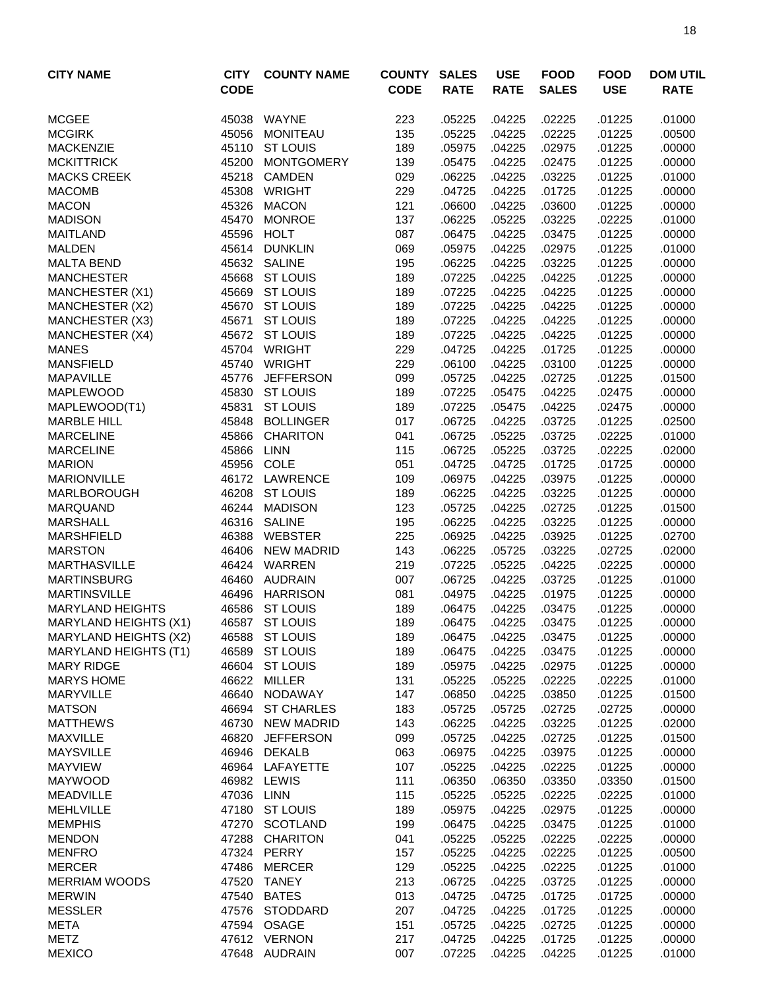| <b>CITY NAME</b>                          | <b>CITY</b><br><b>CODE</b> | <b>COUNTY NAME</b>                 | <b>COUNTY</b><br><b>CODE</b> | <b>SALES</b><br><b>RATE</b> | <b>USE</b><br><b>RATE</b> | <b>FOOD</b><br><b>SALES</b> | <b>FOOD</b><br><b>USE</b> | <b>DOM UTIL</b><br><b>RATE</b> |
|-------------------------------------------|----------------------------|------------------------------------|------------------------------|-----------------------------|---------------------------|-----------------------------|---------------------------|--------------------------------|
| <b>MCGEE</b>                              | 45038                      | WAYNE                              | 223                          | .05225                      | .04225                    | .02225                      | .01225                    | .01000                         |
| <b>MCGIRK</b>                             | 45056                      | <b>MONITEAU</b>                    | 135                          | .05225                      | .04225                    | .02225                      | .01225                    | .00500                         |
| <b>MACKENZIE</b>                          | 45110                      | <b>ST LOUIS</b>                    | 189                          | .05975                      | .04225                    | .02975                      | .01225                    | .00000                         |
| <b>MCKITTRICK</b>                         | 45200                      | <b>MONTGOMERY</b>                  | 139                          | .05475                      | .04225                    | .02475                      | .01225                    | .00000                         |
| <b>MACKS CREEK</b>                        | 45218                      | <b>CAMDEN</b>                      | 029                          | .06225                      | .04225                    | .03225                      | .01225                    | .01000                         |
| <b>MACOMB</b>                             | 45308                      | <b>WRIGHT</b>                      | 229                          | .04725                      | .04225                    | .01725                      | .01225                    | .00000                         |
| <b>MACON</b>                              | 45326                      | <b>MACON</b>                       | 121                          | .06600                      | .04225                    | .03600                      | .01225                    | .00000                         |
| <b>MADISON</b>                            | 45470                      | <b>MONROE</b>                      | 137                          | .06225                      | .05225                    | .03225                      | .02225                    | .01000                         |
| <b>MAITLAND</b>                           | 45596                      | <b>HOLT</b>                        | 087                          | .06475                      | .04225                    | .03475                      | .01225                    | .00000                         |
| <b>MALDEN</b>                             | 45614                      | <b>DUNKLIN</b>                     | 069                          | .05975                      | .04225                    | .02975                      | .01225                    | .01000                         |
| <b>MALTA BEND</b>                         | 45632                      | <b>SALINE</b>                      | 195                          | .06225                      | .04225                    | .03225                      | .01225                    | .00000                         |
| <b>MANCHESTER</b>                         | 45668                      | <b>ST LOUIS</b><br><b>ST LOUIS</b> | 189                          | .07225<br>.07225            | .04225                    | .04225<br>.04225            | .01225                    | .00000<br>.00000               |
| <b>MANCHESTER (X1)</b><br>MANCHESTER (X2) | 45669<br>45670             | <b>ST LOUIS</b>                    | 189<br>189                   | .07225                      | .04225<br>.04225          | .04225                      | .01225<br>.01225          | .00000                         |
| <b>MANCHESTER (X3)</b>                    | 45671                      | <b>ST LOUIS</b>                    | 189                          | .07225                      | .04225                    | .04225                      | .01225                    | .00000                         |
| MANCHESTER (X4)                           | 45672                      | <b>ST LOUIS</b>                    | 189                          | .07225                      | .04225                    | .04225                      | .01225                    | .00000                         |
| <b>MANES</b>                              | 45704                      | <b>WRIGHT</b>                      | 229                          | .04725                      | .04225                    | .01725                      | .01225                    | .00000                         |
| <b>MANSFIELD</b>                          | 45740                      | <b>WRIGHT</b>                      | 229                          | .06100                      | .04225                    | .03100                      | .01225                    | .00000                         |
| <b>MAPAVILLE</b>                          | 45776                      | <b>JEFFERSON</b>                   | 099                          | .05725                      | .04225                    | .02725                      | .01225                    | .01500                         |
| MAPLEWOOD                                 | 45830                      | <b>ST LOUIS</b>                    | 189                          | .07225                      | .05475                    | .04225                      | .02475                    | .00000                         |
| MAPLEWOOD(T1)                             | 45831                      | <b>ST LOUIS</b>                    | 189                          | .07225                      | .05475                    | .04225                      | .02475                    | .00000                         |
| <b>MARBLE HILL</b>                        | 45848                      | <b>BOLLINGER</b>                   | 017                          | .06725                      | .04225                    | .03725                      | .01225                    | .02500                         |
| <b>MARCELINE</b>                          | 45866                      | <b>CHARITON</b>                    | 041                          | .06725                      | .05225                    | .03725                      | .02225                    | .01000                         |
| <b>MARCELINE</b>                          | 45866                      | <b>LINN</b>                        | 115                          | .06725                      | .05225                    | .03725                      | .02225                    | .02000                         |
| <b>MARION</b>                             | 45956                      | COLE                               | 051                          | .04725                      | .04725                    | .01725                      | .01725                    | .00000                         |
| <b>MARIONVILLE</b>                        | 46172                      | <b>LAWRENCE</b>                    | 109                          | .06975                      | .04225                    | .03975                      | .01225                    | .00000                         |
| <b>MARLBOROUGH</b>                        | 46208                      | <b>ST LOUIS</b>                    | 189                          | .06225                      | .04225                    | .03225                      | .01225                    | .00000                         |
| <b>MARQUAND</b>                           | 46244                      | <b>MADISON</b>                     | 123                          | .05725                      | .04225                    | .02725                      | .01225                    | .01500                         |
| <b>MARSHALL</b>                           | 46316                      | <b>SALINE</b>                      | 195                          | .06225                      | .04225                    | .03225                      | .01225                    | .00000                         |
| <b>MARSHFIELD</b>                         | 46388                      | <b>WEBSTER</b>                     | 225                          | .06925                      | .04225                    | .03925                      | .01225                    | .02700                         |
| <b>MARSTON</b>                            | 46406                      | <b>NEW MADRID</b>                  | 143                          | .06225                      | .05725                    | .03225                      | .02725                    | .02000                         |
| <b>MARTHASVILLE</b>                       |                            | 46424 WARREN                       | 219                          | .07225                      | .05225                    | .04225                      | .02225                    | .00000                         |
| <b>MARTINSBURG</b>                        | 46460                      | AUDRAIN                            | 007                          | .06725                      | .04225                    | .03725                      | .01225                    | .01000                         |
| <b>MARTINSVILLE</b>                       | 46496                      | HARRISON                           | 081                          | .04975                      | .04225                    | .01975                      | .01225                    | .00000                         |
| <b>MARYLAND HEIGHTS</b>                   |                            | 46586 ST LOUIS                     | 189                          | .06475                      | .04225                    | .03475                      | .01225                    | .00000                         |
| <b>MARYLAND HEIGHTS (X1)</b>              |                            | 46587 ST LOUIS                     | 189                          | .06475                      | .04225                    | .03475                      | .01225                    | .00000                         |
| MARYLAND HEIGHTS (X2)                     |                            | 46588 ST LOUIS                     | 189                          | .06475                      | .04225                    | .03475                      | .01225                    | .00000                         |
| <b>MARYLAND HEIGHTS (T1)</b>              | 46589                      | <b>ST LOUIS</b>                    | 189                          | .06475                      | .04225                    | .03475                      | .01225                    | .00000                         |
| <b>MARY RIDGE</b>                         | 46604                      | <b>ST LOUIS</b>                    | 189                          | .05975                      | .04225                    | .02975                      | .01225                    | .00000                         |
| <b>MARYS HOME</b><br><b>MARYVILLE</b>     | 46622<br>46640             | MILLER<br><b>NODAWAY</b>           | 131<br>147                   | .05225                      | .05225                    | .02225<br>.03850            | .02225                    | .01000                         |
| <b>MATSON</b>                             | 46694                      | <b>ST CHARLES</b>                  | 183                          | .06850                      | .04225                    | .02725                      | .01225                    | .01500                         |
| <b>MATTHEWS</b>                           | 46730                      | <b>NEW MADRID</b>                  | 143                          | .05725<br>.06225            | .05725<br>.04225          | .03225                      | .02725<br>.01225          | .00000<br>.02000               |
| <b>MAXVILLE</b>                           | 46820                      | <b>JEFFERSON</b>                   | 099                          | .05725                      | .04225                    | .02725                      | .01225                    | .01500                         |
| <b>MAYSVILLE</b>                          | 46946                      | DEKALB                             | 063                          | .06975                      | .04225                    | .03975                      | .01225                    | .00000                         |
| <b>MAYVIEW</b>                            |                            | 46964 LAFAYETTE                    | 107                          | .05225                      | .04225                    | .02225                      | .01225                    | .00000                         |
| <b>MAYWOOD</b>                            |                            | 46982 LEWIS                        | 111                          | .06350                      | .06350                    | .03350                      | .03350                    | .01500                         |
| <b>MEADVILLE</b>                          | 47036 LINN                 |                                    | 115                          | .05225                      | .05225                    | .02225                      | .02225                    | .01000                         |
| <b>MEHLVILLE</b>                          |                            | 47180 ST LOUIS                     | 189                          | .05975                      | .04225                    | .02975                      | .01225                    | .00000                         |
| <b>MEMPHIS</b>                            | 47270                      | SCOTLAND                           | 199                          | .06475                      | .04225                    | .03475                      | .01225                    | .01000                         |
| <b>MENDON</b>                             | 47288                      | <b>CHARITON</b>                    | 041                          | .05225                      | .05225                    | .02225                      | .02225                    | .00000                         |
| <b>MENFRO</b>                             |                            | 47324 PERRY                        | 157                          | .05225                      | .04225                    | .02225                      | .01225                    | .00500                         |
| <b>MERCER</b>                             | 47486                      | <b>MERCER</b>                      | 129                          | .05225                      | .04225                    | .02225                      | .01225                    | .01000                         |
| <b>MERRIAM WOODS</b>                      | 47520                      | <b>TANEY</b>                       | 213                          | .06725                      | .04225                    | .03725                      | .01225                    | .00000                         |
| <b>MERWIN</b>                             | 47540                      | <b>BATES</b>                       | 013                          | .04725                      | .04725                    | .01725                      | .01725                    | .00000                         |
| <b>MESSLER</b>                            | 47576                      | STODDARD                           | 207                          | .04725                      | .04225                    | .01725                      | .01225                    | .00000                         |
| <b>META</b>                               |                            | 47594 OSAGE                        | 151                          | .05725                      | .04225                    | .02725                      | .01225                    | .00000                         |
| <b>METZ</b>                               |                            | 47612 VERNON                       | 217                          | .04725                      | .04225                    | .01725                      | .01225                    | .00000                         |
| <b>MEXICO</b>                             |                            | 47648 AUDRAIN                      | 007                          | .07225                      | .04225                    | .04225                      | .01225                    | .01000                         |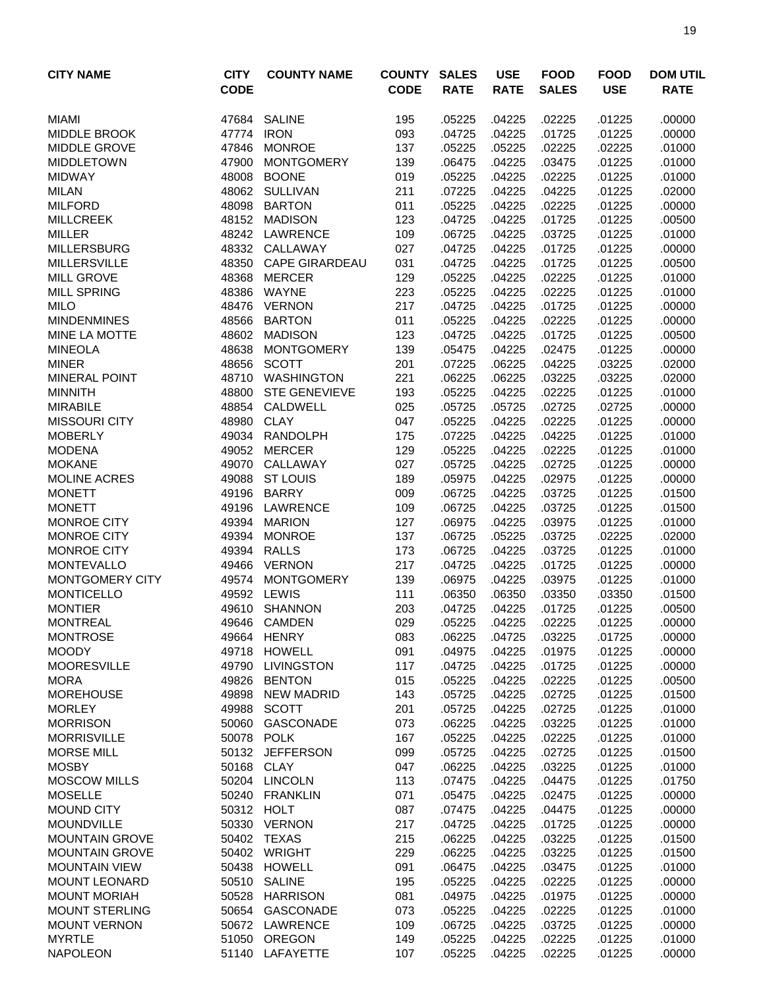| <b>CITY NAME</b>                        | <b>CITY</b><br><b>CODE</b> | <b>COUNTY NAME</b>              | <b>COUNTY</b><br><b>CODE</b> | <b>SALES</b><br><b>RATE</b> | <b>USE</b><br><b>RATE</b> | <b>FOOD</b><br><b>SALES</b> | <b>FOOD</b><br><b>USE</b> | <b>DOM UTIL</b><br><b>RATE</b> |
|-----------------------------------------|----------------------------|---------------------------------|------------------------------|-----------------------------|---------------------------|-----------------------------|---------------------------|--------------------------------|
| <b>MIAMI</b>                            | 47684                      | <b>SALINE</b>                   | 195                          | .05225                      | .04225                    | .02225                      | .01225                    | .00000                         |
| <b>MIDDLE BROOK</b>                     | 47774                      | <b>IRON</b>                     | 093                          | .04725                      | .04225                    | .01725                      | .01225                    | .00000                         |
| <b>MIDDLE GROVE</b>                     | 47846                      | <b>MONROE</b>                   | 137                          | .05225                      | .05225                    | .02225                      | .02225                    | .01000                         |
| <b>MIDDLETOWN</b>                       | 47900                      | <b>MONTGOMERY</b>               | 139                          | .06475                      | .04225                    | .03475                      | .01225                    | .01000                         |
| <b>MIDWAY</b>                           | 48008                      | <b>BOONE</b>                    | 019                          | .05225                      | .04225                    | .02225                      | .01225                    | .01000                         |
| <b>MILAN</b>                            |                            | 48062 SULLIVAN                  | 211                          | .07225                      | .04225                    | .04225                      | .01225                    | .02000                         |
| <b>MILFORD</b>                          | 48098                      | <b>BARTON</b>                   | 011                          | .05225                      | .04225                    | .02225                      | .01225                    | .00000                         |
| <b>MILLCREEK</b>                        | 48152                      | <b>MADISON</b>                  | 123                          | .04725                      | .04225                    | .01725                      | .01225                    | .00500                         |
| <b>MILLER</b>                           | 48242                      | LAWRENCE                        | 109                          | .06725                      | .04225                    | .03725                      | .01225                    | .01000                         |
| <b>MILLERSBURG</b>                      | 48332                      | CALLAWAY                        | 027                          | .04725                      | .04225                    | .01725                      | .01225                    | .00000                         |
| <b>MILLERSVILLE</b>                     | 48350                      | <b>CAPE GIRARDEAU</b>           | 031                          | .04725                      | .04225                    | .01725                      | .01225                    | .00500                         |
| <b>MILL GROVE</b>                       | 48368                      | <b>MERCER</b>                   | 129                          | .05225                      | .04225                    | .02225                      | .01225                    | .01000                         |
| <b>MILL SPRING</b>                      | 48386                      | WAYNE                           | 223                          | .05225                      | .04225                    | .02225                      | .01225                    | .01000                         |
| <b>MILO</b>                             | 48476                      | <b>VERNON</b>                   | 217                          | .04725                      | .04225                    | .01725                      | .01225                    | .00000                         |
| <b>MINDENMINES</b><br>MINE LA MOTTE     | 48566<br>48602             | <b>BARTON</b><br><b>MADISON</b> | 011<br>123                   | .05225<br>.04725            | .04225<br>.04225          | .02225<br>.01725            | .01225<br>.01225          | .00000<br>.00500               |
| <b>MINEOLA</b>                          | 48638                      | <b>MONTGOMERY</b>               | 139                          | .05475                      | .04225                    | .02475                      | .01225                    | .00000                         |
| <b>MINER</b>                            | 48656                      | <b>SCOTT</b>                    | 201                          | .07225                      | .06225                    | .04225                      | .03225                    | .02000                         |
| <b>MINERAL POINT</b>                    | 48710                      | WASHINGTON                      | 221                          | .06225                      | .06225                    | .03225                      | .03225                    | .02000                         |
| <b>MINNITH</b>                          | 48800                      | <b>STE GENEVIEVE</b>            | 193                          | .05225                      | .04225                    | .02225                      | .01225                    | .01000                         |
| <b>MIRABILE</b>                         | 48854                      | CALDWELL                        | 025                          | .05725                      | .05725                    | .02725                      | .02725                    | .00000                         |
| <b>MISSOURI CITY</b>                    | 48980                      | <b>CLAY</b>                     | 047                          | .05225                      | .04225                    | .02225                      | .01225                    | .00000                         |
| <b>MOBERLY</b>                          | 49034                      | <b>RANDOLPH</b>                 | 175                          | .07225                      | .04225                    | .04225                      | .01225                    | .01000                         |
| <b>MODENA</b>                           | 49052                      | <b>MERCER</b>                   | 129                          | .05225                      | .04225                    | .02225                      | .01225                    | .01000                         |
| <b>MOKANE</b>                           | 49070                      | CALLAWAY                        | 027                          | .05725                      | .04225                    | .02725                      | .01225                    | .00000                         |
| <b>MOLINE ACRES</b>                     | 49088                      | <b>ST LOUIS</b>                 | 189                          | .05975                      | .04225                    | .02975                      | .01225                    | .00000                         |
| <b>MONETT</b>                           | 49196                      | <b>BARRY</b>                    | 009                          | .06725                      | .04225                    | .03725                      | .01225                    | .01500                         |
| <b>MONETT</b>                           | 49196                      | LAWRENCE                        | 109                          | .06725                      | .04225                    | .03725                      | .01225                    | .01500                         |
| <b>MONROE CITY</b>                      | 49394                      | <b>MARION</b>                   | 127                          | .06975                      | .04225                    | .03975                      | .01225                    | .01000                         |
| <b>MONROE CITY</b>                      | 49394                      | <b>MONROE</b>                   | 137                          | .06725                      | .05225                    | .03725                      | .02225                    | .02000                         |
| <b>MONROE CITY</b>                      | 49394                      | <b>RALLS</b>                    | 173                          | .06725                      | .04225                    | .03725                      | .01225                    | .01000                         |
| <b>MONTEVALLO</b>                       |                            | 49466 VERNON                    | 217                          | .04725                      | .04225                    | .01725                      | .01225                    | .00000                         |
| MONTGOMERY CITY                         | 49574                      | <b>MONTGOMERY</b>               | 139                          | .06975                      | .04225                    | .03975                      | .01225                    | .01000                         |
| <b>MONTICELLO</b>                       | 49592                      | <b>LEWIS</b>                    | 111                          | .06350                      | .06350                    | .03350                      | .03350                    | .01500                         |
| <b>MONTIER</b>                          | 49610                      | <b>SHANNON</b>                  | 203                          | .04725                      | .04225                    | .01725                      | .01225                    | .00500                         |
| <b>MONTREAL</b>                         |                            | 49646 CAMDEN                    | 029                          | .05225                      | .04225                    | .02225                      | .01225                    | .00000                         |
| <b>MONTROSE</b>                         |                            | 49664 HENRY                     | 083                          | .06225                      | .04725                    | .03225                      | .01725                    | .00000                         |
| <b>MOODY</b>                            |                            | 49718 HOWELL                    | 091                          | .04975                      | .04225                    | .01975                      | .01225                    | .00000                         |
| <b>MOORESVILLE</b>                      | 49790                      | LIVINGSTON                      | 117                          | .04725                      | .04225                    | .01725                      | .01225                    | .00000                         |
| <b>MORA</b>                             | 49826                      | <b>BENTON</b>                   | 015                          | .05225                      | .04225                    | .02225                      | .01225                    | .00500                         |
| <b>MOREHOUSE</b>                        | 49898                      | <b>NEW MADRID</b>               | 143                          | .05725                      | .04225                    | .02725                      | .01225                    | .01500                         |
| <b>MORLEY</b>                           | 49988                      | SCOTT                           | 201                          | .05725                      | .04225                    | .02725                      | .01225                    | .01000                         |
| <b>MORRISON</b>                         |                            | 50060 GASCONADE                 | 073                          | .06225                      | .04225                    | .03225                      | .01225                    | .01000                         |
| <b>MORRISVILLE</b>                      |                            | 50078 POLK                      | 167                          | .05225                      | .04225                    | .02225                      | .01225                    | .01000                         |
| <b>MORSE MILL</b>                       |                            | 50132 JEFFERSON                 | 099                          | .05725                      | .04225                    | .02725                      | .01225                    | .01500                         |
| <b>MOSBY</b>                            |                            | 50168 CLAY                      | 047                          | .06225                      | .04225                    | .03225                      | .01225                    | .01000                         |
| <b>MOSCOW MILLS</b>                     |                            | 50204 LINCOLN                   | 113                          | .07475                      | .04225                    | .04475                      | .01225                    | .01750                         |
| <b>MOSELLE</b>                          |                            | 50240 FRANKLIN                  | 071                          | .05475                      | .04225                    | .02475                      | .01225                    | .00000                         |
| <b>MOUND CITY</b>                       |                            | 50312 HOLT                      | 087                          | .07475                      | .04225                    | .04475                      | .01225                    | .00000                         |
| <b>MOUNDVILLE</b>                       |                            | 50330 VERNON                    | 217                          | .04725                      | .04225                    | .01725                      | .01225                    | .00000                         |
| <b>MOUNTAIN GROVE</b><br>MOUNTAIN GROVE |                            | 50402 TEXAS<br>50402 WRIGHT     | 215<br>229                   | .06225<br>.06225            | .04225<br>.04225          | .03225<br>.03225            | .01225                    | .01500                         |
| <b>MOUNTAIN VIEW</b>                    |                            | 50438 HOWELL                    | 091                          | .06475                      | .04225                    | .03475                      | .01225<br>.01225          | .01500<br>.01000               |
| <b>MOUNT LEONARD</b>                    |                            | 50510 SALINE                    | 195                          | .05225                      | .04225                    | .02225                      | .01225                    |                                |
| <b>MOUNT MORIAH</b>                     |                            | 50528 HARRISON                  | 081                          | .04975                      | .04225                    | .01975                      | .01225                    | .00000<br>.00000               |
| <b>MOUNT STERLING</b>                   |                            | 50654 GASCONADE                 | 073                          | .05225                      | .04225                    | .02225                      | .01225                    | .01000                         |
| <b>MOUNT VERNON</b>                     |                            | 50672 LAWRENCE                  | 109                          | .06725                      | .04225                    | .03725                      | .01225                    | .00000                         |
| <b>MYRTLE</b>                           |                            | 51050 OREGON                    | 149                          | .05225                      | .04225                    | .02225                      | .01225                    | .01000                         |
| <b>NAPOLEON</b>                         |                            | 51140 LAFAYETTE                 | 107                          | .05225                      | .04225                    | .02225                      | .01225                    | .00000                         |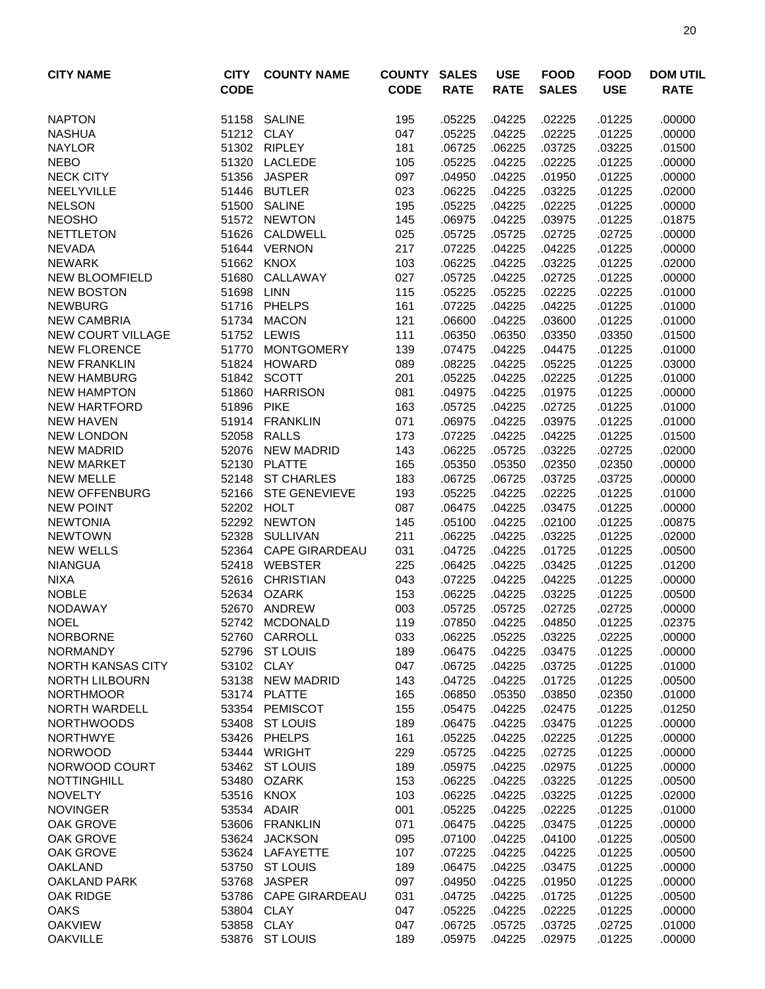| <b>CITY NAME</b>                               | <b>CITY</b><br><b>CODE</b> | <b>COUNTY NAME</b>             | <b>COUNTY</b><br><b>CODE</b> | <b>SALES</b><br><b>RATE</b> | <b>USE</b><br><b>RATE</b> | <b>FOOD</b><br><b>SALES</b> | <b>FOOD</b><br><b>USE</b> | <b>DOM UTIL</b><br><b>RATE</b> |
|------------------------------------------------|----------------------------|--------------------------------|------------------------------|-----------------------------|---------------------------|-----------------------------|---------------------------|--------------------------------|
|                                                |                            |                                |                              |                             |                           |                             |                           |                                |
| <b>NAPTON</b>                                  |                            | 51158 SALINE                   | 195                          | .05225                      | .04225                    | .02225                      | .01225                    | .00000                         |
| <b>NASHUA</b>                                  | 51212 CLAY                 |                                | 047                          | .05225                      | .04225                    | .02225                      | .01225                    | .00000                         |
| <b>NAYLOR</b>                                  |                            | 51302 RIPLEY                   | 181                          | .06725                      | .06225                    | .03725                      | .03225                    | .01500                         |
| <b>NEBO</b>                                    | 51320                      | <b>LACLEDE</b>                 | 105                          | .05225                      | .04225                    | .02225                      | .01225                    | .00000                         |
| <b>NECK CITY</b>                               | 51356                      | <b>JASPER</b>                  | 097                          | .04950                      | .04225                    | .01950                      | .01225                    | .00000                         |
| NEELYVILLE                                     |                            | 51446 BUTLER                   | 023                          | .06225                      | .04225                    | .03225                      | .01225                    | .02000                         |
| <b>NELSON</b>                                  | 51500                      | <b>SALINE</b>                  | 195                          | .05225                      | .04225                    | .02225                      | .01225                    | .00000                         |
| <b>NEOSHO</b>                                  | 51572                      | <b>NEWTON</b>                  | 145                          | .06975                      | .04225                    | .03975                      | .01225                    | .01875                         |
| <b>NETTLETON</b>                               | 51626                      | CALDWELL                       | 025                          | .05725                      | .05725                    | .02725                      | .02725                    | .00000                         |
| <b>NEVADA</b>                                  |                            | 51644 VERNON                   | 217                          | .07225                      | .04225                    | .04225                      | .01225                    | .00000                         |
| <b>NEWARK</b>                                  | 51662                      | <b>KNOX</b>                    | 103                          | .06225                      | .04225                    | .03225                      | .01225                    | .02000                         |
| <b>NEW BLOOMFIELD</b>                          | 51680                      | CALLAWAY                       | 027                          | .05725                      | .04225                    | .02725                      | .01225                    | .00000                         |
| <b>NEW BOSTON</b>                              | 51698                      | LINN                           | 115                          | .05225                      | .05225                    | .02225                      | .02225                    | .01000                         |
| <b>NEWBURG</b>                                 | 51716                      | <b>PHELPS</b>                  | 161<br>121                   | .07225                      | .04225                    | .04225                      | .01225                    | .01000                         |
| <b>NEW CAMBRIA</b><br><b>NEW COURT VILLAGE</b> | 51734                      | <b>MACON</b><br>51752 LEWIS    | 111                          | .06600<br>.06350            | .04225<br>.06350          | .03600<br>.03350            | .01225<br>.03350          | .01000<br>.01500               |
| <b>NEW FLORENCE</b>                            | 51770                      | <b>MONTGOMERY</b>              | 139                          | .07475                      | .04225                    | .04475                      | .01225                    | .01000                         |
| <b>NEW FRANKLIN</b>                            |                            | 51824 HOWARD                   | 089                          | .08225                      | .04225                    | .05225                      | .01225                    | .03000                         |
| <b>NEW HAMBURG</b>                             |                            | 51842 SCOTT                    | 201                          | .05225                      | .04225                    | .02225                      | .01225                    | .01000                         |
| <b>NEW HAMPTON</b>                             | 51860                      | <b>HARRISON</b>                | 081                          | .04975                      | .04225                    | .01975                      | .01225                    | .00000                         |
| <b>NEW HARTFORD</b>                            | 51896                      | <b>PIKE</b>                    | 163                          | .05725                      | .04225                    | .02725                      | .01225                    | .01000                         |
| <b>NEW HAVEN</b>                               | 51914                      | <b>FRANKLIN</b>                | 071                          | .06975                      | .04225                    | .03975                      | .01225                    | .01000                         |
| <b>NEW LONDON</b>                              | 52058                      | <b>RALLS</b>                   | 173                          | .07225                      | .04225                    | .04225                      | .01225                    | .01500                         |
| <b>NEW MADRID</b>                              | 52076                      | <b>NEW MADRID</b>              | 143                          | .06225                      | .05725                    | .03225                      | .02725                    | .02000                         |
| <b>NEW MARKET</b>                              | 52130                      | <b>PLATTE</b>                  | 165                          | .05350                      | .05350                    | .02350                      | .02350                    | .00000                         |
| <b>NEW MELLE</b>                               | 52148                      | <b>ST CHARLES</b>              | 183                          | .06725                      | .06725                    | .03725                      | .03725                    | .00000                         |
| <b>NEW OFFENBURG</b>                           | 52166                      | <b>STE GENEVIEVE</b>           | 193                          | .05225                      | .04225                    | .02225                      | .01225                    | .01000                         |
| <b>NEW POINT</b>                               | 52202                      | <b>HOLT</b>                    | 087                          | .06475                      | .04225                    | .03475                      | .01225                    | .00000                         |
| <b>NEWTONIA</b>                                |                            | 52292 NEWTON                   | 145                          | .05100                      | .04225                    | .02100                      | .01225                    | .00875                         |
| <b>NEWTOWN</b>                                 |                            | 52328 SULLIVAN                 | 211                          | .06225                      | .04225                    | .03225                      | .01225                    | .02000                         |
| <b>NEW WELLS</b>                               |                            | 52364 CAPE GIRARDEAU           | 031                          | .04725                      | .04225                    | .01725                      | .01225                    | .00500                         |
| <b>NIANGUA</b>                                 | 52418                      | <b>WEBSTER</b>                 | 225                          | .06425                      | .04225                    | .03425                      | .01225                    | .01200                         |
| <b>NIXA</b>                                    | 52616                      | <b>CHRISTIAN</b>               | 043                          | .07225                      | .04225                    | .04225                      | .01225                    | .00000                         |
| <b>NOBLE</b>                                   | 52634                      | <b>OZARK</b>                   | 153                          | .06225                      | .04225                    | .03225                      | .01225                    | .00500                         |
| <b>NODAWAY</b>                                 | 52670                      | <b>ANDREW</b>                  | 003                          | .05725                      | .05725                    | .02725                      | .02725                    | .00000                         |
| NOEL                                           | 52742                      | <b>MCDONALD</b>                | 119                          | .07850                      | .04225                    | .04850                      | .01225                    | .02375                         |
| <b>NORBORNE</b>                                |                            | 52760 CARROLL                  | 033                          | .06225                      | .05225                    | .03225                      | .02225                    | .00000                         |
| <b>NORMANDY</b>                                | 52796                      | <b>ST LOUIS</b>                | 189                          | .06475                      | .04225                    | .03475                      | .01225                    | .00000                         |
| <b>NORTH KANSAS CITY</b>                       | 53102 CLAY                 |                                | 047                          | .06725                      | .04225                    | .03725                      | .01225                    | .01000                         |
| <b>NORTH LILBOURN</b>                          | 53138                      | <b>NEW MADRID</b>              | 143                          | .04725                      | .04225                    | .01725                      | .01225                    | .00500                         |
| <b>NORTHMOOR</b>                               |                            | 53174 PLATTE                   | 165                          | .06850                      | .05350                    | .03850                      | .02350                    | .01000                         |
| <b>NORTH WARDELL</b>                           |                            | 53354 PEMISCOT                 | 155                          | .05475                      | .04225                    | .02475                      | .01225                    | .01250                         |
| <b>NORTHWOODS</b>                              |                            | 53408 ST LOUIS                 | 189                          | .06475                      | .04225                    | .03475                      | .01225                    | .00000                         |
| <b>NORTHWYE</b>                                |                            | 53426 PHELPS                   | 161                          | .05225                      | .04225                    | .02225                      | .01225                    | .00000                         |
| <b>NORWOOD</b>                                 |                            | 53444 WRIGHT<br>53462 ST LOUIS | 229                          | .05725                      | .04225                    | .02725                      | .01225                    | .00000                         |
| NORWOOD COURT                                  |                            | <b>OZARK</b>                   | 189                          | .05975                      | .04225                    | .02975                      | .01225                    | .00000                         |
| <b>NOTTINGHILL</b><br><b>NOVELTY</b>           | 53480                      | 53516 KNOX                     | 153<br>103                   | .06225<br>.06225            | .04225<br>.04225          | .03225<br>.03225            | .01225<br>.01225          | .00500<br>.02000               |
| <b>NOVINGER</b>                                |                            | 53534 ADAIR                    | 001                          | .05225                      | .04225                    | .02225                      | .01225                    | .01000                         |
| OAK GROVE                                      | 53606                      | <b>FRANKLIN</b>                | 071                          | .06475                      | .04225                    | .03475                      | .01225                    | .00000                         |
| OAK GROVE                                      | 53624                      | <b>JACKSON</b>                 | 095                          | .07100                      | .04225                    | .04100                      | .01225                    | .00500                         |
| OAK GROVE                                      | 53624                      | LAFAYETTE                      | 107                          | .07225                      | .04225                    | .04225                      | .01225                    | .00500                         |
| <b>OAKLAND</b>                                 | 53750                      | <b>ST LOUIS</b>                | 189                          | .06475                      | .04225                    | .03475                      | .01225                    | .00000                         |
| <b>OAKLAND PARK</b>                            | 53768                      | <b>JASPER</b>                  | 097                          | .04950                      | .04225                    | .01950                      | .01225                    | .00000                         |
| <b>OAK RIDGE</b>                               | 53786                      | <b>CAPE GIRARDEAU</b>          | 031                          | .04725                      | .04225                    | .01725                      | .01225                    | .00500                         |
| <b>OAKS</b>                                    | 53804 CLAY                 |                                | 047                          | .05225                      | .04225                    | .02225                      | .01225                    | .00000                         |
| <b>OAKVIEW</b>                                 |                            | 53858 CLAY                     | 047                          | .06725                      | .05725                    | .03725                      | .02725                    | .01000                         |
| <b>OAKVILLE</b>                                |                            | 53876 ST LOUIS                 | 189                          | .05975                      | .04225                    | .02975                      | .01225                    | .00000                         |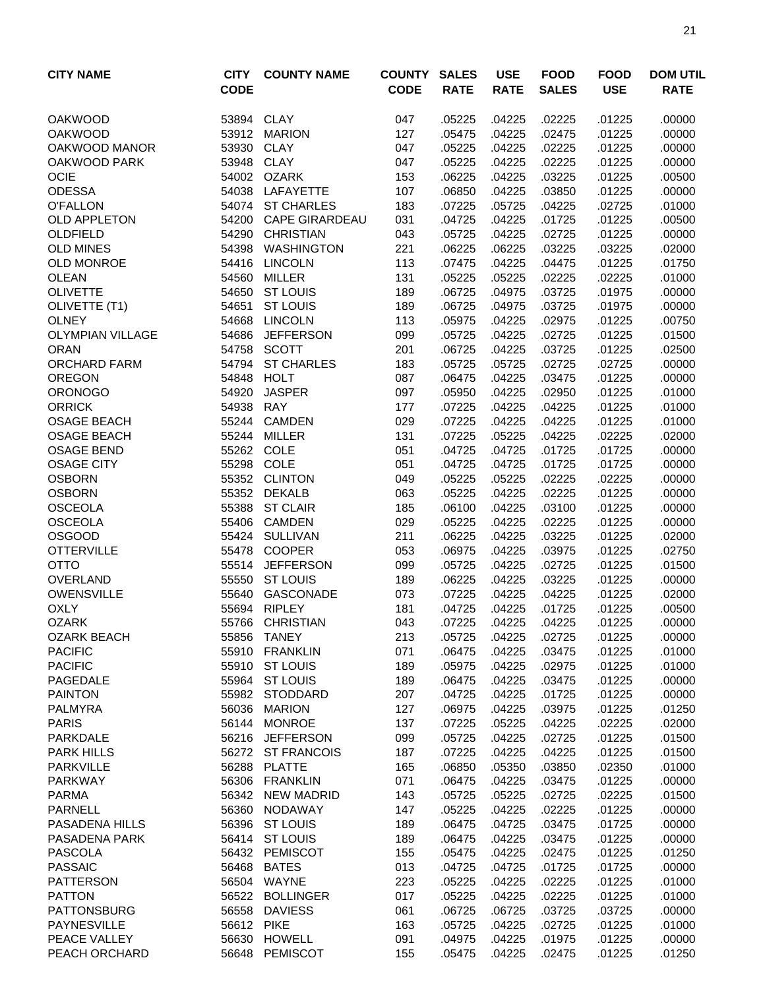| <b>CITY NAME</b>                   | <b>CITY</b> | <b>COUNTY NAME</b>                   | <b>COUNTY</b> | <b>SALES</b>     | <b>USE</b>       | <b>FOOD</b>      | <b>FOOD</b>      | <b>DOM UTIL</b>  |
|------------------------------------|-------------|--------------------------------------|---------------|------------------|------------------|------------------|------------------|------------------|
|                                    | <b>CODE</b> |                                      | <b>CODE</b>   | <b>RATE</b>      | <b>RATE</b>      | <b>SALES</b>     | <b>USE</b>       | <b>RATE</b>      |
| <b>OAKWOOD</b>                     | 53894       | <b>CLAY</b>                          | 047           | .05225           | .04225           | .02225           | .01225           | .00000           |
| <b>OAKWOOD</b>                     | 53912       | <b>MARION</b>                        | 127           | .05475           | .04225           | .02475           | .01225           | .00000           |
| OAKWOOD MANOR                      | 53930       | <b>CLAY</b>                          | 047           | .05225           | .04225           | .02225           | .01225           | .00000           |
| OAKWOOD PARK                       | 53948       | <b>CLAY</b>                          | 047           | .05225           | .04225           | .02225           | .01225           | .00000           |
| <b>OCIE</b>                        |             | 54002 OZARK                          | 153           | .06225           | .04225           | .03225           | .01225           | .00500           |
| <b>ODESSA</b>                      | 54038       | LAFAYETTE                            | 107           | .06850           | .04225           | .03850           | .01225           | .00000           |
| <b>O'FALLON</b>                    |             | 54074 ST CHARLES                     | 183           | .07225           | .05725           | .04225           | .02725           | .01000           |
| <b>OLD APPLETON</b>                | 54200       | <b>CAPE GIRARDEAU</b>                | 031           | .04725           | .04225           | .01725           | .01225           | .00500           |
| OLDFIELD                           | 54290       | <b>CHRISTIAN</b>                     | 043           | .05725           | .04225           | .02725           | .01225           | .00000           |
| <b>OLD MINES</b>                   | 54398       | <b>WASHINGTON</b>                    | 221           | .06225           | .06225           | .03225           | .03225           | .02000           |
| <b>OLD MONROE</b>                  | 54416       | <b>LINCOLN</b>                       | 113           | .07475           | .04225           | .04475           | .01225           | .01750           |
| <b>OLEAN</b>                       | 54560       | MILLER                               | 131           | .05225           | .05225           | .02225           | .02225           | .01000           |
| <b>OLIVETTE</b>                    | 54650       | <b>ST LOUIS</b>                      | 189           | .06725           | .04975           | .03725           | .01975           | .00000           |
| OLIVETTE (T1)                      | 54651       | <b>ST LOUIS</b>                      | 189           | .06725           | .04975           | .03725           | .01975           | .00000           |
| <b>OLNEY</b>                       | 54668       | <b>LINCOLN</b>                       | 113           | .05975           | .04225           | .02975           | .01225           | .00750           |
| <b>OLYMPIAN VILLAGE</b>            | 54686       | <b>JEFFERSON</b>                     | 099           | .05725           | .04225           | .02725           | .01225           | .01500           |
| <b>ORAN</b>                        | 54758       | <b>SCOTT</b>                         | 201           | .06725           | .04225           | .03725           | .01225           | .02500           |
| <b>ORCHARD FARM</b>                |             | 54794 ST CHARLES                     | 183           | .05725           | .05725           | .02725           | .02725           | .00000           |
| <b>OREGON</b>                      | 54848       | <b>HOLT</b>                          | 087           | .06475           | .04225           | .03475           | .01225           | .00000           |
| <b>ORONOGO</b>                     | 54920       | <b>JASPER</b>                        | 097           | .05950           | .04225           | .02950           | .01225           | .01000           |
| <b>ORRICK</b>                      | 54938       | <b>RAY</b>                           | 177           | .07225           | .04225           | .04225           | .01225           | .01000           |
| <b>OSAGE BEACH</b>                 | 55244       | <b>CAMDEN</b>                        | 029           | .07225           | .04225           | .04225           | .01225           | .01000           |
| <b>OSAGE BEACH</b>                 | 55244       | <b>MILLER</b>                        | 131           | .07225           | .05225           | .04225           | .02225           | .02000           |
| <b>OSAGE BEND</b>                  |             | 55262 COLE                           | 051           | .04725           | .04725           | .01725           | .01725           | .00000           |
| <b>OSAGE CITY</b>                  | 55298       | COLE                                 | 051           | .04725           | .04725           | .01725           | .01725           | .00000           |
| <b>OSBORN</b>                      | 55352       | <b>CLINTON</b>                       | 049           | .05225           | .05225           | .02225           | .02225           | .00000           |
| <b>OSBORN</b>                      | 55352       | <b>DEKALB</b>                        | 063           | .05225           | .04225           | .02225           | .01225           | .00000           |
| <b>OSCEOLA</b>                     | 55388       | <b>ST CLAIR</b>                      | 185           | .06100           | .04225           | .03100           | .01225           | .00000           |
| <b>OSCEOLA</b>                     | 55406       | <b>CAMDEN</b>                        | 029           | .05225           | .04225           | .02225           | .01225           | .00000           |
| <b>OSGOOD</b>                      |             | 55424 SULLIVAN                       | 211           | .06225           | .04225           | .03225           | .01225           | .02000           |
| <b>OTTERVILLE</b>                  | 55478       | <b>COOPER</b>                        | 053           | .06975           | .04225           | .03975           | .01225           | .02750           |
| <b>OTTO</b>                        | 55514       | <b>JEFFERSON</b>                     | 099           | .05725           | .04225           | .02725           | .01225           | .01500           |
| OVERLAND                           | 55550       | <b>ST LOUIS</b>                      | 189           | .06225           | .04225           | .03225           | .01225           | .00000           |
| <b>OWENSVILLE</b>                  | 55640       | GASCONADE                            | 073           | .07225           | .04225           | .04225           | .01225           | .02000           |
| <b>OXLY</b>                        | 55694       | <b>RIPLEY</b>                        | 181           | .04725           | .04225           | .01725           | .01225           | .00500           |
| <b>OZARK</b>                       | 55766       | <b>CHRISTIAN</b>                     | 043           | .07225           | .04225           | .04225           | .01225           | .00000           |
| <b>OZARK BEACH</b>                 |             | 55856 TANEY                          | 213           | .05725           | .04225           | .02725           | .01225           | .00000           |
| <b>PACIFIC</b>                     |             | 55910 FRANKLIN                       | 071           | .06475           | .04225           | .03475           | .01225           | .01000           |
| <b>PACIFIC</b>                     | 55910       | <b>ST LOUIS</b>                      | 189           | .05975           | .04225           | .02975           | .01225           | .01000           |
| PAGEDALE                           |             | 55964 ST LOUIS                       | 189           | .06475           | .04225           | .03475           | .01225           | .00000           |
| <b>PAINTON</b>                     |             | 55982 STODDARD                       | 207           | .04725           | .04225           | .01725           | .01225           | .00000           |
| <b>PALMYRA</b>                     |             | 56036 MARION                         | 127           | .06975           | .04225           | .03975           | .01225           | .01250           |
| <b>PARIS</b>                       |             | 56144 MONROE                         | 137           | .07225           | .05225           | .04225           | .02225           | .02000           |
| PARKDALE<br><b>PARK HILLS</b>      |             | 56216 JEFFERSON<br>56272 ST FRANCOIS | 099<br>187    | .05725<br>.07225 | .04225<br>.04225 | .02725<br>.04225 | .01225<br>.01225 | .01500<br>.01500 |
|                                    |             |                                      |               |                  |                  |                  |                  |                  |
| <b>PARKVILLE</b><br><b>PARKWAY</b> |             | 56288 PLATTE<br>56306 FRANKLIN       | 165<br>071    | .06850<br>.06475 | .05350<br>.04225 | .03850<br>.03475 | .02350<br>.01225 | .01000<br>.00000 |
| <b>PARMA</b>                       |             | 56342 NEW MADRID                     | 143           | .05725           | .05225           | .02725           | .02225           | .01500           |
| <b>PARNELL</b>                     |             | 56360 NODAWAY                        | 147           | .05225           | .04225           | .02225           | .01225           | .00000           |
| PASADENA HILLS                     |             | 56396 ST LOUIS                       | 189           | .06475           | .04725           | .03475           | .01725           | .00000           |
| PASADENA PARK                      |             | 56414 ST LOUIS                       | 189           | .06475           | .04225           | .03475           | .01225           | .00000           |
| <b>PASCOLA</b>                     |             | 56432 PEMISCOT                       | 155           | .05475           | .04225           | .02475           | .01225           | .01250           |
| <b>PASSAIC</b>                     |             | 56468 BATES                          | 013           | .04725           | .04725           | .01725           | .01725           | .00000           |
| <b>PATTERSON</b>                   |             | 56504 WAYNE                          | 223           | .05225           | .04225           | .02225           | .01225           | .01000           |
| <b>PATTON</b>                      |             | 56522 BOLLINGER                      | 017           | .05225           | .04225           | .02225           | .01225           | .01000           |
| <b>PATTONSBURG</b>                 |             | 56558 DAVIESS                        | 061           | .06725           | .06725           | .03725           | .03725           | .00000           |
| <b>PAYNESVILLE</b>                 |             | 56612 PIKE                           | 163           | .05725           | .04225           | .02725           | .01225           | .01000           |
| PEACE VALLEY                       |             | 56630 HOWELL                         | 091           | .04975           | .04225           | .01975           | .01225           | .00000           |
| PEACH ORCHARD                      |             | 56648 PEMISCOT                       | 155           | .05475           | .04225           | .02475           | .01225           | .01250           |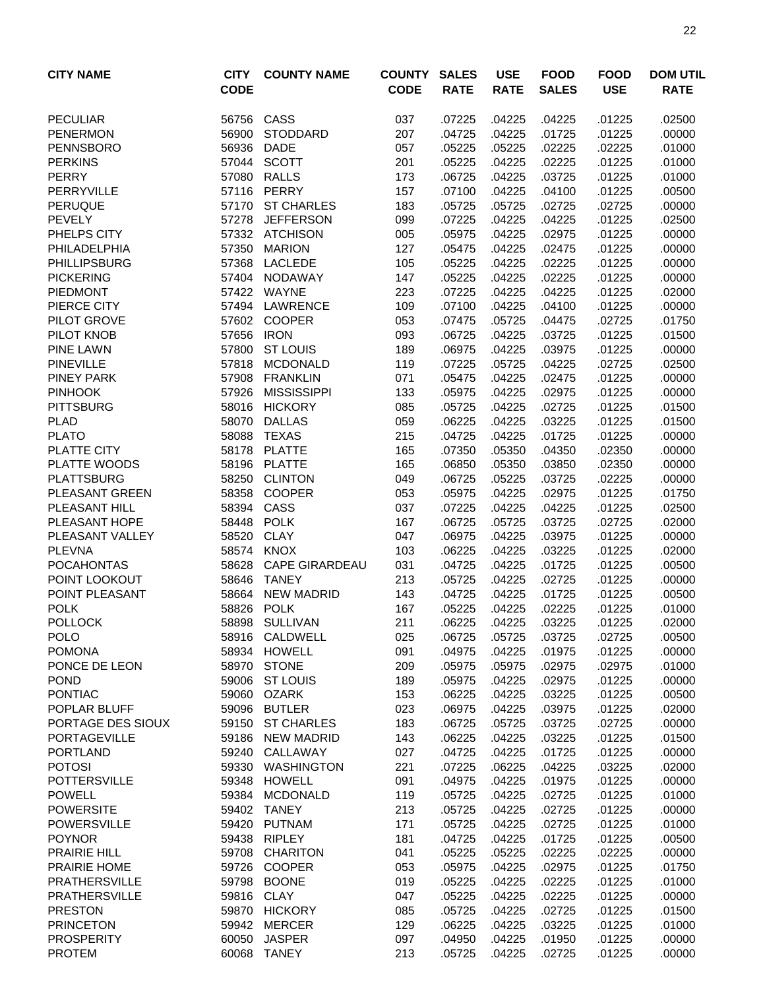| <b>CITY NAME</b>              | <b>CITY</b><br><b>CODE</b> | <b>COUNTY NAME</b>               | <b>COUNTY</b><br><b>CODE</b> | <b>SALES</b><br><b>RATE</b> | <b>USE</b><br><b>RATE</b> | <b>FOOD</b><br><b>SALES</b> | <b>FOOD</b><br><b>USE</b> | <b>DOM UTIL</b><br><b>RATE</b> |
|-------------------------------|----------------------------|----------------------------------|------------------------------|-----------------------------|---------------------------|-----------------------------|---------------------------|--------------------------------|
| <b>PECULIAR</b>               | 56756                      | CASS                             | 037                          | .07225                      | .04225                    | .04225                      | .01225                    | .02500                         |
| <b>PENERMON</b>               | 56900                      | <b>STODDARD</b>                  | 207                          | .04725                      | .04225                    | .01725                      | .01225                    | .00000                         |
| <b>PENNSBORO</b>              | 56936                      | <b>DADE</b>                      | 057                          | .05225                      | .05225                    | .02225                      | .02225                    | .01000                         |
| <b>PERKINS</b>                | 57044                      | <b>SCOTT</b>                     | 201                          | .05225                      | .04225                    | .02225                      | .01225                    | .01000                         |
| <b>PERRY</b>                  | 57080                      | <b>RALLS</b>                     | 173                          | .06725                      | .04225                    | .03725                      | .01225                    | .01000                         |
| <b>PERRYVILLE</b>             | 57116                      | <b>PERRY</b>                     | 157                          | .07100                      | .04225                    | .04100                      | .01225                    | .00500                         |
| <b>PERUQUE</b>                | 57170                      | <b>ST CHARLES</b>                | 183                          | .05725                      | .05725                    | .02725                      | .02725                    | .00000                         |
| <b>PEVELY</b>                 | 57278                      | <b>JEFFERSON</b>                 | 099                          | .07225                      | .04225                    | .04225                      | .01225                    | .02500                         |
| PHELPS CITY                   |                            | 57332 ATCHISON                   | 005                          | .05975                      | .04225                    | .02975                      | .01225                    | .00000                         |
| PHILADELPHIA                  | 57350                      | <b>MARION</b>                    | 127                          | .05475                      | .04225                    | .02475                      | .01225                    | .00000                         |
| <b>PHILLIPSBURG</b>           | 57368                      | <b>LACLEDE</b>                   | 105                          | .05225                      | .04225                    | .02225                      | .01225                    | .00000                         |
| <b>PICKERING</b>              | 57404                      | NODAWAY                          | 147                          | .05225                      | .04225                    | .02225                      | .01225                    | .00000                         |
| <b>PIEDMONT</b>               | 57422                      | WAYNE                            | 223                          | .07225                      | .04225                    | .04225                      | .01225                    | .02000                         |
| PIERCE CITY                   | 57494                      | LAWRENCE                         | 109                          | .07100                      | .04225                    | .04100                      | .01225                    | .00000                         |
| PILOT GROVE                   | 57602                      | <b>COOPER</b>                    | 053                          | .07475                      | .05725                    | .04475                      | .02725                    | .01750                         |
| PILOT KNOB                    | 57656                      | <b>IRON</b>                      | 093                          | .06725                      | .04225                    | .03725                      | .01225                    | .01500                         |
| <b>PINE LAWN</b>              | 57800                      | <b>ST LOUIS</b>                  | 189                          | .06975                      | .04225                    | .03975                      | .01225                    | .00000                         |
| <b>PINEVILLE</b>              | 57818                      | <b>MCDONALD</b>                  | 119                          | .07225                      | .05725                    | .04225                      | .02725                    | .02500                         |
| <b>PINEY PARK</b>             | 57908                      | <b>FRANKLIN</b>                  | 071                          | .05475                      | .04225                    | .02475                      | .01225                    | .00000                         |
| <b>PINHOOK</b>                | 57926                      | <b>MISSISSIPPI</b>               | 133                          | .05975                      | .04225                    | .02975                      | .01225                    | .00000                         |
| <b>PITTSBURG</b>              | 58016                      | <b>HICKORY</b>                   | 085                          | .05725                      | .04225                    | .02725                      | .01225                    | .01500                         |
| <b>PLAD</b>                   | 58070                      | <b>DALLAS</b>                    | 059                          | .06225                      | .04225                    | .03225                      | .01225                    | .01500                         |
| <b>PLATO</b>                  | 58088                      | <b>TEXAS</b>                     | 215                          | .04725                      | .04225                    | .01725                      | .01225                    | .00000                         |
| PLATTE CITY                   | 58178                      | <b>PLATTE</b>                    | 165                          | .07350                      | .05350                    | .04350                      | .02350                    | .00000                         |
| PLATTE WOODS                  | 58196                      | <b>PLATTE</b>                    | 165                          | .06850                      | .05350                    | .03850                      | .02350                    | .00000                         |
| <b>PLATTSBURG</b>             | 58250                      | <b>CLINTON</b>                   | 049                          | .06725                      | .05225                    | .03725                      | .02225                    | .00000                         |
| PLEASANT GREEN                | 58358                      | <b>COOPER</b>                    | 053                          | .05975                      | .04225                    | .02975                      | .01225                    | .01750                         |
| PLEASANT HILL                 | 58394                      | CASS                             | 037                          | .07225                      | .04225                    | .04225                      | .01225                    | .02500                         |
| PLEASANT HOPE                 | 58448                      | <b>POLK</b>                      | 167                          | .06725                      | .05725                    | .03725                      | .02725                    | .02000                         |
| PLEASANT VALLEY               | 58520                      | <b>CLAY</b>                      | 047                          | .06975                      | .04225                    | .03975                      | .01225                    | .00000                         |
| <b>PLEVNA</b>                 |                            | 58574 KNOX                       | 103                          | .06225                      | .04225                    | .03225                      | .01225                    | .02000                         |
| <b>POCAHONTAS</b>             | 58628                      | <b>CAPE GIRARDEAU</b>            | 031                          | .04725                      | .04225                    | .01725                      | .01225                    | .00500                         |
| POINT LOOKOUT                 | 58646                      | <b>TANEY</b>                     | 213                          | .05725                      | .04225                    | .02725                      | .01225                    | .00000                         |
| POINT PLEASANT<br><b>POLK</b> | 58664<br>58826             | <b>NEW MADRID</b><br><b>POLK</b> | 143                          | .04725                      | .04225                    | .01725<br>.02225            | .01225<br>.01225          | .00500<br>.01000               |
|                               |                            | 58898 SULLIVAN                   | 167                          | .05225<br>06225             | .04225<br>.04225          | .03225                      | .01225                    | .02000                         |
| <b>POLLOCK</b><br><b>POLO</b> |                            | 58916 CALDWELL                   | 211<br>025                   |                             |                           | .03725                      | .02725                    | .00500                         |
| <b>POMONA</b>                 | 58934                      | HOWELL                           | 091                          | .06725<br>.04975            | .05725<br>.04225          | .01975                      | .01225                    | .00000                         |
| PONCE DE LEON                 | 58970                      | <b>STONE</b>                     | 209                          | .05975                      | .05975                    | .02975                      | .02975                    | .01000                         |
| <b>POND</b>                   | 59006                      | <b>ST LOUIS</b>                  | 189                          | .05975                      | .04225                    | .02975                      | .01225                    | .00000                         |
| <b>PONTIAC</b>                | 59060                      | OZARK                            | 153                          | .06225                      | .04225                    | .03225                      | .01225                    | .00500                         |
| POPLAR BLUFF                  | 59096                      | <b>BUTLER</b>                    | 023                          | .06975                      | .04225                    | .03975                      | .01225                    | .02000                         |
| PORTAGE DES SIOUX             |                            | 59150 ST CHARLES                 | 183                          | .06725                      | .05725                    | .03725                      | .02725                    | .00000                         |
| <b>PORTAGEVILLE</b>           |                            | 59186 NEW MADRID                 | 143                          | .06225                      | .04225                    | .03225                      | .01225                    | .01500                         |
| <b>PORTLAND</b>               |                            | 59240 CALLAWAY                   | 027                          | .04725                      | .04225                    | .01725                      | .01225                    | .00000                         |
| <b>POTOSI</b>                 | 59330                      | WASHINGTON                       | 221                          | .07225                      | .06225                    | .04225                      | .03225                    | .02000                         |
| <b>POTTERSVILLE</b>           | 59348                      | <b>HOWELL</b>                    | 091                          | .04975                      | .04225                    | .01975                      | .01225                    | .00000                         |
| <b>POWELL</b>                 | 59384                      | <b>MCDONALD</b>                  | 119                          | .05725                      | .04225                    | .02725                      | .01225                    | .01000                         |
| <b>POWERSITE</b>              |                            | 59402 TANEY                      | 213                          | .05725                      | .04225                    | .02725                      | .01225                    | .00000                         |
| <b>POWERSVILLE</b>            | 59420                      | PUTNAM                           | 171                          | .05725                      | .04225                    | .02725                      | .01225                    | .01000                         |
| <b>POYNOR</b>                 | 59438                      | <b>RIPLEY</b>                    | 181                          | .04725                      | .04225                    | .01725                      | .01225                    | .00500                         |
| <b>PRAIRIE HILL</b>           | 59708                      | <b>CHARITON</b>                  | 041                          | .05225                      | .05225                    | .02225                      | .02225                    | .00000                         |
| PRAIRIE HOME                  | 59726                      | <b>COOPER</b>                    | 053                          | .05975                      | .04225                    | .02975                      | .01225                    | .01750                         |
| <b>PRATHERSVILLE</b>          | 59798                      | <b>BOONE</b>                     | 019                          | .05225                      | .04225                    | .02225                      | .01225                    | .01000                         |
| <b>PRATHERSVILLE</b>          | 59816                      | <b>CLAY</b>                      | 047                          | .05225                      | .04225                    | .02225                      | .01225                    | .00000                         |
| <b>PRESTON</b>                |                            | 59870 HICKORY                    | 085                          | .05725                      | .04225                    | .02725                      | .01225                    | .01500                         |
| <b>PRINCETON</b>              |                            | 59942 MERCER                     | 129                          | .06225                      | .04225                    | .03225                      | .01225                    | .01000                         |
| <b>PROSPERITY</b>             | 60050                      | <b>JASPER</b>                    | 097                          | .04950                      | .04225                    | .01950                      | .01225                    | .00000                         |
| <b>PROTEM</b>                 |                            | 60068 TANEY                      | 213                          | .05725                      | .04225                    | .02725                      | .01225                    | .00000                         |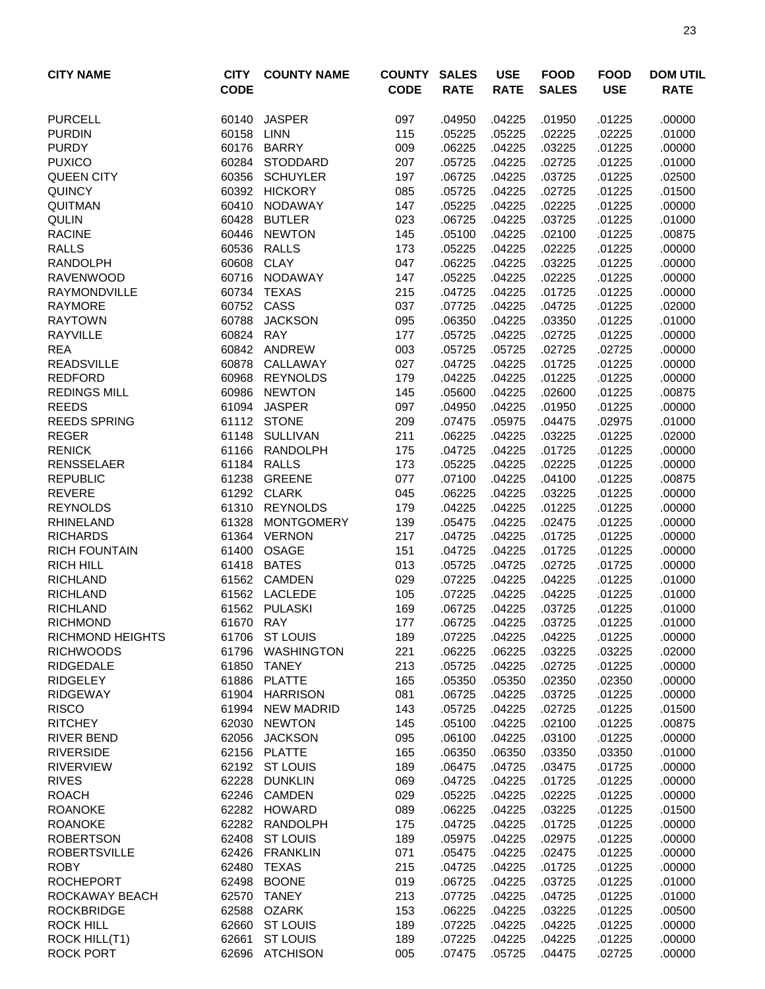| <b>CITY NAME</b>                    | <b>CITY</b>    | <b>COUNTY NAME</b>         | <b>COUNTY</b> | <b>SALES</b>     | <b>USE</b>       | <b>FOOD</b>      | <b>FOOD</b>      | <b>DOM UTIL</b>  |
|-------------------------------------|----------------|----------------------------|---------------|------------------|------------------|------------------|------------------|------------------|
|                                     | <b>CODE</b>    |                            | <b>CODE</b>   | <b>RATE</b>      | <b>RATE</b>      | <b>SALES</b>     | <b>USE</b>       | <b>RATE</b>      |
| <b>PURCELL</b>                      | 60140          | <b>JASPER</b>              | 097           | .04950           | .04225           | .01950           | .01225           | .00000           |
| <b>PURDIN</b>                       | 60158          | <b>LINN</b>                | 115           | .05225           | .05225           | .02225           | .02225           | .01000           |
| <b>PURDY</b>                        | 60176          | <b>BARRY</b>               | 009           | .06225           | .04225           | .03225           | .01225           | .00000           |
| <b>PUXICO</b>                       |                | 60284 STODDARD             | 207           | .05725           | .04225           | .02725           | .01225           | .01000           |
| <b>QUEEN CITY</b>                   | 60356          | <b>SCHUYLER</b>            | 197           | .06725           | .04225           | .03725           | .01225           | .02500           |
| <b>QUINCY</b>                       |                | 60392 HICKORY              | 085           | .05725           | .04225           | .02725           | .01225           | .01500           |
| QUITMAN                             | 60410          | <b>NODAWAY</b>             | 147           | .05225           | .04225           | .02225           | .01225           | .00000           |
| <b>QULIN</b>                        | 60428          | <b>BUTLER</b>              | 023           | .06725           | .04225           | .03725           | .01225           | .01000           |
| <b>RACINE</b>                       | 60446          | <b>NEWTON</b>              | 145           | .05100           | .04225           | .02100           | .01225           | .00875           |
| <b>RALLS</b>                        | 60536          | <b>RALLS</b>               | 173           | .05225           | .04225           | .02225           | .01225           | .00000           |
| <b>RANDOLPH</b>                     | 60608          | <b>CLAY</b>                | 047           | .06225           | .04225           | .03225           | .01225           | .00000           |
| <b>RAVENWOOD</b>                    | 60716          | <b>NODAWAY</b>             | 147           | .05225           | .04225           | .02225           | .01225           | .00000           |
| <b>RAYMONDVILLE</b>                 | 60734          | <b>TEXAS</b>               | 215           | .04725           | .04225           | .01725           | .01225           | .00000           |
| <b>RAYMORE</b>                      | 60752          | CASS                       | 037           | .07725           | .04225           | .04725           | .01225           | .02000           |
| <b>RAYTOWN</b>                      | 60788          | <b>JACKSON</b>             | 095           | .06350           | .04225           | .03350           | .01225           | .01000           |
| <b>RAYVILLE</b>                     | 60824          | <b>RAY</b>                 | 177           | .05725           | .04225           | .02725           | .01225           | .00000           |
| <b>REA</b>                          |                | 60842 ANDREW               | 003           | .05725           | .05725           | .02725           | .02725           | .00000           |
| <b>READSVILLE</b>                   | 60878          | CALLAWAY                   | 027           | .04725           | .04225           | .01725           | .01225           | .00000           |
| <b>REDFORD</b>                      | 60968          | <b>REYNOLDS</b>            | 179           | .04225           | .04225           | .01225           | .01225           | .00000           |
| <b>REDINGS MILL</b>                 | 60986          | <b>NEWTON</b>              | 145           | .05600           | .04225           | .02600           | .01225           | .00875           |
| <b>REEDS</b>                        | 61094          | <b>JASPER</b>              | 097           | .04950           | .04225           | .01950           | .01225           | .00000           |
| <b>REEDS SPRING</b>                 |                | 61112 STONE                | 209           | .07475           | .05975           | .04475           | .02975           | .01000           |
| <b>REGER</b>                        | 61148          | <b>SULLIVAN</b>            | 211           | .06225           | .04225           | .03225           | .01225           | .02000           |
| <b>RENICK</b>                       | 61166          | <b>RANDOLPH</b>            | 175           | .04725           | .04225           | .01725           | .01225           | .00000           |
| <b>RENSSELAER</b>                   | 61184          | <b>RALLS</b>               | 173           | .05225           | .04225           | .02225           | .01225           | .00000           |
| <b>REPUBLIC</b>                     | 61238          | <b>GREENE</b>              | 077           | .07100           | .04225           | .04100           | .01225           | .00875           |
| <b>REVERE</b>                       | 61292          | <b>CLARK</b>               | 045           | .06225           | .04225           | .03225           | .01225           | .00000           |
| <b>REYNOLDS</b>                     | 61310          | <b>REYNOLDS</b>            | 179           | .04225           | .04225           | .01225           | .01225           | .00000           |
| <b>RHINELAND</b>                    | 61328          | <b>MONTGOMERY</b>          | 139           | .05475           | .04225           | .02475           | .01225           | .00000           |
| <b>RICHARDS</b>                     |                | 61364 VERNON               | 217           | .04725           | .04225           | .01725           | .01225           | .00000           |
| <b>RICH FOUNTAIN</b>                | 61400          | OSAGE                      | 151           | .04725           | .04225           | .01725           | .01225           | .00000           |
| <b>RICH HILL</b>                    | 61418          | <b>BATES</b>               | 013           | .05725           | .04725           | .02725           | .01725           | .00000           |
| <b>RICHLAND</b>                     |                | 61562 CAMDEN               | 029           | .07225           | .04225           | .04225           | .01225           | .01000           |
| <b>RICHLAND</b>                     | 61562          | LACLEDE                    | 105           | .07225           | .04225           | .04225           | .01225           | .01000           |
| <b>RICHLAND</b><br><b>RICHMOND</b>  |                | 61562 PULASKI              | 169           | .06725           | .04225           | .03725           | .01225           | .01000           |
|                                     | 61670 RAY      |                            | 177           | .06725           | .04225           | .03725           | .01225           | .01000           |
| <b>RICHMOND HEIGHTS</b>             |                | 61706 ST LOUIS             | 189           | .07225           | .04225           | .04225           | .01225           | .00000           |
| <b>RICHWOODS</b>                    | 61796          | WASHINGTON<br><b>TANEY</b> | 221           | .06225           | .06225           | .03225           | .03225           | .02000           |
| <b>RIDGEDALE</b><br><b>RIDGELEY</b> | 61850<br>61886 | <b>PLATTE</b>              | 213<br>165    | .05725<br>.05350 | .04225<br>.05350 | .02725<br>.02350 | .01225<br>.02350 | .00000<br>.00000 |
| <b>RIDGEWAY</b>                     |                | 61904 HARRISON             | 081           | .06725           | .04225           | .03725           | .01225           | .00000           |
| <b>RISCO</b>                        |                | 61994 NEW MADRID           | 143           | .05725           | .04225           | .02725           | .01225           | .01500           |
| <b>RITCHEY</b>                      | 62030          | <b>NEWTON</b>              | 145           | .05100           | .04225           | .02100           | .01225           | .00875           |
| <b>RIVER BEND</b>                   |                | 62056 JACKSON              | 095           | .06100           | .04225           | .03100           | .01225           | .00000           |
| <b>RIVERSIDE</b>                    |                | 62156 PLATTE               | 165           | .06350           | .06350           | .03350           | .03350           | .01000           |
| <b>RIVERVIEW</b>                    |                | 62192 ST LOUIS             | 189           | .06475           | .04725           | .03475           | .01725           | .00000           |
| <b>RIVES</b>                        | 62228          | <b>DUNKLIN</b>             | 069           | .04725           | .04225           | .01725           | .01225           | .00000           |
| <b>ROACH</b>                        | 62246          | CAMDEN                     | 029           | .05225           | .04225           | .02225           | .01225           | .00000           |
| <b>ROANOKE</b>                      |                | 62282 HOWARD               | 089           | .06225           | .04225           | .03225           | .01225           | .01500           |
| <b>ROANOKE</b>                      |                | 62282 RANDOLPH             | 175           | .04725           | .04225           | .01725           | .01225           | .00000           |
| <b>ROBERTSON</b>                    | 62408          | <b>ST LOUIS</b>            | 189           | .05975           | .04225           | .02975           | .01225           | .00000           |
| <b>ROBERTSVILLE</b>                 | 62426          | <b>FRANKLIN</b>            | 071           | .05475           | .04225           | .02475           | .01225           | .00000           |
| <b>ROBY</b>                         | 62480          | TEXAS                      | 215           | .04725           | .04225           | .01725           | .01225           | .00000           |
| <b>ROCHEPORT</b>                    | 62498          | <b>BOONE</b>               | 019           | .06725           | .04225           | .03725           | .01225           | .01000           |
| ROCKAWAY BEACH                      | 62570          | TANEY                      | 213           | .07725           | .04225           | .04725           | .01225           | .01000           |
| <b>ROCKBRIDGE</b>                   | 62588          | OZARK                      | 153           | .06225           | .04225           | .03225           | .01225           | .00500           |
| <b>ROCK HILL</b>                    | 62660          | <b>ST LOUIS</b>            | 189           | .07225           | .04225           | .04225           | .01225           | .00000           |
| ROCK HILL(T1)                       | 62661          | <b>ST LOUIS</b>            | 189           | .07225           | .04225           | .04225           | .01225           | .00000           |
| <b>ROCK PORT</b>                    |                | 62696 ATCHISON             | 005           | .07475           | .05725           | .04475           | .02725           | .00000           |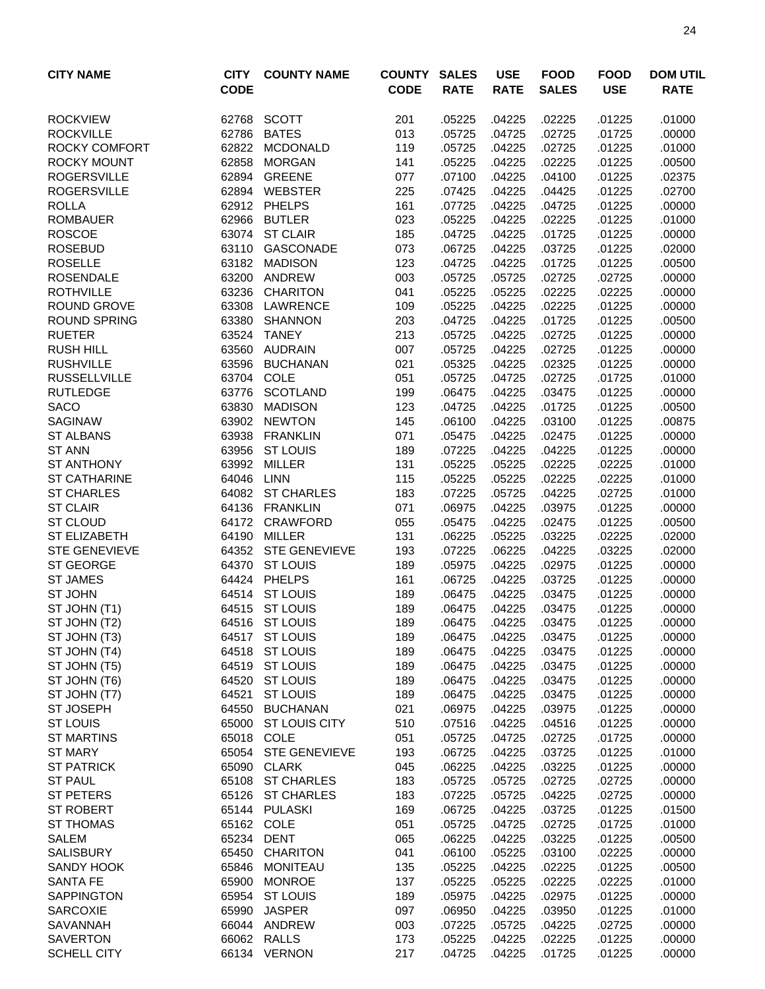| <b>ROCKVIEW</b><br>62768<br>SCOTT<br>201<br>.05225<br>.04225<br>.02225<br>.01000<br>.01225<br><b>BATES</b><br>013<br><b>ROCKVILLE</b><br>62786<br>.05725<br>.04725<br>.02725<br>.01725<br>.00000<br><b>ROCKY COMFORT</b><br>62822<br><b>MCDONALD</b><br>119<br>.05725<br>.04225<br>.02725<br>.01225<br>.01000<br><b>ROCKY MOUNT</b><br>62858<br><b>MORGAN</b><br>141<br>.02225<br>.05225<br>.04225<br>.01225<br>.00500<br><b>ROGERSVILLE</b><br>62894 GREENE<br>.04225<br>.04100<br>077<br>.07100<br>.01225<br>.02375<br><b>ROGERSVILLE</b><br>62894 WEBSTER<br>225<br>.04425<br>.07425<br>.04225<br>.01225<br>.02700<br><b>ROLLA</b><br>62912 PHELPS<br>161<br>.07725<br>.04225<br>.04725<br>.01225<br>.00000<br>62966<br><b>BUTLER</b><br>023<br>.04225<br>.02225<br>.01000<br><b>ROMBAUER</b><br>.05225<br>.01225<br><b>ROSCOE</b><br>63074<br><b>ST CLAIR</b><br>185<br>.04725<br>.04225<br>.01725<br>.01225<br>.00000<br><b>ROSEBUD</b><br>63110<br>GASCONADE<br>073<br>.06725<br>.04225<br>.03725<br>.02000<br>.01225<br><b>ROSELLE</b><br>63182<br><b>MADISON</b><br>123<br>.04725<br>.04225<br>.01725<br>.01225<br>.00500<br><b>ROSENDALE</b><br>63200<br>ANDREW<br>003<br>.05725<br>.05725<br>.02725<br>.02725<br>.00000<br>63236<br><b>ROTHVILLE</b><br><b>CHARITON</b><br>041<br>.05225<br>.05225<br>.02225<br>.02225<br>.00000<br>63308<br><b>ROUND GROVE</b><br>LAWRENCE<br>109<br>.05225<br>.04225<br>.02225<br>.01225<br>.00000<br><b>ROUND SPRING</b><br>203<br>63380<br><b>SHANNON</b><br>.04725<br>.04225<br>.01725<br>.01225<br>.00500<br>63524<br><b>TANEY</b><br>213<br><b>RUETER</b><br>.05725<br>.04225<br>.02725<br>.01225<br>.00000<br><b>RUSH HILL</b><br>63560<br>007<br>AUDRAIN<br>.05725<br>.04225<br>.02725<br>.01225<br>.00000<br><b>RUSHVILLE</b><br>63596<br><b>BUCHANAN</b><br>021<br>.05325<br>.04225<br>.02325<br>.01225<br>.00000<br>63704<br>COLE<br>.02725<br><b>RUSSELLVILLE</b><br>051<br>.05725<br>.04725<br>.01725<br>.01000<br><b>SCOTLAND</b><br><b>RUTLEDGE</b><br>63776<br>199<br>.06475<br>.04225<br>.03475<br>.01225<br>.00000<br><b>SACO</b><br>63830<br><b>MADISON</b><br>123<br>.04725<br>.04225<br>.01725<br>.01225<br>.00500<br>63902<br><b>NEWTON</b><br>.04225<br><b>SAGINAW</b><br>145<br>.06100<br>.03100<br>.01225<br>.00875<br>63938 FRANKLIN<br>071<br>.04225<br>.02475<br>.00000<br><b>ST ALBANS</b><br>.05475<br>.01225<br><b>ST ANN</b><br>63956<br><b>ST LOUIS</b><br>189<br>.07225<br>.04225<br>.04225<br>.01225<br>.00000<br><b>ST ANTHONY</b><br>63992<br>MILLER<br>131<br>.05225<br>.05225<br>.02225<br>.02225<br>.01000<br>64046<br><b>LINN</b><br>115<br><b>ST CATHARINE</b><br>.05225<br>.05225<br>.02225<br>.02225<br>.01000<br>64082<br><b>ST CHARLES</b><br>183<br><b>ST CHARLES</b><br>.07225<br>.05725<br>.04225<br>.02725<br>.01000<br><b>ST CLAIR</b><br>071<br>64136 FRANKLIN<br>.06975<br>.04225<br>.03975<br>.01225<br>.00000<br><b>ST CLOUD</b><br>64172<br>CRAWFORD<br>055<br>.02475<br>.05475<br>.04225<br>.01225<br>.00500<br>ST ELIZABETH<br>64190 MILLER<br>131<br>.06225<br>.05225<br>.03225<br>.02000<br>.02225<br>64352 STE GENEVIEVE<br>.04225<br><b>STE GENEVIEVE</b><br>193<br>.07225<br>.06225<br>.03225<br>.02000<br><b>ST GEORGE</b><br>64370 ST LOUIS<br>189<br>.05975<br>.04225<br>.02975<br>.01225<br>.00000<br>64424 PHELPS<br>.00000<br><b>ST JAMES</b><br>161<br>.06725<br>.04225<br>.03725<br>.01225<br><b>ST LOUIS</b><br><b>ST JOHN</b><br>64514<br>189<br>.06475<br>.04225<br>.03475<br>.01225<br>.00000<br>64515<br><b>ST LOUIS</b><br>189<br>.06475<br>.04225<br>.00000<br>ST JOHN (T1)<br>.03475<br>.01225<br>64516 ST LOUIS<br>189<br>.04225<br>.01225<br>.00000<br>ST JOHN (T2)<br>.06475<br>.03475<br>ST JOHN (T3)<br>64517 ST LOUIS<br>189<br>.04225<br>.03475<br>.01225<br>.00000<br>.06475<br>ST JOHN (T4)<br>64518<br><b>ST LOUIS</b><br>189<br>.00000<br>.06475<br>.04225<br>.03475<br>.01225<br>ST JOHN (T5)<br>64519<br><b>ST LOUIS</b><br>189<br>.06475<br>.04225<br>.03475<br>.00000<br>.01225<br><b>ST LOUIS</b><br>ST JOHN (T6)<br>64520<br>189<br>.06475<br>.04225<br>.03475<br>.01225<br>.00000<br><b>ST LOUIS</b><br>ST JOHN (T7)<br>64521<br>189<br>.04225<br>.03475<br>.06475<br>.01225<br>.00000<br>ST JOSEPH<br>64550 BUCHANAN<br>021<br>.06975<br>.04225<br>.03975<br>.01225<br>.00000<br><b>ST LOUIS</b><br>65000 ST LOUIS CITY<br>510<br>.07516<br>.04225<br>.04516<br>.01225<br>.00000<br>65018 COLE<br><b>ST MARTINS</b><br>051<br>.05725<br>.04725<br>.02725<br>.01725<br>.00000<br><b>ST MARY</b><br>65054 STE GENEVIEVE<br>193<br>.04225<br>.03725<br>.01225<br>.01000<br>.06725<br><b>ST PATRICK</b><br>65090 CLARK<br>045<br>.06225<br>.04225<br>.03225<br>.01225<br>.00000<br>65108 ST CHARLES<br><b>ST PAUL</b><br>183<br>.05725<br>.05725<br>.02725<br>.02725<br>.00000<br><b>ST PETERS</b><br>65126 ST CHARLES<br>183<br>.07225<br>.05725<br>.04225<br>.02725<br>.00000<br>ST ROBERT<br>65144 PULASKI<br>.03725<br>.01500<br>169<br>.06725<br>.04225<br>.01225<br>65162 COLE<br>.02725<br><b>ST THOMAS</b><br>051<br>.05725<br>.04725<br>.01725<br>.01000<br><b>SALEM</b><br>65234<br>DENT<br>065<br>.06225<br>.03225<br>.04225<br>.01225<br>.00500<br><b>SALISBURY</b><br>65450<br><b>CHARITON</b><br>041<br>.03100<br>.06100<br>.05225<br>.02225<br>.00000<br>SANDY HOOK<br>65846<br>MONITEAU<br>135<br>.04225<br>.02225<br>.05225<br>.01225<br>.00500<br><b>SANTA FE</b><br>65900 MONROE<br>137<br>.05225<br>.02225<br>.02225<br>.05225<br>.01000<br>65954 ST LOUIS<br><b>SAPPINGTON</b><br>189<br>.05975<br>.04225<br>.02975<br>.01225<br>.00000<br>65990<br><b>JASPER</b><br>097<br>.03950<br><b>SARCOXIE</b><br>.06950<br>.04225<br>.01225<br>.01000<br>66044 ANDREW<br>003<br>.04225<br><b>SAVANNAH</b><br>.07225<br>.05725<br>.02725<br>.00000<br><b>SAVERTON</b><br>66062 RALLS<br>173<br>.05225<br>.04225<br>.02225<br>.01225<br>.00000<br>66134 VERNON | <b>CITY NAME</b>   | <b>CITY</b> | <b>COUNTY NAME</b> | <b>COUNTY</b> | <b>SALES</b> | <b>USE</b>  | <b>FOOD</b>  | <b>FOOD</b> | <b>DOM UTIL</b> |
|--------------------------------------------------------------------------------------------------------------------------------------------------------------------------------------------------------------------------------------------------------------------------------------------------------------------------------------------------------------------------------------------------------------------------------------------------------------------------------------------------------------------------------------------------------------------------------------------------------------------------------------------------------------------------------------------------------------------------------------------------------------------------------------------------------------------------------------------------------------------------------------------------------------------------------------------------------------------------------------------------------------------------------------------------------------------------------------------------------------------------------------------------------------------------------------------------------------------------------------------------------------------------------------------------------------------------------------------------------------------------------------------------------------------------------------------------------------------------------------------------------------------------------------------------------------------------------------------------------------------------------------------------------------------------------------------------------------------------------------------------------------------------------------------------------------------------------------------------------------------------------------------------------------------------------------------------------------------------------------------------------------------------------------------------------------------------------------------------------------------------------------------------------------------------------------------------------------------------------------------------------------------------------------------------------------------------------------------------------------------------------------------------------------------------------------------------------------------------------------------------------------------------------------------------------------------------------------------------------------------------------------------------------------------------------------------------------------------------------------------------------------------------------------------------------------------------------------------------------------------------------------------------------------------------------------------------------------------------------------------------------------------------------------------------------------------------------------------------------------------------------------------------------------------------------------------------------------------------------------------------------------------------------------------------------------------------------------------------------------------------------------------------------------------------------------------------------------------------------------------------------------------------------------------------------------------------------------------------------------------------------------------------------------------------------------------------------------------------------------------------------------------------------------------------------------------------------------------------------------------------------------------------------------------------------------------------------------------------------------------------------------------------------------------------------------------------------------------------------------------------------------------------------------------------------------------------------------------------------------------------------------------------------------------------------------------------------------------------------------------------------------------------------------------------------------------------------------------------------------------------------------------------------------------------------------------------------------------------------------------------------------------------------------------------------------------------------------------------------------------------------------------------------------------------------------------------------------------------------------------------------------------------------------------------------------------------------------------------------------------------------------------------------------------------------------------------------------------------------------------------------------------------------------------------------------------------------------------------------------------------------------------------------------------------------------------------------------------------------------------------------------------------------------------------------------------------------------------------------------------------------------------------------------------------------------------------------------------------------------------------------------------------------------------------------------------------------------------------------------------------------------------------------------------------------------------------------------------------------------------------------------------------------------------|--------------------|-------------|--------------------|---------------|--------------|-------------|--------------|-------------|-----------------|
|                                                                                                                                                                                                                                                                                                                                                                                                                                                                                                                                                                                                                                                                                                                                                                                                                                                                                                                                                                                                                                                                                                                                                                                                                                                                                                                                                                                                                                                                                                                                                                                                                                                                                                                                                                                                                                                                                                                                                                                                                                                                                                                                                                                                                                                                                                                                                                                                                                                                                                                                                                                                                                                                                                                                                                                                                                                                                                                                                                                                                                                                                                                                                                                                                                                                                                                                                                                                                                                                                                                                                                                                                                                                                                                                                                                                                                                                                                                                                                                                                                                                                                                                                                                                                                                                                                                                                                                                                                                                                                                                                                                                                                                                                                                                                                                                                                                                                                                                                                                                                                                                                                                                                                                                                                                                                                                                                                                                                                                                                                                                                                                                                                                                                                                                                                                                                                                                                                                    |                    | <b>CODE</b> |                    | <b>CODE</b>   | <b>RATE</b>  | <b>RATE</b> | <b>SALES</b> | <b>USE</b>  | <b>RATE</b>     |
|                                                                                                                                                                                                                                                                                                                                                                                                                                                                                                                                                                                                                                                                                                                                                                                                                                                                                                                                                                                                                                                                                                                                                                                                                                                                                                                                                                                                                                                                                                                                                                                                                                                                                                                                                                                                                                                                                                                                                                                                                                                                                                                                                                                                                                                                                                                                                                                                                                                                                                                                                                                                                                                                                                                                                                                                                                                                                                                                                                                                                                                                                                                                                                                                                                                                                                                                                                                                                                                                                                                                                                                                                                                                                                                                                                                                                                                                                                                                                                                                                                                                                                                                                                                                                                                                                                                                                                                                                                                                                                                                                                                                                                                                                                                                                                                                                                                                                                                                                                                                                                                                                                                                                                                                                                                                                                                                                                                                                                                                                                                                                                                                                                                                                                                                                                                                                                                                                                                    |                    |             |                    |               |              |             |              |             |                 |
|                                                                                                                                                                                                                                                                                                                                                                                                                                                                                                                                                                                                                                                                                                                                                                                                                                                                                                                                                                                                                                                                                                                                                                                                                                                                                                                                                                                                                                                                                                                                                                                                                                                                                                                                                                                                                                                                                                                                                                                                                                                                                                                                                                                                                                                                                                                                                                                                                                                                                                                                                                                                                                                                                                                                                                                                                                                                                                                                                                                                                                                                                                                                                                                                                                                                                                                                                                                                                                                                                                                                                                                                                                                                                                                                                                                                                                                                                                                                                                                                                                                                                                                                                                                                                                                                                                                                                                                                                                                                                                                                                                                                                                                                                                                                                                                                                                                                                                                                                                                                                                                                                                                                                                                                                                                                                                                                                                                                                                                                                                                                                                                                                                                                                                                                                                                                                                                                                                                    |                    |             |                    |               |              |             |              |             |                 |
|                                                                                                                                                                                                                                                                                                                                                                                                                                                                                                                                                                                                                                                                                                                                                                                                                                                                                                                                                                                                                                                                                                                                                                                                                                                                                                                                                                                                                                                                                                                                                                                                                                                                                                                                                                                                                                                                                                                                                                                                                                                                                                                                                                                                                                                                                                                                                                                                                                                                                                                                                                                                                                                                                                                                                                                                                                                                                                                                                                                                                                                                                                                                                                                                                                                                                                                                                                                                                                                                                                                                                                                                                                                                                                                                                                                                                                                                                                                                                                                                                                                                                                                                                                                                                                                                                                                                                                                                                                                                                                                                                                                                                                                                                                                                                                                                                                                                                                                                                                                                                                                                                                                                                                                                                                                                                                                                                                                                                                                                                                                                                                                                                                                                                                                                                                                                                                                                                                                    |                    |             |                    |               |              |             |              |             |                 |
|                                                                                                                                                                                                                                                                                                                                                                                                                                                                                                                                                                                                                                                                                                                                                                                                                                                                                                                                                                                                                                                                                                                                                                                                                                                                                                                                                                                                                                                                                                                                                                                                                                                                                                                                                                                                                                                                                                                                                                                                                                                                                                                                                                                                                                                                                                                                                                                                                                                                                                                                                                                                                                                                                                                                                                                                                                                                                                                                                                                                                                                                                                                                                                                                                                                                                                                                                                                                                                                                                                                                                                                                                                                                                                                                                                                                                                                                                                                                                                                                                                                                                                                                                                                                                                                                                                                                                                                                                                                                                                                                                                                                                                                                                                                                                                                                                                                                                                                                                                                                                                                                                                                                                                                                                                                                                                                                                                                                                                                                                                                                                                                                                                                                                                                                                                                                                                                                                                                    |                    |             |                    |               |              |             |              |             |                 |
|                                                                                                                                                                                                                                                                                                                                                                                                                                                                                                                                                                                                                                                                                                                                                                                                                                                                                                                                                                                                                                                                                                                                                                                                                                                                                                                                                                                                                                                                                                                                                                                                                                                                                                                                                                                                                                                                                                                                                                                                                                                                                                                                                                                                                                                                                                                                                                                                                                                                                                                                                                                                                                                                                                                                                                                                                                                                                                                                                                                                                                                                                                                                                                                                                                                                                                                                                                                                                                                                                                                                                                                                                                                                                                                                                                                                                                                                                                                                                                                                                                                                                                                                                                                                                                                                                                                                                                                                                                                                                                                                                                                                                                                                                                                                                                                                                                                                                                                                                                                                                                                                                                                                                                                                                                                                                                                                                                                                                                                                                                                                                                                                                                                                                                                                                                                                                                                                                                                    |                    |             |                    |               |              |             |              |             |                 |
|                                                                                                                                                                                                                                                                                                                                                                                                                                                                                                                                                                                                                                                                                                                                                                                                                                                                                                                                                                                                                                                                                                                                                                                                                                                                                                                                                                                                                                                                                                                                                                                                                                                                                                                                                                                                                                                                                                                                                                                                                                                                                                                                                                                                                                                                                                                                                                                                                                                                                                                                                                                                                                                                                                                                                                                                                                                                                                                                                                                                                                                                                                                                                                                                                                                                                                                                                                                                                                                                                                                                                                                                                                                                                                                                                                                                                                                                                                                                                                                                                                                                                                                                                                                                                                                                                                                                                                                                                                                                                                                                                                                                                                                                                                                                                                                                                                                                                                                                                                                                                                                                                                                                                                                                                                                                                                                                                                                                                                                                                                                                                                                                                                                                                                                                                                                                                                                                                                                    |                    |             |                    |               |              |             |              |             |                 |
|                                                                                                                                                                                                                                                                                                                                                                                                                                                                                                                                                                                                                                                                                                                                                                                                                                                                                                                                                                                                                                                                                                                                                                                                                                                                                                                                                                                                                                                                                                                                                                                                                                                                                                                                                                                                                                                                                                                                                                                                                                                                                                                                                                                                                                                                                                                                                                                                                                                                                                                                                                                                                                                                                                                                                                                                                                                                                                                                                                                                                                                                                                                                                                                                                                                                                                                                                                                                                                                                                                                                                                                                                                                                                                                                                                                                                                                                                                                                                                                                                                                                                                                                                                                                                                                                                                                                                                                                                                                                                                                                                                                                                                                                                                                                                                                                                                                                                                                                                                                                                                                                                                                                                                                                                                                                                                                                                                                                                                                                                                                                                                                                                                                                                                                                                                                                                                                                                                                    |                    |             |                    |               |              |             |              |             |                 |
|                                                                                                                                                                                                                                                                                                                                                                                                                                                                                                                                                                                                                                                                                                                                                                                                                                                                                                                                                                                                                                                                                                                                                                                                                                                                                                                                                                                                                                                                                                                                                                                                                                                                                                                                                                                                                                                                                                                                                                                                                                                                                                                                                                                                                                                                                                                                                                                                                                                                                                                                                                                                                                                                                                                                                                                                                                                                                                                                                                                                                                                                                                                                                                                                                                                                                                                                                                                                                                                                                                                                                                                                                                                                                                                                                                                                                                                                                                                                                                                                                                                                                                                                                                                                                                                                                                                                                                                                                                                                                                                                                                                                                                                                                                                                                                                                                                                                                                                                                                                                                                                                                                                                                                                                                                                                                                                                                                                                                                                                                                                                                                                                                                                                                                                                                                                                                                                                                                                    |                    |             |                    |               |              |             |              |             |                 |
|                                                                                                                                                                                                                                                                                                                                                                                                                                                                                                                                                                                                                                                                                                                                                                                                                                                                                                                                                                                                                                                                                                                                                                                                                                                                                                                                                                                                                                                                                                                                                                                                                                                                                                                                                                                                                                                                                                                                                                                                                                                                                                                                                                                                                                                                                                                                                                                                                                                                                                                                                                                                                                                                                                                                                                                                                                                                                                                                                                                                                                                                                                                                                                                                                                                                                                                                                                                                                                                                                                                                                                                                                                                                                                                                                                                                                                                                                                                                                                                                                                                                                                                                                                                                                                                                                                                                                                                                                                                                                                                                                                                                                                                                                                                                                                                                                                                                                                                                                                                                                                                                                                                                                                                                                                                                                                                                                                                                                                                                                                                                                                                                                                                                                                                                                                                                                                                                                                                    |                    |             |                    |               |              |             |              |             |                 |
|                                                                                                                                                                                                                                                                                                                                                                                                                                                                                                                                                                                                                                                                                                                                                                                                                                                                                                                                                                                                                                                                                                                                                                                                                                                                                                                                                                                                                                                                                                                                                                                                                                                                                                                                                                                                                                                                                                                                                                                                                                                                                                                                                                                                                                                                                                                                                                                                                                                                                                                                                                                                                                                                                                                                                                                                                                                                                                                                                                                                                                                                                                                                                                                                                                                                                                                                                                                                                                                                                                                                                                                                                                                                                                                                                                                                                                                                                                                                                                                                                                                                                                                                                                                                                                                                                                                                                                                                                                                                                                                                                                                                                                                                                                                                                                                                                                                                                                                                                                                                                                                                                                                                                                                                                                                                                                                                                                                                                                                                                                                                                                                                                                                                                                                                                                                                                                                                                                                    |                    |             |                    |               |              |             |              |             |                 |
|                                                                                                                                                                                                                                                                                                                                                                                                                                                                                                                                                                                                                                                                                                                                                                                                                                                                                                                                                                                                                                                                                                                                                                                                                                                                                                                                                                                                                                                                                                                                                                                                                                                                                                                                                                                                                                                                                                                                                                                                                                                                                                                                                                                                                                                                                                                                                                                                                                                                                                                                                                                                                                                                                                                                                                                                                                                                                                                                                                                                                                                                                                                                                                                                                                                                                                                                                                                                                                                                                                                                                                                                                                                                                                                                                                                                                                                                                                                                                                                                                                                                                                                                                                                                                                                                                                                                                                                                                                                                                                                                                                                                                                                                                                                                                                                                                                                                                                                                                                                                                                                                                                                                                                                                                                                                                                                                                                                                                                                                                                                                                                                                                                                                                                                                                                                                                                                                                                                    |                    |             |                    |               |              |             |              |             |                 |
|                                                                                                                                                                                                                                                                                                                                                                                                                                                                                                                                                                                                                                                                                                                                                                                                                                                                                                                                                                                                                                                                                                                                                                                                                                                                                                                                                                                                                                                                                                                                                                                                                                                                                                                                                                                                                                                                                                                                                                                                                                                                                                                                                                                                                                                                                                                                                                                                                                                                                                                                                                                                                                                                                                                                                                                                                                                                                                                                                                                                                                                                                                                                                                                                                                                                                                                                                                                                                                                                                                                                                                                                                                                                                                                                                                                                                                                                                                                                                                                                                                                                                                                                                                                                                                                                                                                                                                                                                                                                                                                                                                                                                                                                                                                                                                                                                                                                                                                                                                                                                                                                                                                                                                                                                                                                                                                                                                                                                                                                                                                                                                                                                                                                                                                                                                                                                                                                                                                    |                    |             |                    |               |              |             |              |             |                 |
|                                                                                                                                                                                                                                                                                                                                                                                                                                                                                                                                                                                                                                                                                                                                                                                                                                                                                                                                                                                                                                                                                                                                                                                                                                                                                                                                                                                                                                                                                                                                                                                                                                                                                                                                                                                                                                                                                                                                                                                                                                                                                                                                                                                                                                                                                                                                                                                                                                                                                                                                                                                                                                                                                                                                                                                                                                                                                                                                                                                                                                                                                                                                                                                                                                                                                                                                                                                                                                                                                                                                                                                                                                                                                                                                                                                                                                                                                                                                                                                                                                                                                                                                                                                                                                                                                                                                                                                                                                                                                                                                                                                                                                                                                                                                                                                                                                                                                                                                                                                                                                                                                                                                                                                                                                                                                                                                                                                                                                                                                                                                                                                                                                                                                                                                                                                                                                                                                                                    |                    |             |                    |               |              |             |              |             |                 |
|                                                                                                                                                                                                                                                                                                                                                                                                                                                                                                                                                                                                                                                                                                                                                                                                                                                                                                                                                                                                                                                                                                                                                                                                                                                                                                                                                                                                                                                                                                                                                                                                                                                                                                                                                                                                                                                                                                                                                                                                                                                                                                                                                                                                                                                                                                                                                                                                                                                                                                                                                                                                                                                                                                                                                                                                                                                                                                                                                                                                                                                                                                                                                                                                                                                                                                                                                                                                                                                                                                                                                                                                                                                                                                                                                                                                                                                                                                                                                                                                                                                                                                                                                                                                                                                                                                                                                                                                                                                                                                                                                                                                                                                                                                                                                                                                                                                                                                                                                                                                                                                                                                                                                                                                                                                                                                                                                                                                                                                                                                                                                                                                                                                                                                                                                                                                                                                                                                                    |                    |             |                    |               |              |             |              |             |                 |
|                                                                                                                                                                                                                                                                                                                                                                                                                                                                                                                                                                                                                                                                                                                                                                                                                                                                                                                                                                                                                                                                                                                                                                                                                                                                                                                                                                                                                                                                                                                                                                                                                                                                                                                                                                                                                                                                                                                                                                                                                                                                                                                                                                                                                                                                                                                                                                                                                                                                                                                                                                                                                                                                                                                                                                                                                                                                                                                                                                                                                                                                                                                                                                                                                                                                                                                                                                                                                                                                                                                                                                                                                                                                                                                                                                                                                                                                                                                                                                                                                                                                                                                                                                                                                                                                                                                                                                                                                                                                                                                                                                                                                                                                                                                                                                                                                                                                                                                                                                                                                                                                                                                                                                                                                                                                                                                                                                                                                                                                                                                                                                                                                                                                                                                                                                                                                                                                                                                    |                    |             |                    |               |              |             |              |             |                 |
|                                                                                                                                                                                                                                                                                                                                                                                                                                                                                                                                                                                                                                                                                                                                                                                                                                                                                                                                                                                                                                                                                                                                                                                                                                                                                                                                                                                                                                                                                                                                                                                                                                                                                                                                                                                                                                                                                                                                                                                                                                                                                                                                                                                                                                                                                                                                                                                                                                                                                                                                                                                                                                                                                                                                                                                                                                                                                                                                                                                                                                                                                                                                                                                                                                                                                                                                                                                                                                                                                                                                                                                                                                                                                                                                                                                                                                                                                                                                                                                                                                                                                                                                                                                                                                                                                                                                                                                                                                                                                                                                                                                                                                                                                                                                                                                                                                                                                                                                                                                                                                                                                                                                                                                                                                                                                                                                                                                                                                                                                                                                                                                                                                                                                                                                                                                                                                                                                                                    |                    |             |                    |               |              |             |              |             |                 |
|                                                                                                                                                                                                                                                                                                                                                                                                                                                                                                                                                                                                                                                                                                                                                                                                                                                                                                                                                                                                                                                                                                                                                                                                                                                                                                                                                                                                                                                                                                                                                                                                                                                                                                                                                                                                                                                                                                                                                                                                                                                                                                                                                                                                                                                                                                                                                                                                                                                                                                                                                                                                                                                                                                                                                                                                                                                                                                                                                                                                                                                                                                                                                                                                                                                                                                                                                                                                                                                                                                                                                                                                                                                                                                                                                                                                                                                                                                                                                                                                                                                                                                                                                                                                                                                                                                                                                                                                                                                                                                                                                                                                                                                                                                                                                                                                                                                                                                                                                                                                                                                                                                                                                                                                                                                                                                                                                                                                                                                                                                                                                                                                                                                                                                                                                                                                                                                                                                                    |                    |             |                    |               |              |             |              |             |                 |
|                                                                                                                                                                                                                                                                                                                                                                                                                                                                                                                                                                                                                                                                                                                                                                                                                                                                                                                                                                                                                                                                                                                                                                                                                                                                                                                                                                                                                                                                                                                                                                                                                                                                                                                                                                                                                                                                                                                                                                                                                                                                                                                                                                                                                                                                                                                                                                                                                                                                                                                                                                                                                                                                                                                                                                                                                                                                                                                                                                                                                                                                                                                                                                                                                                                                                                                                                                                                                                                                                                                                                                                                                                                                                                                                                                                                                                                                                                                                                                                                                                                                                                                                                                                                                                                                                                                                                                                                                                                                                                                                                                                                                                                                                                                                                                                                                                                                                                                                                                                                                                                                                                                                                                                                                                                                                                                                                                                                                                                                                                                                                                                                                                                                                                                                                                                                                                                                                                                    |                    |             |                    |               |              |             |              |             |                 |
|                                                                                                                                                                                                                                                                                                                                                                                                                                                                                                                                                                                                                                                                                                                                                                                                                                                                                                                                                                                                                                                                                                                                                                                                                                                                                                                                                                                                                                                                                                                                                                                                                                                                                                                                                                                                                                                                                                                                                                                                                                                                                                                                                                                                                                                                                                                                                                                                                                                                                                                                                                                                                                                                                                                                                                                                                                                                                                                                                                                                                                                                                                                                                                                                                                                                                                                                                                                                                                                                                                                                                                                                                                                                                                                                                                                                                                                                                                                                                                                                                                                                                                                                                                                                                                                                                                                                                                                                                                                                                                                                                                                                                                                                                                                                                                                                                                                                                                                                                                                                                                                                                                                                                                                                                                                                                                                                                                                                                                                                                                                                                                                                                                                                                                                                                                                                                                                                                                                    |                    |             |                    |               |              |             |              |             |                 |
|                                                                                                                                                                                                                                                                                                                                                                                                                                                                                                                                                                                                                                                                                                                                                                                                                                                                                                                                                                                                                                                                                                                                                                                                                                                                                                                                                                                                                                                                                                                                                                                                                                                                                                                                                                                                                                                                                                                                                                                                                                                                                                                                                                                                                                                                                                                                                                                                                                                                                                                                                                                                                                                                                                                                                                                                                                                                                                                                                                                                                                                                                                                                                                                                                                                                                                                                                                                                                                                                                                                                                                                                                                                                                                                                                                                                                                                                                                                                                                                                                                                                                                                                                                                                                                                                                                                                                                                                                                                                                                                                                                                                                                                                                                                                                                                                                                                                                                                                                                                                                                                                                                                                                                                                                                                                                                                                                                                                                                                                                                                                                                                                                                                                                                                                                                                                                                                                                                                    |                    |             |                    |               |              |             |              |             |                 |
|                                                                                                                                                                                                                                                                                                                                                                                                                                                                                                                                                                                                                                                                                                                                                                                                                                                                                                                                                                                                                                                                                                                                                                                                                                                                                                                                                                                                                                                                                                                                                                                                                                                                                                                                                                                                                                                                                                                                                                                                                                                                                                                                                                                                                                                                                                                                                                                                                                                                                                                                                                                                                                                                                                                                                                                                                                                                                                                                                                                                                                                                                                                                                                                                                                                                                                                                                                                                                                                                                                                                                                                                                                                                                                                                                                                                                                                                                                                                                                                                                                                                                                                                                                                                                                                                                                                                                                                                                                                                                                                                                                                                                                                                                                                                                                                                                                                                                                                                                                                                                                                                                                                                                                                                                                                                                                                                                                                                                                                                                                                                                                                                                                                                                                                                                                                                                                                                                                                    |                    |             |                    |               |              |             |              |             |                 |
|                                                                                                                                                                                                                                                                                                                                                                                                                                                                                                                                                                                                                                                                                                                                                                                                                                                                                                                                                                                                                                                                                                                                                                                                                                                                                                                                                                                                                                                                                                                                                                                                                                                                                                                                                                                                                                                                                                                                                                                                                                                                                                                                                                                                                                                                                                                                                                                                                                                                                                                                                                                                                                                                                                                                                                                                                                                                                                                                                                                                                                                                                                                                                                                                                                                                                                                                                                                                                                                                                                                                                                                                                                                                                                                                                                                                                                                                                                                                                                                                                                                                                                                                                                                                                                                                                                                                                                                                                                                                                                                                                                                                                                                                                                                                                                                                                                                                                                                                                                                                                                                                                                                                                                                                                                                                                                                                                                                                                                                                                                                                                                                                                                                                                                                                                                                                                                                                                                                    |                    |             |                    |               |              |             |              |             |                 |
|                                                                                                                                                                                                                                                                                                                                                                                                                                                                                                                                                                                                                                                                                                                                                                                                                                                                                                                                                                                                                                                                                                                                                                                                                                                                                                                                                                                                                                                                                                                                                                                                                                                                                                                                                                                                                                                                                                                                                                                                                                                                                                                                                                                                                                                                                                                                                                                                                                                                                                                                                                                                                                                                                                                                                                                                                                                                                                                                                                                                                                                                                                                                                                                                                                                                                                                                                                                                                                                                                                                                                                                                                                                                                                                                                                                                                                                                                                                                                                                                                                                                                                                                                                                                                                                                                                                                                                                                                                                                                                                                                                                                                                                                                                                                                                                                                                                                                                                                                                                                                                                                                                                                                                                                                                                                                                                                                                                                                                                                                                                                                                                                                                                                                                                                                                                                                                                                                                                    |                    |             |                    |               |              |             |              |             |                 |
|                                                                                                                                                                                                                                                                                                                                                                                                                                                                                                                                                                                                                                                                                                                                                                                                                                                                                                                                                                                                                                                                                                                                                                                                                                                                                                                                                                                                                                                                                                                                                                                                                                                                                                                                                                                                                                                                                                                                                                                                                                                                                                                                                                                                                                                                                                                                                                                                                                                                                                                                                                                                                                                                                                                                                                                                                                                                                                                                                                                                                                                                                                                                                                                                                                                                                                                                                                                                                                                                                                                                                                                                                                                                                                                                                                                                                                                                                                                                                                                                                                                                                                                                                                                                                                                                                                                                                                                                                                                                                                                                                                                                                                                                                                                                                                                                                                                                                                                                                                                                                                                                                                                                                                                                                                                                                                                                                                                                                                                                                                                                                                                                                                                                                                                                                                                                                                                                                                                    |                    |             |                    |               |              |             |              |             |                 |
|                                                                                                                                                                                                                                                                                                                                                                                                                                                                                                                                                                                                                                                                                                                                                                                                                                                                                                                                                                                                                                                                                                                                                                                                                                                                                                                                                                                                                                                                                                                                                                                                                                                                                                                                                                                                                                                                                                                                                                                                                                                                                                                                                                                                                                                                                                                                                                                                                                                                                                                                                                                                                                                                                                                                                                                                                                                                                                                                                                                                                                                                                                                                                                                                                                                                                                                                                                                                                                                                                                                                                                                                                                                                                                                                                                                                                                                                                                                                                                                                                                                                                                                                                                                                                                                                                                                                                                                                                                                                                                                                                                                                                                                                                                                                                                                                                                                                                                                                                                                                                                                                                                                                                                                                                                                                                                                                                                                                                                                                                                                                                                                                                                                                                                                                                                                                                                                                                                                    |                    |             |                    |               |              |             |              |             |                 |
|                                                                                                                                                                                                                                                                                                                                                                                                                                                                                                                                                                                                                                                                                                                                                                                                                                                                                                                                                                                                                                                                                                                                                                                                                                                                                                                                                                                                                                                                                                                                                                                                                                                                                                                                                                                                                                                                                                                                                                                                                                                                                                                                                                                                                                                                                                                                                                                                                                                                                                                                                                                                                                                                                                                                                                                                                                                                                                                                                                                                                                                                                                                                                                                                                                                                                                                                                                                                                                                                                                                                                                                                                                                                                                                                                                                                                                                                                                                                                                                                                                                                                                                                                                                                                                                                                                                                                                                                                                                                                                                                                                                                                                                                                                                                                                                                                                                                                                                                                                                                                                                                                                                                                                                                                                                                                                                                                                                                                                                                                                                                                                                                                                                                                                                                                                                                                                                                                                                    |                    |             |                    |               |              |             |              |             |                 |
|                                                                                                                                                                                                                                                                                                                                                                                                                                                                                                                                                                                                                                                                                                                                                                                                                                                                                                                                                                                                                                                                                                                                                                                                                                                                                                                                                                                                                                                                                                                                                                                                                                                                                                                                                                                                                                                                                                                                                                                                                                                                                                                                                                                                                                                                                                                                                                                                                                                                                                                                                                                                                                                                                                                                                                                                                                                                                                                                                                                                                                                                                                                                                                                                                                                                                                                                                                                                                                                                                                                                                                                                                                                                                                                                                                                                                                                                                                                                                                                                                                                                                                                                                                                                                                                                                                                                                                                                                                                                                                                                                                                                                                                                                                                                                                                                                                                                                                                                                                                                                                                                                                                                                                                                                                                                                                                                                                                                                                                                                                                                                                                                                                                                                                                                                                                                                                                                                                                    |                    |             |                    |               |              |             |              |             |                 |
|                                                                                                                                                                                                                                                                                                                                                                                                                                                                                                                                                                                                                                                                                                                                                                                                                                                                                                                                                                                                                                                                                                                                                                                                                                                                                                                                                                                                                                                                                                                                                                                                                                                                                                                                                                                                                                                                                                                                                                                                                                                                                                                                                                                                                                                                                                                                                                                                                                                                                                                                                                                                                                                                                                                                                                                                                                                                                                                                                                                                                                                                                                                                                                                                                                                                                                                                                                                                                                                                                                                                                                                                                                                                                                                                                                                                                                                                                                                                                                                                                                                                                                                                                                                                                                                                                                                                                                                                                                                                                                                                                                                                                                                                                                                                                                                                                                                                                                                                                                                                                                                                                                                                                                                                                                                                                                                                                                                                                                                                                                                                                                                                                                                                                                                                                                                                                                                                                                                    |                    |             |                    |               |              |             |              |             |                 |
|                                                                                                                                                                                                                                                                                                                                                                                                                                                                                                                                                                                                                                                                                                                                                                                                                                                                                                                                                                                                                                                                                                                                                                                                                                                                                                                                                                                                                                                                                                                                                                                                                                                                                                                                                                                                                                                                                                                                                                                                                                                                                                                                                                                                                                                                                                                                                                                                                                                                                                                                                                                                                                                                                                                                                                                                                                                                                                                                                                                                                                                                                                                                                                                                                                                                                                                                                                                                                                                                                                                                                                                                                                                                                                                                                                                                                                                                                                                                                                                                                                                                                                                                                                                                                                                                                                                                                                                                                                                                                                                                                                                                                                                                                                                                                                                                                                                                                                                                                                                                                                                                                                                                                                                                                                                                                                                                                                                                                                                                                                                                                                                                                                                                                                                                                                                                                                                                                                                    |                    |             |                    |               |              |             |              |             |                 |
|                                                                                                                                                                                                                                                                                                                                                                                                                                                                                                                                                                                                                                                                                                                                                                                                                                                                                                                                                                                                                                                                                                                                                                                                                                                                                                                                                                                                                                                                                                                                                                                                                                                                                                                                                                                                                                                                                                                                                                                                                                                                                                                                                                                                                                                                                                                                                                                                                                                                                                                                                                                                                                                                                                                                                                                                                                                                                                                                                                                                                                                                                                                                                                                                                                                                                                                                                                                                                                                                                                                                                                                                                                                                                                                                                                                                                                                                                                                                                                                                                                                                                                                                                                                                                                                                                                                                                                                                                                                                                                                                                                                                                                                                                                                                                                                                                                                                                                                                                                                                                                                                                                                                                                                                                                                                                                                                                                                                                                                                                                                                                                                                                                                                                                                                                                                                                                                                                                                    |                    |             |                    |               |              |             |              |             |                 |
|                                                                                                                                                                                                                                                                                                                                                                                                                                                                                                                                                                                                                                                                                                                                                                                                                                                                                                                                                                                                                                                                                                                                                                                                                                                                                                                                                                                                                                                                                                                                                                                                                                                                                                                                                                                                                                                                                                                                                                                                                                                                                                                                                                                                                                                                                                                                                                                                                                                                                                                                                                                                                                                                                                                                                                                                                                                                                                                                                                                                                                                                                                                                                                                                                                                                                                                                                                                                                                                                                                                                                                                                                                                                                                                                                                                                                                                                                                                                                                                                                                                                                                                                                                                                                                                                                                                                                                                                                                                                                                                                                                                                                                                                                                                                                                                                                                                                                                                                                                                                                                                                                                                                                                                                                                                                                                                                                                                                                                                                                                                                                                                                                                                                                                                                                                                                                                                                                                                    |                    |             |                    |               |              |             |              |             |                 |
|                                                                                                                                                                                                                                                                                                                                                                                                                                                                                                                                                                                                                                                                                                                                                                                                                                                                                                                                                                                                                                                                                                                                                                                                                                                                                                                                                                                                                                                                                                                                                                                                                                                                                                                                                                                                                                                                                                                                                                                                                                                                                                                                                                                                                                                                                                                                                                                                                                                                                                                                                                                                                                                                                                                                                                                                                                                                                                                                                                                                                                                                                                                                                                                                                                                                                                                                                                                                                                                                                                                                                                                                                                                                                                                                                                                                                                                                                                                                                                                                                                                                                                                                                                                                                                                                                                                                                                                                                                                                                                                                                                                                                                                                                                                                                                                                                                                                                                                                                                                                                                                                                                                                                                                                                                                                                                                                                                                                                                                                                                                                                                                                                                                                                                                                                                                                                                                                                                                    |                    |             |                    |               |              |             |              |             |                 |
|                                                                                                                                                                                                                                                                                                                                                                                                                                                                                                                                                                                                                                                                                                                                                                                                                                                                                                                                                                                                                                                                                                                                                                                                                                                                                                                                                                                                                                                                                                                                                                                                                                                                                                                                                                                                                                                                                                                                                                                                                                                                                                                                                                                                                                                                                                                                                                                                                                                                                                                                                                                                                                                                                                                                                                                                                                                                                                                                                                                                                                                                                                                                                                                                                                                                                                                                                                                                                                                                                                                                                                                                                                                                                                                                                                                                                                                                                                                                                                                                                                                                                                                                                                                                                                                                                                                                                                                                                                                                                                                                                                                                                                                                                                                                                                                                                                                                                                                                                                                                                                                                                                                                                                                                                                                                                                                                                                                                                                                                                                                                                                                                                                                                                                                                                                                                                                                                                                                    |                    |             |                    |               |              |             |              |             |                 |
|                                                                                                                                                                                                                                                                                                                                                                                                                                                                                                                                                                                                                                                                                                                                                                                                                                                                                                                                                                                                                                                                                                                                                                                                                                                                                                                                                                                                                                                                                                                                                                                                                                                                                                                                                                                                                                                                                                                                                                                                                                                                                                                                                                                                                                                                                                                                                                                                                                                                                                                                                                                                                                                                                                                                                                                                                                                                                                                                                                                                                                                                                                                                                                                                                                                                                                                                                                                                                                                                                                                                                                                                                                                                                                                                                                                                                                                                                                                                                                                                                                                                                                                                                                                                                                                                                                                                                                                                                                                                                                                                                                                                                                                                                                                                                                                                                                                                                                                                                                                                                                                                                                                                                                                                                                                                                                                                                                                                                                                                                                                                                                                                                                                                                                                                                                                                                                                                                                                    |                    |             |                    |               |              |             |              |             |                 |
|                                                                                                                                                                                                                                                                                                                                                                                                                                                                                                                                                                                                                                                                                                                                                                                                                                                                                                                                                                                                                                                                                                                                                                                                                                                                                                                                                                                                                                                                                                                                                                                                                                                                                                                                                                                                                                                                                                                                                                                                                                                                                                                                                                                                                                                                                                                                                                                                                                                                                                                                                                                                                                                                                                                                                                                                                                                                                                                                                                                                                                                                                                                                                                                                                                                                                                                                                                                                                                                                                                                                                                                                                                                                                                                                                                                                                                                                                                                                                                                                                                                                                                                                                                                                                                                                                                                                                                                                                                                                                                                                                                                                                                                                                                                                                                                                                                                                                                                                                                                                                                                                                                                                                                                                                                                                                                                                                                                                                                                                                                                                                                                                                                                                                                                                                                                                                                                                                                                    |                    |             |                    |               |              |             |              |             |                 |
|                                                                                                                                                                                                                                                                                                                                                                                                                                                                                                                                                                                                                                                                                                                                                                                                                                                                                                                                                                                                                                                                                                                                                                                                                                                                                                                                                                                                                                                                                                                                                                                                                                                                                                                                                                                                                                                                                                                                                                                                                                                                                                                                                                                                                                                                                                                                                                                                                                                                                                                                                                                                                                                                                                                                                                                                                                                                                                                                                                                                                                                                                                                                                                                                                                                                                                                                                                                                                                                                                                                                                                                                                                                                                                                                                                                                                                                                                                                                                                                                                                                                                                                                                                                                                                                                                                                                                                                                                                                                                                                                                                                                                                                                                                                                                                                                                                                                                                                                                                                                                                                                                                                                                                                                                                                                                                                                                                                                                                                                                                                                                                                                                                                                                                                                                                                                                                                                                                                    |                    |             |                    |               |              |             |              |             |                 |
|                                                                                                                                                                                                                                                                                                                                                                                                                                                                                                                                                                                                                                                                                                                                                                                                                                                                                                                                                                                                                                                                                                                                                                                                                                                                                                                                                                                                                                                                                                                                                                                                                                                                                                                                                                                                                                                                                                                                                                                                                                                                                                                                                                                                                                                                                                                                                                                                                                                                                                                                                                                                                                                                                                                                                                                                                                                                                                                                                                                                                                                                                                                                                                                                                                                                                                                                                                                                                                                                                                                                                                                                                                                                                                                                                                                                                                                                                                                                                                                                                                                                                                                                                                                                                                                                                                                                                                                                                                                                                                                                                                                                                                                                                                                                                                                                                                                                                                                                                                                                                                                                                                                                                                                                                                                                                                                                                                                                                                                                                                                                                                                                                                                                                                                                                                                                                                                                                                                    |                    |             |                    |               |              |             |              |             |                 |
|                                                                                                                                                                                                                                                                                                                                                                                                                                                                                                                                                                                                                                                                                                                                                                                                                                                                                                                                                                                                                                                                                                                                                                                                                                                                                                                                                                                                                                                                                                                                                                                                                                                                                                                                                                                                                                                                                                                                                                                                                                                                                                                                                                                                                                                                                                                                                                                                                                                                                                                                                                                                                                                                                                                                                                                                                                                                                                                                                                                                                                                                                                                                                                                                                                                                                                                                                                                                                                                                                                                                                                                                                                                                                                                                                                                                                                                                                                                                                                                                                                                                                                                                                                                                                                                                                                                                                                                                                                                                                                                                                                                                                                                                                                                                                                                                                                                                                                                                                                                                                                                                                                                                                                                                                                                                                                                                                                                                                                                                                                                                                                                                                                                                                                                                                                                                                                                                                                                    |                    |             |                    |               |              |             |              |             |                 |
|                                                                                                                                                                                                                                                                                                                                                                                                                                                                                                                                                                                                                                                                                                                                                                                                                                                                                                                                                                                                                                                                                                                                                                                                                                                                                                                                                                                                                                                                                                                                                                                                                                                                                                                                                                                                                                                                                                                                                                                                                                                                                                                                                                                                                                                                                                                                                                                                                                                                                                                                                                                                                                                                                                                                                                                                                                                                                                                                                                                                                                                                                                                                                                                                                                                                                                                                                                                                                                                                                                                                                                                                                                                                                                                                                                                                                                                                                                                                                                                                                                                                                                                                                                                                                                                                                                                                                                                                                                                                                                                                                                                                                                                                                                                                                                                                                                                                                                                                                                                                                                                                                                                                                                                                                                                                                                                                                                                                                                                                                                                                                                                                                                                                                                                                                                                                                                                                                                                    |                    |             |                    |               |              |             |              |             |                 |
|                                                                                                                                                                                                                                                                                                                                                                                                                                                                                                                                                                                                                                                                                                                                                                                                                                                                                                                                                                                                                                                                                                                                                                                                                                                                                                                                                                                                                                                                                                                                                                                                                                                                                                                                                                                                                                                                                                                                                                                                                                                                                                                                                                                                                                                                                                                                                                                                                                                                                                                                                                                                                                                                                                                                                                                                                                                                                                                                                                                                                                                                                                                                                                                                                                                                                                                                                                                                                                                                                                                                                                                                                                                                                                                                                                                                                                                                                                                                                                                                                                                                                                                                                                                                                                                                                                                                                                                                                                                                                                                                                                                                                                                                                                                                                                                                                                                                                                                                                                                                                                                                                                                                                                                                                                                                                                                                                                                                                                                                                                                                                                                                                                                                                                                                                                                                                                                                                                                    |                    |             |                    |               |              |             |              |             |                 |
|                                                                                                                                                                                                                                                                                                                                                                                                                                                                                                                                                                                                                                                                                                                                                                                                                                                                                                                                                                                                                                                                                                                                                                                                                                                                                                                                                                                                                                                                                                                                                                                                                                                                                                                                                                                                                                                                                                                                                                                                                                                                                                                                                                                                                                                                                                                                                                                                                                                                                                                                                                                                                                                                                                                                                                                                                                                                                                                                                                                                                                                                                                                                                                                                                                                                                                                                                                                                                                                                                                                                                                                                                                                                                                                                                                                                                                                                                                                                                                                                                                                                                                                                                                                                                                                                                                                                                                                                                                                                                                                                                                                                                                                                                                                                                                                                                                                                                                                                                                                                                                                                                                                                                                                                                                                                                                                                                                                                                                                                                                                                                                                                                                                                                                                                                                                                                                                                                                                    |                    |             |                    |               |              |             |              |             |                 |
|                                                                                                                                                                                                                                                                                                                                                                                                                                                                                                                                                                                                                                                                                                                                                                                                                                                                                                                                                                                                                                                                                                                                                                                                                                                                                                                                                                                                                                                                                                                                                                                                                                                                                                                                                                                                                                                                                                                                                                                                                                                                                                                                                                                                                                                                                                                                                                                                                                                                                                                                                                                                                                                                                                                                                                                                                                                                                                                                                                                                                                                                                                                                                                                                                                                                                                                                                                                                                                                                                                                                                                                                                                                                                                                                                                                                                                                                                                                                                                                                                                                                                                                                                                                                                                                                                                                                                                                                                                                                                                                                                                                                                                                                                                                                                                                                                                                                                                                                                                                                                                                                                                                                                                                                                                                                                                                                                                                                                                                                                                                                                                                                                                                                                                                                                                                                                                                                                                                    |                    |             |                    |               |              |             |              |             |                 |
|                                                                                                                                                                                                                                                                                                                                                                                                                                                                                                                                                                                                                                                                                                                                                                                                                                                                                                                                                                                                                                                                                                                                                                                                                                                                                                                                                                                                                                                                                                                                                                                                                                                                                                                                                                                                                                                                                                                                                                                                                                                                                                                                                                                                                                                                                                                                                                                                                                                                                                                                                                                                                                                                                                                                                                                                                                                                                                                                                                                                                                                                                                                                                                                                                                                                                                                                                                                                                                                                                                                                                                                                                                                                                                                                                                                                                                                                                                                                                                                                                                                                                                                                                                                                                                                                                                                                                                                                                                                                                                                                                                                                                                                                                                                                                                                                                                                                                                                                                                                                                                                                                                                                                                                                                                                                                                                                                                                                                                                                                                                                                                                                                                                                                                                                                                                                                                                                                                                    |                    |             |                    |               |              |             |              |             |                 |
|                                                                                                                                                                                                                                                                                                                                                                                                                                                                                                                                                                                                                                                                                                                                                                                                                                                                                                                                                                                                                                                                                                                                                                                                                                                                                                                                                                                                                                                                                                                                                                                                                                                                                                                                                                                                                                                                                                                                                                                                                                                                                                                                                                                                                                                                                                                                                                                                                                                                                                                                                                                                                                                                                                                                                                                                                                                                                                                                                                                                                                                                                                                                                                                                                                                                                                                                                                                                                                                                                                                                                                                                                                                                                                                                                                                                                                                                                                                                                                                                                                                                                                                                                                                                                                                                                                                                                                                                                                                                                                                                                                                                                                                                                                                                                                                                                                                                                                                                                                                                                                                                                                                                                                                                                                                                                                                                                                                                                                                                                                                                                                                                                                                                                                                                                                                                                                                                                                                    |                    |             |                    |               |              |             |              |             |                 |
|                                                                                                                                                                                                                                                                                                                                                                                                                                                                                                                                                                                                                                                                                                                                                                                                                                                                                                                                                                                                                                                                                                                                                                                                                                                                                                                                                                                                                                                                                                                                                                                                                                                                                                                                                                                                                                                                                                                                                                                                                                                                                                                                                                                                                                                                                                                                                                                                                                                                                                                                                                                                                                                                                                                                                                                                                                                                                                                                                                                                                                                                                                                                                                                                                                                                                                                                                                                                                                                                                                                                                                                                                                                                                                                                                                                                                                                                                                                                                                                                                                                                                                                                                                                                                                                                                                                                                                                                                                                                                                                                                                                                                                                                                                                                                                                                                                                                                                                                                                                                                                                                                                                                                                                                                                                                                                                                                                                                                                                                                                                                                                                                                                                                                                                                                                                                                                                                                                                    |                    |             |                    |               |              |             |              |             |                 |
|                                                                                                                                                                                                                                                                                                                                                                                                                                                                                                                                                                                                                                                                                                                                                                                                                                                                                                                                                                                                                                                                                                                                                                                                                                                                                                                                                                                                                                                                                                                                                                                                                                                                                                                                                                                                                                                                                                                                                                                                                                                                                                                                                                                                                                                                                                                                                                                                                                                                                                                                                                                                                                                                                                                                                                                                                                                                                                                                                                                                                                                                                                                                                                                                                                                                                                                                                                                                                                                                                                                                                                                                                                                                                                                                                                                                                                                                                                                                                                                                                                                                                                                                                                                                                                                                                                                                                                                                                                                                                                                                                                                                                                                                                                                                                                                                                                                                                                                                                                                                                                                                                                                                                                                                                                                                                                                                                                                                                                                                                                                                                                                                                                                                                                                                                                                                                                                                                                                    |                    |             |                    |               |              |             |              |             |                 |
|                                                                                                                                                                                                                                                                                                                                                                                                                                                                                                                                                                                                                                                                                                                                                                                                                                                                                                                                                                                                                                                                                                                                                                                                                                                                                                                                                                                                                                                                                                                                                                                                                                                                                                                                                                                                                                                                                                                                                                                                                                                                                                                                                                                                                                                                                                                                                                                                                                                                                                                                                                                                                                                                                                                                                                                                                                                                                                                                                                                                                                                                                                                                                                                                                                                                                                                                                                                                                                                                                                                                                                                                                                                                                                                                                                                                                                                                                                                                                                                                                                                                                                                                                                                                                                                                                                                                                                                                                                                                                                                                                                                                                                                                                                                                                                                                                                                                                                                                                                                                                                                                                                                                                                                                                                                                                                                                                                                                                                                                                                                                                                                                                                                                                                                                                                                                                                                                                                                    |                    |             |                    |               |              |             |              |             |                 |
|                                                                                                                                                                                                                                                                                                                                                                                                                                                                                                                                                                                                                                                                                                                                                                                                                                                                                                                                                                                                                                                                                                                                                                                                                                                                                                                                                                                                                                                                                                                                                                                                                                                                                                                                                                                                                                                                                                                                                                                                                                                                                                                                                                                                                                                                                                                                                                                                                                                                                                                                                                                                                                                                                                                                                                                                                                                                                                                                                                                                                                                                                                                                                                                                                                                                                                                                                                                                                                                                                                                                                                                                                                                                                                                                                                                                                                                                                                                                                                                                                                                                                                                                                                                                                                                                                                                                                                                                                                                                                                                                                                                                                                                                                                                                                                                                                                                                                                                                                                                                                                                                                                                                                                                                                                                                                                                                                                                                                                                                                                                                                                                                                                                                                                                                                                                                                                                                                                                    |                    |             |                    |               |              |             |              |             |                 |
|                                                                                                                                                                                                                                                                                                                                                                                                                                                                                                                                                                                                                                                                                                                                                                                                                                                                                                                                                                                                                                                                                                                                                                                                                                                                                                                                                                                                                                                                                                                                                                                                                                                                                                                                                                                                                                                                                                                                                                                                                                                                                                                                                                                                                                                                                                                                                                                                                                                                                                                                                                                                                                                                                                                                                                                                                                                                                                                                                                                                                                                                                                                                                                                                                                                                                                                                                                                                                                                                                                                                                                                                                                                                                                                                                                                                                                                                                                                                                                                                                                                                                                                                                                                                                                                                                                                                                                                                                                                                                                                                                                                                                                                                                                                                                                                                                                                                                                                                                                                                                                                                                                                                                                                                                                                                                                                                                                                                                                                                                                                                                                                                                                                                                                                                                                                                                                                                                                                    |                    |             |                    |               |              |             |              |             |                 |
|                                                                                                                                                                                                                                                                                                                                                                                                                                                                                                                                                                                                                                                                                                                                                                                                                                                                                                                                                                                                                                                                                                                                                                                                                                                                                                                                                                                                                                                                                                                                                                                                                                                                                                                                                                                                                                                                                                                                                                                                                                                                                                                                                                                                                                                                                                                                                                                                                                                                                                                                                                                                                                                                                                                                                                                                                                                                                                                                                                                                                                                                                                                                                                                                                                                                                                                                                                                                                                                                                                                                                                                                                                                                                                                                                                                                                                                                                                                                                                                                                                                                                                                                                                                                                                                                                                                                                                                                                                                                                                                                                                                                                                                                                                                                                                                                                                                                                                                                                                                                                                                                                                                                                                                                                                                                                                                                                                                                                                                                                                                                                                                                                                                                                                                                                                                                                                                                                                                    |                    |             |                    |               |              |             |              |             |                 |
|                                                                                                                                                                                                                                                                                                                                                                                                                                                                                                                                                                                                                                                                                                                                                                                                                                                                                                                                                                                                                                                                                                                                                                                                                                                                                                                                                                                                                                                                                                                                                                                                                                                                                                                                                                                                                                                                                                                                                                                                                                                                                                                                                                                                                                                                                                                                                                                                                                                                                                                                                                                                                                                                                                                                                                                                                                                                                                                                                                                                                                                                                                                                                                                                                                                                                                                                                                                                                                                                                                                                                                                                                                                                                                                                                                                                                                                                                                                                                                                                                                                                                                                                                                                                                                                                                                                                                                                                                                                                                                                                                                                                                                                                                                                                                                                                                                                                                                                                                                                                                                                                                                                                                                                                                                                                                                                                                                                                                                                                                                                                                                                                                                                                                                                                                                                                                                                                                                                    |                    |             |                    |               |              |             |              |             |                 |
|                                                                                                                                                                                                                                                                                                                                                                                                                                                                                                                                                                                                                                                                                                                                                                                                                                                                                                                                                                                                                                                                                                                                                                                                                                                                                                                                                                                                                                                                                                                                                                                                                                                                                                                                                                                                                                                                                                                                                                                                                                                                                                                                                                                                                                                                                                                                                                                                                                                                                                                                                                                                                                                                                                                                                                                                                                                                                                                                                                                                                                                                                                                                                                                                                                                                                                                                                                                                                                                                                                                                                                                                                                                                                                                                                                                                                                                                                                                                                                                                                                                                                                                                                                                                                                                                                                                                                                                                                                                                                                                                                                                                                                                                                                                                                                                                                                                                                                                                                                                                                                                                                                                                                                                                                                                                                                                                                                                                                                                                                                                                                                                                                                                                                                                                                                                                                                                                                                                    |                    |             |                    |               |              |             |              |             |                 |
|                                                                                                                                                                                                                                                                                                                                                                                                                                                                                                                                                                                                                                                                                                                                                                                                                                                                                                                                                                                                                                                                                                                                                                                                                                                                                                                                                                                                                                                                                                                                                                                                                                                                                                                                                                                                                                                                                                                                                                                                                                                                                                                                                                                                                                                                                                                                                                                                                                                                                                                                                                                                                                                                                                                                                                                                                                                                                                                                                                                                                                                                                                                                                                                                                                                                                                                                                                                                                                                                                                                                                                                                                                                                                                                                                                                                                                                                                                                                                                                                                                                                                                                                                                                                                                                                                                                                                                                                                                                                                                                                                                                                                                                                                                                                                                                                                                                                                                                                                                                                                                                                                                                                                                                                                                                                                                                                                                                                                                                                                                                                                                                                                                                                                                                                                                                                                                                                                                                    |                    |             |                    |               |              |             |              |             |                 |
|                                                                                                                                                                                                                                                                                                                                                                                                                                                                                                                                                                                                                                                                                                                                                                                                                                                                                                                                                                                                                                                                                                                                                                                                                                                                                                                                                                                                                                                                                                                                                                                                                                                                                                                                                                                                                                                                                                                                                                                                                                                                                                                                                                                                                                                                                                                                                                                                                                                                                                                                                                                                                                                                                                                                                                                                                                                                                                                                                                                                                                                                                                                                                                                                                                                                                                                                                                                                                                                                                                                                                                                                                                                                                                                                                                                                                                                                                                                                                                                                                                                                                                                                                                                                                                                                                                                                                                                                                                                                                                                                                                                                                                                                                                                                                                                                                                                                                                                                                                                                                                                                                                                                                                                                                                                                                                                                                                                                                                                                                                                                                                                                                                                                                                                                                                                                                                                                                                                    |                    |             |                    |               |              |             |              |             |                 |
|                                                                                                                                                                                                                                                                                                                                                                                                                                                                                                                                                                                                                                                                                                                                                                                                                                                                                                                                                                                                                                                                                                                                                                                                                                                                                                                                                                                                                                                                                                                                                                                                                                                                                                                                                                                                                                                                                                                                                                                                                                                                                                                                                                                                                                                                                                                                                                                                                                                                                                                                                                                                                                                                                                                                                                                                                                                                                                                                                                                                                                                                                                                                                                                                                                                                                                                                                                                                                                                                                                                                                                                                                                                                                                                                                                                                                                                                                                                                                                                                                                                                                                                                                                                                                                                                                                                                                                                                                                                                                                                                                                                                                                                                                                                                                                                                                                                                                                                                                                                                                                                                                                                                                                                                                                                                                                                                                                                                                                                                                                                                                                                                                                                                                                                                                                                                                                                                                                                    |                    |             |                    |               |              |             |              |             |                 |
|                                                                                                                                                                                                                                                                                                                                                                                                                                                                                                                                                                                                                                                                                                                                                                                                                                                                                                                                                                                                                                                                                                                                                                                                                                                                                                                                                                                                                                                                                                                                                                                                                                                                                                                                                                                                                                                                                                                                                                                                                                                                                                                                                                                                                                                                                                                                                                                                                                                                                                                                                                                                                                                                                                                                                                                                                                                                                                                                                                                                                                                                                                                                                                                                                                                                                                                                                                                                                                                                                                                                                                                                                                                                                                                                                                                                                                                                                                                                                                                                                                                                                                                                                                                                                                                                                                                                                                                                                                                                                                                                                                                                                                                                                                                                                                                                                                                                                                                                                                                                                                                                                                                                                                                                                                                                                                                                                                                                                                                                                                                                                                                                                                                                                                                                                                                                                                                                                                                    |                    |             |                    |               |              |             |              |             |                 |
|                                                                                                                                                                                                                                                                                                                                                                                                                                                                                                                                                                                                                                                                                                                                                                                                                                                                                                                                                                                                                                                                                                                                                                                                                                                                                                                                                                                                                                                                                                                                                                                                                                                                                                                                                                                                                                                                                                                                                                                                                                                                                                                                                                                                                                                                                                                                                                                                                                                                                                                                                                                                                                                                                                                                                                                                                                                                                                                                                                                                                                                                                                                                                                                                                                                                                                                                                                                                                                                                                                                                                                                                                                                                                                                                                                                                                                                                                                                                                                                                                                                                                                                                                                                                                                                                                                                                                                                                                                                                                                                                                                                                                                                                                                                                                                                                                                                                                                                                                                                                                                                                                                                                                                                                                                                                                                                                                                                                                                                                                                                                                                                                                                                                                                                                                                                                                                                                                                                    | <b>SCHELL CITY</b> |             |                    | 217           | .04725       | .04225      | .01725       | .01225      | .00000          |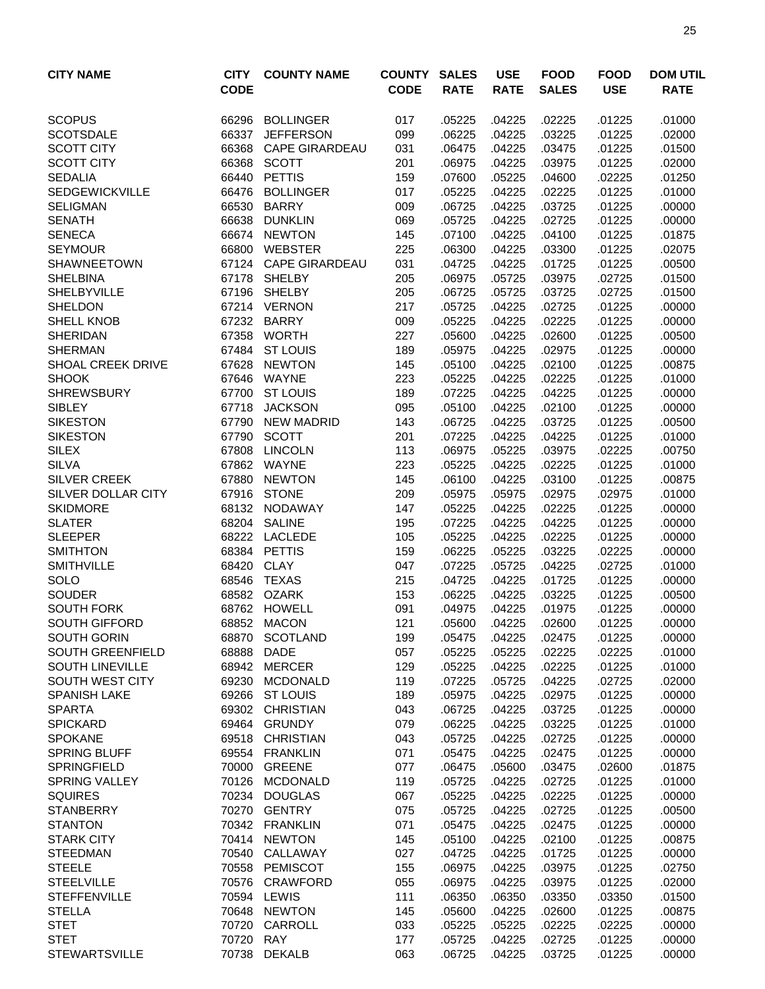| <b>CITY NAME</b>          | <b>CITY</b><br><b>CODE</b> | <b>COUNTY NAME</b>    | <b>COUNTY</b><br><b>CODE</b> | <b>SALES</b><br><b>RATE</b> | <b>USE</b><br><b>RATE</b> | <b>FOOD</b><br><b>SALES</b> | <b>FOOD</b><br><b>USE</b> | <b>DOM UTIL</b><br><b>RATE</b> |
|---------------------------|----------------------------|-----------------------|------------------------------|-----------------------------|---------------------------|-----------------------------|---------------------------|--------------------------------|
|                           |                            |                       |                              |                             |                           |                             |                           |                                |
| <b>SCOPUS</b>             | 66296                      | <b>BOLLINGER</b>      | 017                          | .05225                      | .04225                    | .02225                      | .01225                    | .01000                         |
| <b>SCOTSDALE</b>          | 66337                      | <b>JEFFERSON</b>      | 099                          | .06225                      | .04225                    | .03225                      | .01225                    | .02000                         |
| <b>SCOTT CITY</b>         | 66368                      | <b>CAPE GIRARDEAU</b> | 031                          | .06475                      | .04225                    | .03475                      | .01225                    | .01500                         |
| <b>SCOTT CITY</b>         | 66368                      | <b>SCOTT</b>          | 201                          | .06975                      | .04225                    | .03975                      | .01225                    | .02000                         |
| <b>SEDALIA</b>            | 66440                      | <b>PETTIS</b>         | 159                          | .07600                      | .05225                    | .04600                      | .02225                    | .01250                         |
| <b>SEDGEWICKVILLE</b>     | 66476                      | <b>BOLLINGER</b>      | 017                          | .05225                      | .04225                    | .02225                      | .01225                    | .01000                         |
| <b>SELIGMAN</b>           | 66530                      | <b>BARRY</b>          | 009                          | .06725                      | .04225                    | .03725                      | .01225                    | .00000                         |
| <b>SENATH</b>             | 66638                      | <b>DUNKLIN</b>        | 069                          | .05725                      | .04225                    | .02725                      | .01225                    | .00000                         |
| <b>SENECA</b>             |                            | 66674 NEWTON          | 145                          | .07100                      | .04225                    | .04100                      | .01225                    | .01875                         |
| <b>SEYMOUR</b>            | 66800                      | <b>WEBSTER</b>        | 225                          | .06300                      | .04225                    | .03300                      | .01225                    | .02075                         |
| <b>SHAWNEETOWN</b>        |                            | 67124 CAPE GIRARDEAU  | 031                          | .04725                      | .04225                    | .01725                      | .01225                    | .00500                         |
| <b>SHELBINA</b>           | 67178                      | <b>SHELBY</b>         | 205                          | .06975                      | .05725                    | .03975                      | .02725                    | .01500                         |
| <b>SHELBYVILLE</b>        | 67196                      | <b>SHELBY</b>         | 205                          | .06725                      | .05725                    | .03725                      | .02725                    | .01500                         |
| <b>SHELDON</b>            |                            | 67214 VERNON          | 217                          | .05725                      | .04225                    | .02725                      | .01225                    | .00000                         |
| SHELL KNOB                | 67232                      | <b>BARRY</b>          | 009                          | .05225                      | .04225                    | .02225                      | .01225                    | .00000                         |
| <b>SHERIDAN</b>           | 67358                      | <b>WORTH</b>          | 227                          | .05600                      | .04225                    | .02600                      | .01225                    | .00500                         |
| <b>SHERMAN</b>            | 67484                      | <b>ST LOUIS</b>       | 189                          | .05975                      | .04225                    | .02975                      | .01225                    | .00000                         |
| <b>SHOAL CREEK DRIVE</b>  | 67628                      | <b>NEWTON</b>         | 145                          | .05100                      | .04225                    | .02100                      | .01225                    | .00875                         |
| <b>SHOOK</b>              | 67646                      | WAYNE                 | 223                          | .05225                      | .04225                    | .02225                      | .01225                    | .01000                         |
| <b>SHREWSBURY</b>         | 67700                      | <b>ST LOUIS</b>       | 189                          | .07225                      | .04225                    | .04225                      | .01225                    | .00000                         |
| <b>SIBLEY</b>             | 67718                      | <b>JACKSON</b>        | 095                          | .05100                      | .04225                    | .02100                      | .01225                    | .00000                         |
| <b>SIKESTON</b>           | 67790                      | <b>NEW MADRID</b>     | 143                          | .06725                      | .04225                    | .03725                      | .01225                    | .00500                         |
| <b>SIKESTON</b>           | 67790                      | <b>SCOTT</b>          | 201                          | .07225                      | .04225                    | .04225                      | .01225                    | .01000                         |
| <b>SILEX</b>              | 67808                      | <b>LINCOLN</b>        | 113                          | .06975                      | .05225                    | .03975                      | .02225                    | .00750                         |
| <b>SILVA</b>              | 67862                      | WAYNE                 | 223                          | .05225                      | .04225                    | .02225                      | .01225                    | .01000                         |
| <b>SILVER CREEK</b>       | 67880                      | <b>NEWTON</b>         | 145                          | .06100                      | .04225                    | .03100                      | .01225                    | .00875                         |
| <b>SILVER DOLLAR CITY</b> | 67916                      | <b>STONE</b>          | 209                          | .05975                      | .05975                    | .02975                      | .02975                    | .01000                         |
| <b>SKIDMORE</b>           | 68132                      | NODAWAY               | 147                          | .05225                      | .04225                    | .02225                      | .01225                    | .00000                         |
| <b>SLATER</b>             | 68204                      | <b>SALINE</b>         | 195                          | .07225                      | .04225                    | .04225                      | .01225                    | .00000                         |
| <b>SLEEPER</b>            | 68222                      | <b>LACLEDE</b>        | 105                          | .05225                      | .04225                    | .02225                      | .01225                    | .00000                         |
| <b>SMITHTON</b>           | 68384                      | <b>PETTIS</b>         | 159                          | .06225                      | .05225                    | .03225                      | .02225                    | .00000                         |
| <b>SMITHVILLE</b>         | 68420                      | <b>CLAY</b>           | 047                          | .07225                      | .05725                    | .04225                      | .02725                    | .01000                         |
| SOLO                      | 68546                      | <b>TEXAS</b>          | 215                          | .04725                      | .04225                    | .01725                      | .01225                    | .00000                         |
| <b>SOUDER</b>             |                            | 68582 OZARK           | 153                          | .06225                      | .04225                    | .03225                      | .01225                    | .00500                         |
| <b>SOUTH FORK</b>         | 68762                      | <b>HOWELL</b>         | 091                          | .04975                      | .04225                    | .01975                      | .01225                    | .00000                         |
| <b>SOUTH GIFFORD</b>      |                            | 68852 MACON           | 121                          | .05600                      | .04225                    | .02600                      | .01225                    | .00000                         |
| SOUTH GORIN               |                            | 68870 SCOTLAND        | 199                          | .05475                      | .04225                    | .02475                      | .01225                    | .00000                         |
| <b>SOUTH GREENFIELD</b>   | 68888                      | <b>DADE</b>           | 057                          | .05225                      | .05225                    | .02225                      | .02225                    | .01000                         |
| <b>SOUTH LINEVILLE</b>    |                            | 68942 MERCER          | 129                          | .05225                      | .04225                    | .02225                      | .01225                    | .01000                         |
| <b>SOUTH WEST CITY</b>    | 69230                      | <b>MCDONALD</b>       | 119                          | .07225                      | .05725                    | .04225                      | .02725                    | .02000                         |
| <b>SPANISH LAKE</b>       | 69266                      | <b>ST LOUIS</b>       | 189                          | .05975                      | .04225                    | .02975                      | .01225                    | .00000                         |
| <b>SPARTA</b>             | 69302                      | <b>CHRISTIAN</b>      | 043                          | .06725                      | .04225                    | .03725                      | .01225                    | .00000                         |
| <b>SPICKARD</b>           | 69464                      | <b>GRUNDY</b>         | 079                          | .06225                      | .04225                    | .03225                      | .01225                    | .01000                         |
| <b>SPOKANE</b>            | 69518                      | <b>CHRISTIAN</b>      | 043                          | .05725                      | .04225                    | .02725                      | .01225                    | .00000                         |
| <b>SPRING BLUFF</b>       |                            | 69554 FRANKLIN        | 071                          | .05475                      | .04225                    | .02475                      | .01225                    | .00000                         |
| <b>SPRINGFIELD</b>        |                            | 70000 GREENE          | 077                          | .06475                      | .05600                    | .03475                      | .02600                    | .01875                         |
| <b>SPRING VALLEY</b>      |                            | 70126 MCDONALD        | 119                          | .05725                      | .04225                    | .02725                      | .01225                    | .01000                         |
| <b>SQUIRES</b>            |                            | 70234 DOUGLAS         | 067                          | .05225                      | .04225                    | .02225                      | .01225                    | .00000                         |
| <b>STANBERRY</b>          |                            | 70270 GENTRY          | 075                          | .05725                      | .04225                    | .02725                      | .01225                    | .00500                         |
| <b>STANTON</b>            |                            | 70342 FRANKLIN        | 071                          | .05475                      | .04225                    | .02475                      | .01225                    | .00000                         |
| <b>STARK CITY</b>         |                            | 70414 NEWTON          | 145                          | .05100                      | .04225                    | .02100                      | .01225                    | .00875                         |
| <b>STEEDMAN</b>           | 70540                      | CALLAWAY              | 027                          | .04725                      | .04225                    | .01725                      | .01225                    | .00000                         |
| <b>STEELE</b>             | 70558                      | PEMISCOT              | 155                          | .06975                      | .04225                    | .03975                      | .01225                    | .02750                         |
| <b>STEELVILLE</b>         | 70576                      | CRAWFORD              | 055                          | .06975                      | .04225                    | .03975                      | .01225                    | .02000                         |
| <b>STEFFENVILLE</b>       | 70594                      | <b>LEWIS</b>          | 111                          | .06350                      | .06350                    | .03350                      | .03350                    | .01500                         |
| <b>STELLA</b>             |                            | 70648 NEWTON          | 145                          | .05600                      | .04225                    | .02600                      | .01225                    | .00875                         |
| <b>STET</b>               |                            | 70720 CARROLL         | 033                          | .05225                      | .05225                    | .02225                      | .02225                    | .00000                         |
| <b>STET</b>               | 70720 RAY                  |                       | 177                          | .05725                      | .04225                    | .02725                      | .01225                    | .00000                         |
| <b>STEWARTSVILLE</b>      |                            | 70738 DEKALB          | 063                          | .06725                      | .04225                    | .03725                      | .01225                    | .00000                         |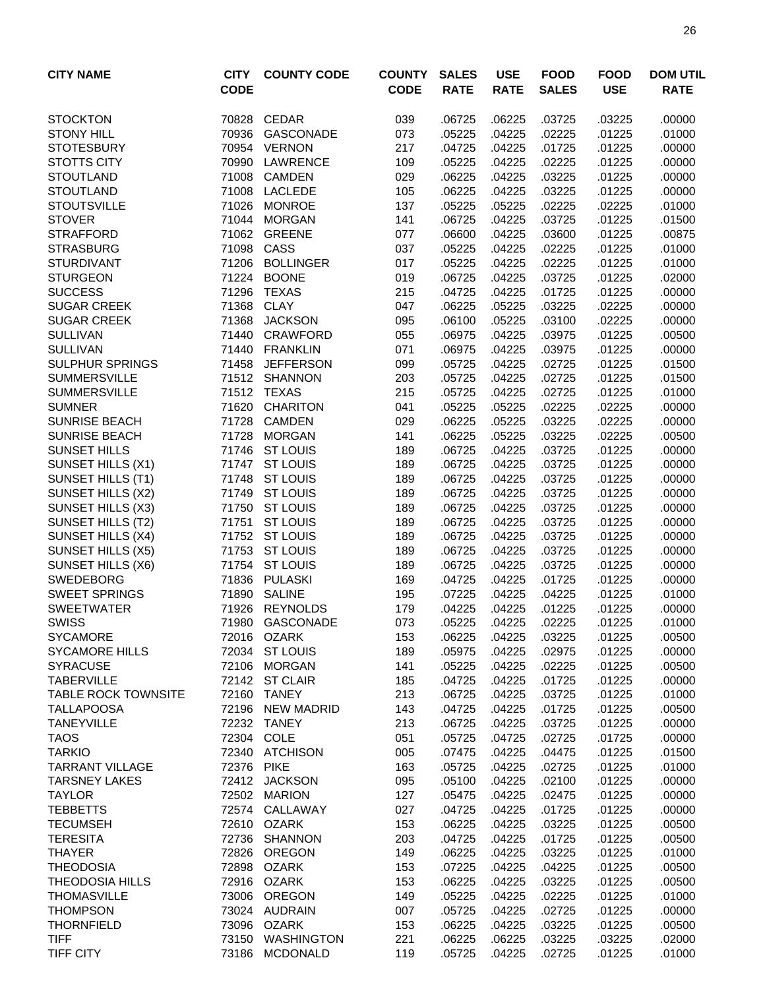| <b>CITY NAME</b>                       | <b>CITY</b><br><b>CODE</b> | <b>COUNTY CODE</b>                 | <b>COUNTY</b><br><b>CODE</b> | <b>SALES</b><br><b>RATE</b> | <b>USE</b><br><b>RATE</b> | <b>FOOD</b><br><b>SALES</b> | <b>FOOD</b><br><b>USE</b> | <b>DOM UTIL</b><br><b>RATE</b> |
|----------------------------------------|----------------------------|------------------------------------|------------------------------|-----------------------------|---------------------------|-----------------------------|---------------------------|--------------------------------|
| <b>STOCKTON</b>                        | 70828                      | <b>CEDAR</b>                       | 039                          | .06725                      | .06225                    | .03725                      | .03225                    | .00000                         |
| <b>STONY HILL</b>                      | 70936                      | GASCONADE                          | 073                          | .05225                      | .04225                    | .02225                      | .01225                    | .01000                         |
| <b>STOTESBURY</b>                      | 70954                      | <b>VERNON</b>                      | 217                          | .04725                      | .04225                    | .01725                      | .01225                    | .00000                         |
| <b>STOTTS CITY</b>                     | 70990                      | LAWRENCE                           | 109                          | .05225                      | .04225                    | .02225                      | .01225                    | .00000                         |
| <b>STOUTLAND</b>                       | 71008                      | <b>CAMDEN</b>                      | 029                          | .06225                      | .04225                    | .03225                      | .01225                    | .00000                         |
| <b>STOUTLAND</b>                       | 71008                      | <b>LACLEDE</b>                     | 105                          | .06225                      | .04225                    | .03225                      | .01225                    | .00000                         |
| <b>STOUTSVILLE</b>                     | 71026                      | <b>MONROE</b>                      | 137                          | .05225                      | .05225                    | .02225                      | .02225                    | .01000                         |
| <b>STOVER</b>                          | 71044                      | <b>MORGAN</b>                      | 141                          | .06725                      | .04225                    | .03725                      | .01225                    | .01500                         |
| <b>STRAFFORD</b>                       | 71062                      | <b>GREENE</b>                      | 077                          | .06600                      | .04225                    | .03600                      | .01225                    | .00875                         |
| <b>STRASBURG</b>                       | 71098                      | CASS                               | 037                          | .05225                      | .04225                    | .02225                      | .01225                    | .01000                         |
| <b>STURDIVANT</b>                      | 71206                      | <b>BOLLINGER</b>                   | 017                          | .05225                      | .04225                    | .02225                      | .01225                    | .01000                         |
| <b>STURGEON</b>                        | 71224                      | <b>BOONE</b>                       | 019                          | .06725                      | .04225                    | .03725                      | .01225                    | .02000                         |
| <b>SUCCESS</b>                         | 71296                      | <b>TEXAS</b>                       | 215                          | .04725                      | .04225                    | .01725                      | .01225                    | .00000                         |
| <b>SUGAR CREEK</b>                     | 71368                      | <b>CLAY</b>                        | 047                          | .06225                      | .05225                    | .03225                      | .02225                    | .00000                         |
| <b>SUGAR CREEK</b>                     | 71368                      | <b>JACKSON</b>                     | 095                          | .06100                      | .05225                    | .03100                      | .02225                    | .00000                         |
| <b>SULLIVAN</b>                        | 71440                      | <b>CRAWFORD</b>                    | 055                          | .06975                      | .04225                    | .03975                      | .01225                    | .00500                         |
| <b>SULLIVAN</b>                        | 71440                      | <b>FRANKLIN</b>                    | 071                          | .06975                      | .04225                    | .03975                      | .01225                    | .00000                         |
| <b>SULPHUR SPRINGS</b>                 | 71458                      | <b>JEFFERSON</b>                   | 099                          | .05725                      | .04225                    | .02725                      | .01225                    | .01500                         |
| <b>SUMMERSVILLE</b>                    |                            | 71512 SHANNON                      | 203                          | .05725                      | .04225                    | .02725                      | .01225                    | .01500                         |
| <b>SUMMERSVILLE</b>                    |                            | 71512 TEXAS                        | 215                          | .05725                      | .04225                    | .02725                      | .01225                    | .01000                         |
| <b>SUMNER</b>                          | 71620                      | <b>CHARITON</b>                    | 041                          | .05225                      | .05225                    | .02225                      | .02225                    | .00000                         |
| <b>SUNRISE BEACH</b>                   | 71728                      | <b>CAMDEN</b>                      | 029                          | .06225                      | .05225                    | .03225                      | .02225                    | .00000                         |
| <b>SUNRISE BEACH</b>                   | 71728                      | <b>MORGAN</b>                      | 141                          | .06225                      | .05225                    | .03225                      | .02225                    | .00500                         |
| <b>SUNSET HILLS</b>                    | 71746                      | <b>ST LOUIS</b>                    | 189                          | .06725                      | .04225                    | .03725                      | .01225                    | .00000                         |
| SUNSET HILLS (X1)                      | 71747                      | <b>ST LOUIS</b>                    | 189                          | .06725                      | .04225                    | .03725                      | .01225                    | .00000                         |
| SUNSET HILLS (T1)                      | 71748                      | <b>ST LOUIS</b>                    | 189                          | .06725                      | .04225                    | .03725                      | .01225                    | .00000                         |
| SUNSET HILLS (X2)                      | 71749                      | <b>ST LOUIS</b><br><b>ST LOUIS</b> | 189                          | .06725                      | .04225                    | .03725                      | .01225                    | .00000                         |
| SUNSET HILLS (X3)                      | 71750                      | <b>ST LOUIS</b>                    | 189                          | .06725                      | .04225                    | .03725<br>.03725            | .01225                    | .00000                         |
| SUNSET HILLS (T2)                      | 71751                      |                                    | 189                          | .06725                      | .04225                    |                             | .01225                    | .00000                         |
| SUNSET HILLS (X4)                      | 71752<br>71753             | <b>ST LOUIS</b><br><b>ST LOUIS</b> | 189<br>189                   | .06725<br>.06725            | .04225<br>.04225          | .03725<br>.03725            | .01225<br>.01225          | .00000<br>.00000               |
| SUNSET HILLS (X5)<br>SUNSET HILLS (X6) | 71754                      | <b>ST LOUIS</b>                    | 189                          | .06725                      | .04225                    | .03725                      | .01225                    | .00000                         |
| <b>SWEDEBORG</b>                       | 71836                      | <b>PULASKI</b>                     | 169                          | .04725                      | .04225                    | .01725                      | .01225                    | .00000                         |
| <b>SWEET SPRINGS</b>                   | 71890                      | <b>SALINE</b>                      | 195                          | .07225                      | .04225                    | .04225                      | .01225                    | .01000                         |
| <b>SWEETWATER</b>                      | 71926                      | <b>REYNOLDS</b>                    | 179                          | .04225                      | .04225                    | .01225                      | .01225                    | .00000                         |
| <b>SWISS</b>                           |                            | 71980 GASCONADE                    | 073                          | .05225                      | .04225                    | .02225                      | .01225                    | .01000                         |
| <b>SYCAMORE</b>                        |                            | 72016 OZARK                        | 153                          | .06225                      | .04225                    | .03225                      | .01225                    | .00500                         |
| <b>SYCAMORE HILLS</b>                  |                            | 72034 ST LOUIS                     | 189                          | .05975                      | .04225                    | .02975                      | .01225                    | .00000                         |
| <b>SYRACUSE</b>                        |                            | 72106 MORGAN                       | 141                          | .05225                      | .04225                    | .02225                      | .01225                    | .00500                         |
| <b>TABERVILLE</b>                      |                            | 72142 ST CLAIR                     | 185                          | .04725                      | .04225                    | .01725                      | .01225                    | .00000                         |
| <b>TABLE ROCK TOWNSITE</b>             | 72160                      | <b>TANEY</b>                       | 213                          | .06725                      | .04225                    | .03725                      | .01225                    | .01000                         |
| <b>TALLAPOOSA</b>                      | 72196                      | NEW MADRID                         | 143                          | .04725                      | .04225                    | .01725                      | .01225                    | .00500                         |
| <b>TANEYVILLE</b>                      |                            | 72232 TANEY                        | 213                          | .06725                      | .04225                    | .03725                      | .01225                    | .00000                         |
| <b>TAOS</b>                            |                            | 72304 COLE                         | 051                          | .05725                      | .04725                    | .02725                      | .01725                    | .00000                         |
| <b>TARKIO</b>                          |                            | 72340 ATCHISON                     | 005                          | .07475                      | .04225                    | .04475                      | .01225                    | .01500                         |
| <b>TARRANT VILLAGE</b>                 | 72376 PIKE                 |                                    | 163                          | .05725                      | .04225                    | .02725                      | .01225                    | .01000                         |
| <b>TARSNEY LAKES</b>                   |                            | 72412 JACKSON                      | 095                          | .05100                      | .04225                    | .02100                      | .01225                    | .00000                         |
| <b>TAYLOR</b>                          |                            | 72502 MARION                       | 127                          | .05475                      | .04225                    | .02475                      | .01225                    | .00000                         |
| <b>TEBBETTS</b>                        |                            | 72574 CALLAWAY                     | 027                          | .04725                      | .04225                    | .01725                      | .01225                    | .00000                         |
| <b>TECUMSEH</b>                        |                            | 72610 OZARK                        | 153                          | .06225                      | .04225                    | .03225                      | .01225                    | .00500                         |
| <b>TERESITA</b>                        |                            | 72736 SHANNON                      | 203                          | .04725                      | .04225                    | .01725                      | .01225                    | .00500                         |
| <b>THAYER</b>                          | 72826                      | OREGON                             | 149                          | .06225                      | .04225                    | .03225                      | .01225                    | .01000                         |
| <b>THEODOSIA</b>                       | 72898                      | OZARK                              | 153                          | .07225                      | .04225                    | .04225                      | .01225                    | .00500                         |
| <b>THEODOSIA HILLS</b>                 |                            | 72916 OZARK                        | 153                          | .06225                      | .04225                    | .03225                      | .01225                    | .00500                         |
| <b>THOMASVILLE</b>                     | 73006                      | OREGON                             | 149                          | .05225                      | .04225                    | .02225                      | .01225                    | .01000                         |
| <b>THOMPSON</b>                        |                            | 73024 AUDRAIN                      | 007                          | .05725                      | .04225                    | .02725                      | .01225                    | .00000                         |
| <b>THORNFIELD</b>                      |                            | 73096 OZARK                        | 153                          | .06225                      | .04225                    | .03225                      | .01225                    | .00500                         |
| <b>TIFF</b>                            |                            | 73150 WASHINGTON                   | 221                          | .06225                      | .06225                    | .03225                      | .03225                    | .02000                         |
| <b>TIFF CITY</b>                       |                            | 73186 MCDONALD                     | 119                          | .05725                      | .04225                    | .02725                      | .01225                    | .01000                         |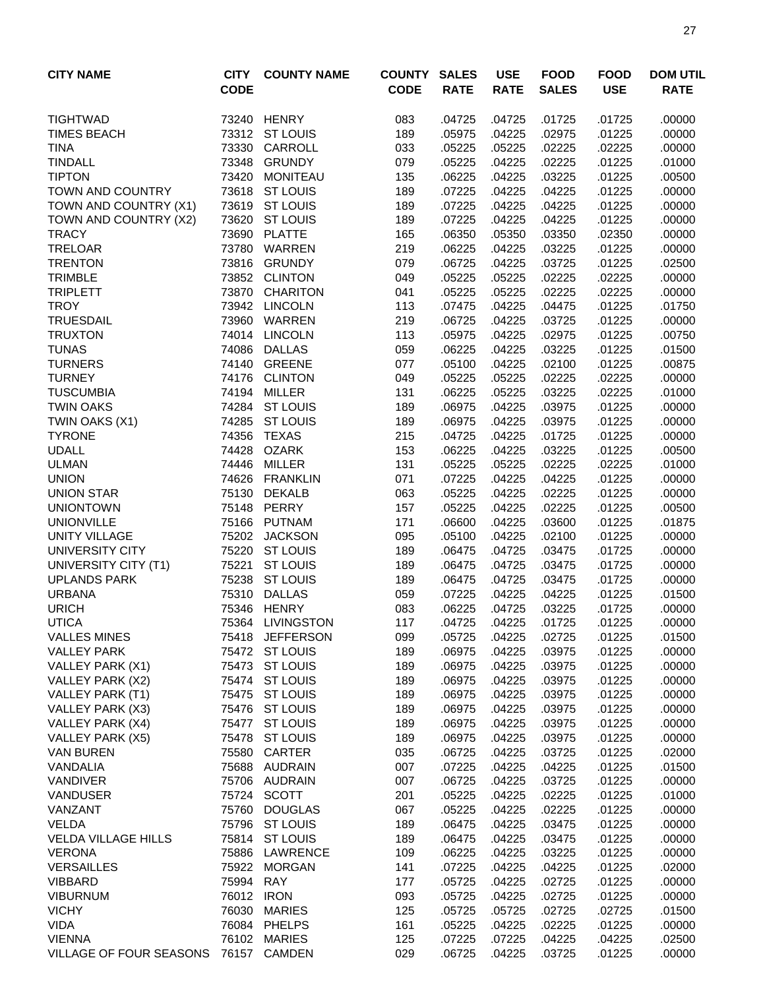| <b>CITY NAME</b>                     | <b>CITY</b>    | <b>COUNTY NAME</b>               | <b>COUNTY</b> | <b>SALES</b>     | <b>USE</b>       | <b>FOOD</b>      | <b>FOOD</b>      | <b>DOM UTIL</b>  |
|--------------------------------------|----------------|----------------------------------|---------------|------------------|------------------|------------------|------------------|------------------|
|                                      | <b>CODE</b>    |                                  | <b>CODE</b>   | <b>RATE</b>      | <b>RATE</b>      | <b>SALES</b>     | <b>USE</b>       | <b>RATE</b>      |
| <b>TIGHTWAD</b>                      | 73240          | HENRY                            | 083           | .04725           | .04725           | .01725           | .01725           | .00000           |
| <b>TIMES BEACH</b>                   |                | 73312 ST LOUIS                   | 189           | .05975           | .04225           | .02975           | .01225           | .00000           |
| <b>TINA</b>                          | 73330          | CARROLL                          | 033           | .05225           | .05225           | .02225           | .02225           | .00000           |
| <b>TINDALL</b>                       | 73348          | <b>GRUNDY</b>                    | 079           | .05225           | .04225           | .02225           | .01225           | .01000           |
| <b>TIPTON</b>                        | 73420          | <b>MONITEAU</b>                  | 135           | .06225           | .04225           | .03225           | .01225           | .00500           |
| <b>TOWN AND COUNTRY</b>              | 73618          | <b>ST LOUIS</b>                  | 189           | .07225           | .04225           | .04225           | .01225           | .00000           |
| TOWN AND COUNTRY (X1)                | 73619          | <b>ST LOUIS</b>                  | 189           | .07225           | .04225           | .04225           | .01225           | .00000           |
| TOWN AND COUNTRY (X2)                | 73620          | <b>ST LOUIS</b>                  | 189           | .07225           | .04225           | .04225           | .01225           | .00000           |
| <b>TRACY</b>                         | 73690          | <b>PLATTE</b>                    | 165           | .06350           | .05350           | .03350           | .02350           | .00000           |
| <b>TRELOAR</b>                       | 73780          | WARREN                           | 219           | .06225           | .04225           | .03225           | .01225           | .00000           |
| <b>TRENTON</b>                       | 73816          | <b>GRUNDY</b>                    | 079           | .06725           | .04225           | .03725           | .01225           | .02500           |
| <b>TRIMBLE</b>                       | 73852          | <b>CLINTON</b>                   | 049           | .05225           | .05225           | .02225           | .02225           | .00000           |
| <b>TRIPLETT</b>                      | 73870          | <b>CHARITON</b>                  | 041           | .05225           | .05225           | .02225           | .02225           | .00000           |
| <b>TROY</b>                          | 73942          | <b>LINCOLN</b>                   | 113           | .07475           | .04225           | .04475           | .01225           | .01750           |
| <b>TRUESDAIL</b>                     | 73960          | WARREN                           | 219           | .06725           | .04225           | .03725           | .01225           | .00000           |
| <b>TRUXTON</b>                       |                | 74014 LINCOLN                    | 113           | .05975           | .04225           | .02975           | .01225           | .00750           |
| <b>TUNAS</b>                         | 74086          | <b>DALLAS</b>                    | 059           | .06225           | .04225           | .03225           | .01225           | .01500           |
| <b>TURNERS</b>                       |                | 74140 GREENE                     | 077           | .05100           | .04225           | .02100           | .01225           | .00875           |
| <b>TURNEY</b>                        | 74176          | <b>CLINTON</b>                   | 049           | .05225           | .05225           | .02225           | .02225           | .00000           |
| <b>TUSCUMBIA</b>                     | 74194          | <b>MILLER</b>                    | 131           | .06225           | .05225           | .03225           | .02225           | .01000           |
| <b>TWIN OAKS</b>                     | 74284          | <b>ST LOUIS</b>                  | 189           | .06975           | .04225           | .03975           | .01225           | .00000           |
| TWIN OAKS (X1)                       | 74285          | <b>ST LOUIS</b>                  | 189           | .06975           | .04225           | .03975           | .01225           | .00000           |
| <b>TYRONE</b>                        | 74356          | <b>TEXAS</b>                     | 215           | .04725           | .04225           | .01725           | .01225           | .00000           |
| <b>UDALL</b>                         | 74428          | <b>OZARK</b>                     | 153           | .06225           | .04225           | .03225           | .01225           | .00500           |
| <b>ULMAN</b>                         | 74446          | <b>MILLER</b>                    | 131           | .05225           | .05225           | .02225           | .02225           | .01000           |
| <b>UNION</b>                         | 74626          | <b>FRANKLIN</b>                  | 071           | .07225           | .04225           | .04225           | .01225           | .00000           |
| <b>UNION STAR</b>                    | 75130          | <b>DEKALB</b>                    | 063           | .05225           | .04225           | .02225           | .01225           | .00000           |
| <b>UNIONTOWN</b>                     | 75148          | PERRY                            | 157           | .05225           | .04225           | .02225           | .01225           | .00500           |
| <b>UNIONVILLE</b>                    | 75166          | PUTNAM                           | 171           | .06600           | .04225           | .03600           | .01225           | .01875           |
| <b>UNITY VILLAGE</b>                 |                | 75202 JACKSON                    | 095           | .05100           | .04225           | .02100           | .01225           | .00000           |
| UNIVERSITY CITY                      | 75220          | <b>ST LOUIS</b>                  | 189           | .06475           | .04725           | .03475           | .01725           | .00000           |
| UNIVERSITY CITY (T1)                 | 75221<br>75238 | <b>ST LOUIS</b>                  | 189           | .06475           | .04725           | .03475           | .01725           | .00000           |
| <b>UPLANDS PARK</b><br><b>URBANA</b> | 75310          | <b>ST LOUIS</b><br><b>DALLAS</b> | 189<br>059    | .06475<br>.07225 | .04725<br>.04225 | .03475<br>.04225 | .01725<br>.01225 | .00000<br>.01500 |
| <b>URICH</b>                         | 75346          | <b>HENRY</b>                     | 083           | .06225           | .04725           | .03225           | .01725           | .00000           |
| <b>UTICA</b>                         |                | 75364 LIVINGSTON                 | 117           | .04725           | .04225           | .01725           | .01225           | .00000           |
| <b>VALLES MINES</b>                  |                | 75418 JEFFERSON                  | 099           | .05725           | .04225           | .02725           | .01225           | .01500           |
| <b>VALLEY PARK</b>                   |                | 75472 ST LOUIS                   | 189           | .06975           | .04225           | .03975           | .01225           | .00000           |
| VALLEY PARK (X1)                     | 75473          | <b>ST LOUIS</b>                  | 189           | .06975           | .04225           | .03975           | .01225           | .00000           |
| VALLEY PARK (X2)                     | 75474          | <b>ST LOUIS</b>                  | 189           | .06975           | .04225           | .03975           | .01225           | .00000           |
| VALLEY PARK (T1)                     | 75475          | <b>ST LOUIS</b>                  | 189           | .06975           | .04225           | .03975           | .01225           | .00000           |
| <b>VALLEY PARK (X3)</b>              |                | 75476 ST LOUIS                   | 189           | .06975           | .04225           | .03975           | .01225           | .00000           |
| VALLEY PARK (X4)                     |                | 75477 ST LOUIS                   | 189           | .06975           | .04225           | .03975           | .01225           | .00000           |
| VALLEY PARK (X5)                     | 75478          | <b>ST LOUIS</b>                  | 189           | .06975           | .04225           | .03975           | .01225           | .00000           |
| <b>VAN BUREN</b>                     | 75580          | <b>CARTER</b>                    | 035           | .06725           | .04225           | .03725           | .01225           | .02000           |
| VANDALIA                             |                | 75688 AUDRAIN                    | 007           | .07225           | .04225           | .04225           | .01225           | .01500           |
| <b>VANDIVER</b>                      |                | 75706 AUDRAIN                    | 007           | .06725           | .04225           | .03725           | .01225           | .00000           |
| <b>VANDUSER</b>                      |                | 75724 SCOTT                      | 201           | .05225           | .04225           | .02225           | .01225           | .01000           |
| VANZANT                              | 75760          | <b>DOUGLAS</b>                   | 067           | .05225           | .04225           | .02225           | .01225           | .00000           |
| <b>VELDA</b>                         | 75796          | <b>ST LOUIS</b>                  | 189           | .06475           | .04225           | .03475           | .01225           | .00000           |
| <b>VELDA VILLAGE HILLS</b>           | 75814          | <b>ST LOUIS</b>                  | 189           | .06475           | .04225           | .03475           | .01225           | .00000           |
| <b>VERONA</b>                        | 75886          | LAWRENCE                         | 109           | .06225           | .04225           | .03225           | .01225           | .00000           |
| <b>VERSAILLES</b>                    |                | 75922 MORGAN                     | 141           | .07225           | .04225           | .04225           | .01225           | .02000           |
| <b>VIBBARD</b>                       | 75994          | RAY                              | 177           | .05725           | .04225           | .02725           | .01225           | .00000           |
| <b>VIBURNUM</b>                      | 76012 IRON     |                                  | 093           | .05725           | .04225           | .02725           | .01225           | .00000           |
| <b>VICHY</b>                         | 76030          | MARIES                           | 125           | .05725           | .05725           | .02725           | .02725           | .01500           |
| <b>VIDA</b>                          |                | 76084 PHELPS                     | 161           | .05225           | .04225           | .02225           | .01225           | .00000           |
| <b>VIENNA</b>                        |                | 76102 MARIES                     | 125           | .07225           | .07225           | .04225           | .04225           | .02500           |
| VILLAGE OF FOUR SEASONS              |                | 76157 CAMDEN                     | 029           | .06725           | .04225           | .03725           | .01225           | .00000           |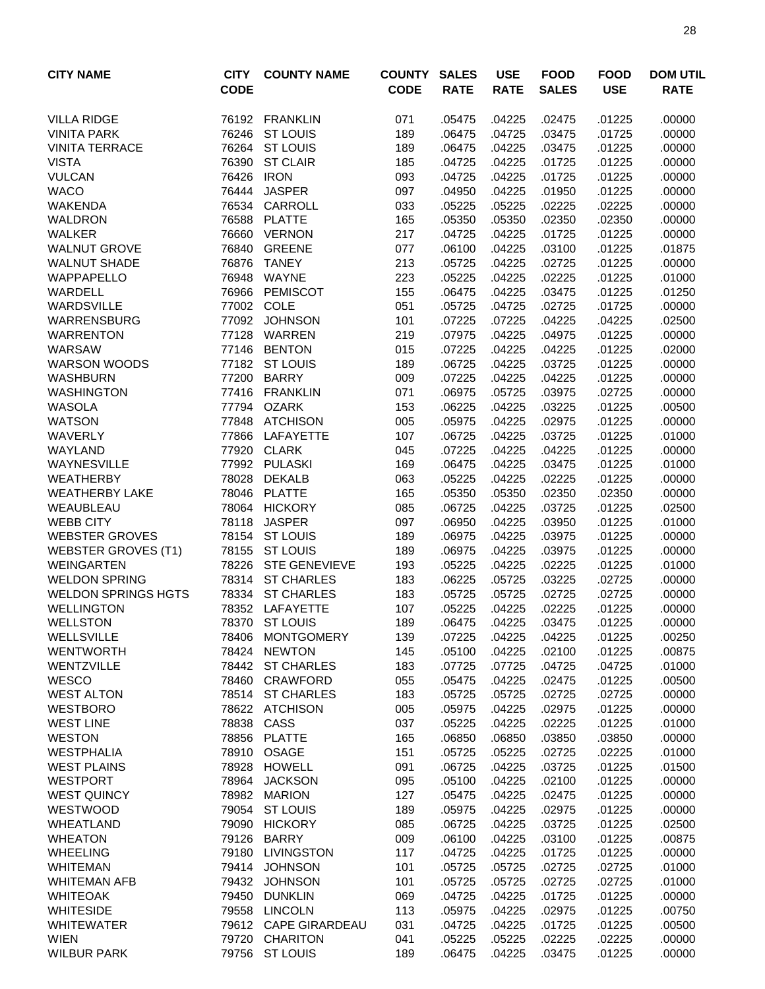| <b>CITY NAME</b>                                   | <b>CITY</b><br><b>CODE</b> | <b>COUNTY NAME</b>                       | <b>COUNTY</b><br><b>CODE</b> | <b>SALES</b><br><b>RATE</b> | <b>USE</b><br><b>RATE</b> | <b>FOOD</b><br><b>SALES</b> | <b>FOOD</b><br><b>USE</b> | <b>DOM UTIL</b><br><b>RATE</b> |
|----------------------------------------------------|----------------------------|------------------------------------------|------------------------------|-----------------------------|---------------------------|-----------------------------|---------------------------|--------------------------------|
| <b>VILLA RIDGE</b>                                 |                            | 76192 FRANKLIN                           | 071                          | .05475                      | .04225                    | .02475                      | .01225                    | .00000                         |
| <b>VINITA PARK</b>                                 | 76246                      | <b>ST LOUIS</b>                          | 189                          | .06475                      | .04725                    | .03475                      | .01725                    | .00000                         |
| <b>VINITA TERRACE</b>                              | 76264                      | <b>ST LOUIS</b>                          | 189                          | .06475                      | .04225                    | .03475                      | .01225                    | .00000                         |
| <b>VISTA</b>                                       | 76390                      | <b>ST CLAIR</b>                          | 185                          | .04725                      | .04225                    | .01725                      | .01225                    | .00000                         |
| <b>VULCAN</b>                                      | 76426                      | <b>IRON</b>                              | 093                          | .04725                      | .04225                    | .01725                      | .01225                    | .00000                         |
| <b>WACO</b>                                        | 76444                      | <b>JASPER</b>                            | 097                          | .04950                      | .04225                    | .01950                      | .01225                    | .00000                         |
| <b>WAKENDA</b>                                     |                            | 76534 CARROLL                            | 033                          | .05225                      | .05225                    | .02225                      | .02225                    | .00000                         |
| <b>WALDRON</b>                                     | 76588                      | <b>PLATTE</b>                            | 165                          | .05350                      | .05350                    | .02350                      | .02350                    | .00000                         |
| <b>WALKER</b>                                      | 76660                      | <b>VERNON</b>                            | 217                          | .04725                      | .04225                    | .01725                      | .01225                    | .00000                         |
| <b>WALNUT GROVE</b>                                | 76840                      | <b>GREENE</b>                            | 077                          | .06100                      | .04225                    | .03100                      | .01225                    | .01875                         |
| <b>WALNUT SHADE</b>                                | 76876                      | <b>TANEY</b>                             | 213                          | .05725                      | .04225                    | .02725                      | .01225                    | .00000                         |
| <b>WAPPAPELLO</b>                                  | 76948                      | WAYNE                                    | 223                          | .05225                      | .04225                    | .02225                      | .01225                    | .01000                         |
| WARDELL                                            | 76966                      | <b>PEMISCOT</b>                          | 155                          | .06475                      | .04225                    | .03475                      | .01225                    | .01250                         |
| <b>WARDSVILLE</b>                                  |                            | 77002 COLE                               | 051                          | .05725                      | .04725                    | .02725                      | .01725                    | .00000                         |
| <b>WARRENSBURG</b>                                 | 77092                      | <b>JOHNSON</b>                           | 101                          | .07225                      | .07225                    | .04225                      | .04225                    | .02500                         |
| <b>WARRENTON</b>                                   | 77128                      | WARREN                                   | 219                          | .07975                      | .04225                    | .04975                      | .01225                    | .00000                         |
| WARSAW                                             | 77146                      | <b>BENTON</b>                            | 015                          | .07225                      | .04225                    | .04225                      | .01225                    | .02000                         |
| <b>WARSON WOODS</b>                                |                            | 77182 ST LOUIS                           | 189                          | .06725                      | .04225                    | .03725                      | .01225                    | .00000                         |
| <b>WASHBURN</b>                                    | 77200                      | <b>BARRY</b>                             | 009                          | .07225                      | .04225                    | .04225                      | .01225                    | .00000                         |
| <b>WASHINGTON</b>                                  |                            | 77416 FRANKLIN                           | 071                          | .06975                      | .05725                    | .03975                      | .02725                    | .00000                         |
| <b>WASOLA</b>                                      |                            | 77794 OZARK                              | 153                          | .06225                      | .04225                    | .03225                      | .01225                    | .00500                         |
| <b>WATSON</b>                                      |                            | 77848 ATCHISON                           | 005                          | .05975                      | .04225                    | .02975                      | .01225                    | .00000                         |
| <b>WAVERLY</b>                                     | 77866                      | <b>LAFAYETTE</b>                         | 107                          | .06725                      | .04225                    | .03725                      | .01225                    | .01000                         |
| WAYLAND                                            | 77920                      | <b>CLARK</b>                             | 045                          | .07225                      | .04225                    | .04225                      | .01225                    | .00000                         |
| WAYNESVILLE                                        | 77992                      | <b>PULASKI</b>                           | 169                          | .06475                      | .04225                    | .03475                      | .01225                    | .01000                         |
| <b>WEATHERBY</b>                                   | 78028                      | <b>DEKALB</b>                            | 063                          | .05225                      | .04225                    | .02225                      | .01225                    | .00000                         |
| <b>WEATHERBY LAKE</b>                              | 78046                      | <b>PLATTE</b>                            | 165                          | .05350                      | .05350                    | .02350                      | .02350                    | .00000                         |
| WEAUBLEAU                                          | 78064                      | <b>HICKORY</b>                           | 085                          | .06725                      | .04225                    | .03725                      | .01225                    | .02500                         |
| <b>WEBB CITY</b>                                   | 78118                      | <b>JASPER</b>                            | 097                          | .06950                      | .04225                    | .03950                      | .01225                    | .01000                         |
| <b>WEBSTER GROVES</b>                              | 78154                      | <b>ST LOUIS</b>                          | 189                          | .06975                      | .04225                    | .03975                      | .01225                    | .00000                         |
| <b>WEBSTER GROVES (T1)</b>                         | 78155                      | <b>ST LOUIS</b>                          | 189                          | .06975                      | .04225                    | .03975                      | .01225                    | .00000                         |
| <b>WEINGARTEN</b>                                  | 78226                      | <b>STE GENEVIEVE</b><br>78314 ST CHARLES | 193                          | .05225                      | .04225                    | .02225                      | .01225                    | .01000                         |
| <b>WELDON SPRING</b><br><b>WELDON SPRINGS HGTS</b> | 78334                      | <b>ST CHARLES</b>                        | 183<br>183                   | .06225<br>.05725            | .05725<br>.05725          | .03225<br>.02725            | .02725<br>.02725          | .00000<br>.00000               |
| <b>WELLINGTON</b>                                  |                            | 78352 LAFAYETTE                          | 107                          | .05225                      | .04225                    | .02225                      | .01225                    | .00000                         |
| <b>WELLSTON</b>                                    |                            | 78370 ST LOUIS                           | 189                          | .06475                      | .04225                    | .03475                      | .01225                    | .00000                         |
| <b>WELLSVILLE</b>                                  |                            | 78406 MONTGOMERY                         | 139                          | .07225                      | .04225                    | .04225                      | .01225                    | .00250                         |
| <b>WENTWORTH</b>                                   |                            | 78424 NEWTON                             | 145                          | .05100                      | .04225                    | .02100                      | .01225                    | .00875                         |
| WENTZVILLE                                         |                            | 78442 ST CHARLES                         | 183                          | .07725                      | .07725                    | .04725                      | .04725                    | .01000                         |
| WESCO                                              | 78460                      | CRAWFORD                                 | 055                          | .05475                      | .04225                    | .02475                      | .01225                    | .00500                         |
| <b>WEST ALTON</b>                                  |                            | 78514 ST CHARLES                         | 183                          | .05725                      | .05725                    | .02725                      | .02725                    | .00000                         |
| <b>WESTBORO</b>                                    |                            | 78622 ATCHISON                           | 005                          | .05975                      | .04225                    | .02975                      | .01225                    | .00000                         |
| <b>WEST LINE</b>                                   | 78838                      | CASS                                     | 037                          | .05225                      | .04225                    | .02225                      | .01225                    | .01000                         |
| <b>WESTON</b>                                      | 78856                      | <b>PLATTE</b>                            | 165                          | .06850                      | .06850                    | .03850                      | .03850                    | .00000                         |
| <b>WESTPHALIA</b>                                  |                            | 78910 OSAGE                              | 151                          | .05725                      | .05225                    | .02725                      | .02225                    | .01000                         |
| <b>WEST PLAINS</b>                                 | 78928                      | <b>HOWELL</b>                            | 091                          | .06725                      | .04225                    | .03725                      | .01225                    | .01500                         |
| <b>WESTPORT</b>                                    | 78964                      | <b>JACKSON</b>                           | 095                          | .05100                      | .04225                    | .02100                      | .01225                    | .00000                         |
| <b>WEST QUINCY</b>                                 |                            | 78982 MARION                             | 127                          | .05475                      | .04225                    | .02475                      | .01225                    | .00000                         |
| WESTWOOD                                           |                            | 79054 ST LOUIS                           | 189                          | .05975                      | .04225                    | .02975                      | .01225                    | .00000                         |
| WHEATLAND                                          | 79090                      | <b>HICKORY</b>                           | 085                          | .06725                      | .04225                    | .03725                      | .01225                    | .02500                         |
| <b>WHEATON</b>                                     | 79126                      | <b>BARRY</b>                             | 009                          | .06100                      | .04225                    | .03100                      | .01225                    | .00875                         |
| <b>WHEELING</b>                                    | 79180                      | <b>LIVINGSTON</b>                        | 117                          | .04725                      | .04225                    | .01725                      | .01225                    | .00000                         |
| <b>WHITEMAN</b>                                    | 79414                      | <b>JOHNSON</b>                           | 101                          | .05725                      | .05725                    | .02725                      | .02725                    | .01000                         |
| <b>WHITEMAN AFB</b>                                | 79432                      | <b>JOHNSON</b>                           | 101                          | .05725                      | .05725                    | .02725                      | .02725                    | .01000                         |
| <b>WHITEOAK</b>                                    | 79450                      | <b>DUNKLIN</b>                           | 069                          | .04725                      | .04225                    | .01725                      | .01225                    | .00000                         |
| <b>WHITESIDE</b>                                   |                            | 79558 LINCOLN                            | 113                          | .05975                      | .04225                    | .02975                      | .01225                    | .00750                         |
| <b>WHITEWATER</b>                                  |                            | 79612 CAPE GIRARDEAU                     | 031                          | .04725                      | .04225                    | .01725                      | .01225                    | .00500                         |
| <b>WIEN</b>                                        |                            | 79720 CHARITON                           | 041                          | .05225                      | .05225                    | .02225                      | .02225                    | .00000                         |
| <b>WILBUR PARK</b>                                 |                            | 79756 ST LOUIS                           | 189                          | .06475                      | .04225                    | .03475                      | .01225                    | .00000                         |